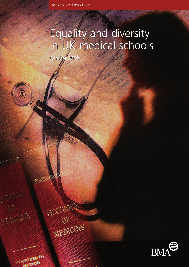### Equality and diversity in UK medical schools Equality and diversity in UK medical schools

October 2009 October 2009

TEXTBOOK

OF

MONTH



FOURTEENTA **VALITION** 

(重

**MEDICALE** 

 $\circledast$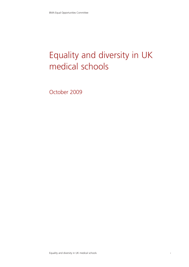# Equality and diversity in UK medical schools

October 2009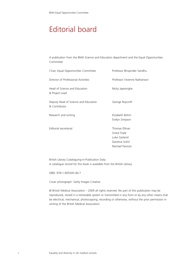### Editorial board

A publication from the BMA Science and Education department and the Equal Opportunities Committee

| Chair, Equal Opportunities Committee                  | Professor Bhupinder Sandhu                                                        |
|-------------------------------------------------------|-----------------------------------------------------------------------------------|
| Director of Professional Activities                   | Professor Vivienne Nathanson                                                      |
| Head of Science and Education<br>& Project Lead       | Nicky Jayesinghe                                                                  |
| Deputy Head of Science and Education<br>& Contributor | George Roycroft                                                                   |
| Research and writing                                  | Elizabeth Bohm<br>Evelyn Simpson                                                  |
| Editorial secretariat                                 | Thomas Ellinas<br>Grace Foyle<br>Luke Garland<br>Darshna Gohil<br>Rachael Panizzo |

British Library Cataloguing-in-Publication Data. A catalogue record for this book is available from the British Library.

ISBN: 978-1-905545-40-7

Cover photograph: Getty Images Creative.

© British Medical Association – 2009 all rights reserved. No part of this publication may be reproduced, stored in a retrievable system or transmitted in any form or by any other means that be electrical, mechanical, photocopying, recording or otherwise, without the prior permission in writing of the British Medical Association.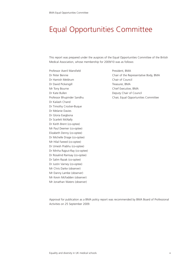### Equal Opportunities Committee

This report was prepared under the auspices of the Equal Opportunities Committee of the British Medical Association, whose membership for 2009/10 was as follows:

Professor Averil Mansfield President, BMA Dr Hamish Meldrum Chair of Council Dr David Pickersgill Treasurer, BMA Mr Tony Bourne **Chief Executive, BMA** Dr Kate Bullen Deputy Chair of Council Dr Kailash Chand Dr Timothy Crocker-Buque Dr Melanie Davies Dr Gloria Esegbona Dr Scarlett McNally Dr Keith Brent (co-optee) Mr Paul Deemer (co-optee) Elizabeth Denny (co-optee) Dr Michelle Drage (co-optee) Mr Hilal Fareed (co-optee) Dr Umesh Prabhu (co-optee) Dr Minha Rajput-Ray (co-optee) Dr Rosalind Ramsay (co-optee) Dr Salim Razak (co-optee) Dr Justin Varney (co-optee) Mr Chris Darke (observer) Mr Danny Lambe (observer) Mr Kevin McFadden (observer) Mr Jonathan Waters (observer)

Dr Peter Bennie Chair of the Representative Body, BMA Professor Bhupinder Sandhu Chair, Equal Opportunities Committee

Approval for publication as a BMA policy report was recommended by BMA Board of Professional Activities on 25 September 2009.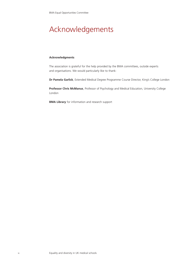## Acknowledgements

#### **Acknowledgments**

The association is grateful for the help provided by the BMA committees, outside experts and organisations. We would particularly like to thank:

**Dr Pamela Garlick**, Extended Medical Degree Programme Course Director, King's College London

**Professor Chris McManus**, Professor of Psychology and Medical Education, University College London

**BMA Library** for information and research support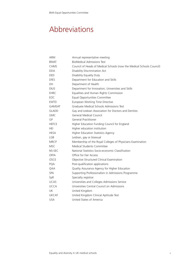## Abbreviations

| ARM           | Annual representative meeting                                         |
|---------------|-----------------------------------------------------------------------|
| <b>BMAT</b>   | <b>BioMedical Admissions Test</b>                                     |
| <b>CHMS</b>   | Council of Heads of Medical Schools (now the Medical Schools Council) |
| DDA.          | Disability Discrimination Act                                         |
| <b>DED</b>    | Disability Equality Duty                                              |
| <b>DfES</b>   | Department for Education and Skills                                   |
| DH            | Department of Health                                                  |
| <b>DIUS</b>   | Department for Innovation, Universities and Skills                    |
| EHRC          | Equalities and Human Rights Commission                                |
| EOC           | Equal Opportunities Committee                                         |
| <b>EWTD</b>   | European Working Time Directive                                       |
| <b>GAMSAT</b> | Graduate Medical Schools Admissions Test                              |
| <b>GLADD</b>  | Gay and Lesbian Association for Doctors and Dentists                  |
| <b>GMC</b>    | General Medical Council                                               |
| GP            | General Practitioner                                                  |
| <b>HEFCE</b>  | Higher Education Funding Council for England                          |
| <b>HEI</b>    | Higher education institution                                          |
| HESA          | Higher Education Statistics Agency                                    |
| LGB           | Lesbian, gay or bisexual                                              |
| <b>MRCP</b>   | Membership of the Royal Colleges of Physicians Examination            |
| MSC.          | Medical Students Committee                                            |
| NS-SEC        | National Statistics Socio-economic Classification                     |
| <b>OFFA</b>   | Office for Fair Access                                                |
| OSCE          | Objective Structured Clinical Examination                             |
| PQA           | Post-qualification applications                                       |
| QAA           | Quality Assurance Agency for Higher Education                         |
| <b>SPA</b>    | Supporting Professionalism in Admissions Programme                    |
| SpR           | Specialty registrar                                                   |
| <b>UCAS</b>   | Universities and Colleges Admissions Service                          |
| <b>UCCA</b>   | Universities Central Council on Admissions                            |
| UK            | United Kingdom                                                        |
| <b>UKCAT</b>  | United Kingdom Clinical Aptitude Test                                 |
| <b>USA</b>    | United States of America                                              |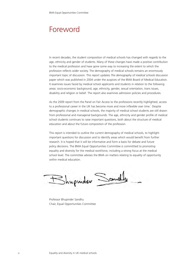### Foreword

In recent decades, the student composition of medical schools has changed with regards to the age, ethnicity and gender of students. Many of these changes have made a positive contribution to the medical profession and have gone some way to increasing the extent to which the profession reflects wider society. The demography of medical schools remains an enormously important topic of discussion. This report updates *The demography of medical schools* discussion paper which was published in 2004 under the auspices of the BMA Board of Medical Education. It examines issues faced by medical school applicants and students in relation to the following areas: socio-economic background, age, ethnicity, gender, sexual orientation, trans issues, disability and religion or belief. The report also examines admission policies and procedures.

As the 2009 report from the Panel on Fair Access to the professions recently highlighted, access to a professional career in the UK has become more and more inflexible over time.<sup>1</sup> Despite demographic changes in medical schools, the majority of medical school students are still drawn from professional and managerial backgrounds. The age, ethnicity and gender profile of medical school students continues to raise important questions, both about the structure of medical education and about the future composition of the profession.

This report is intended to outline the current demography of medical schools, to highlight important questions for discussion and to identify areas which would benefit from further research. It is hoped that it will be informative and form a basis for debate and future policy decisions. The BMA Equal Opportunities Committee is committted to promoting equality and diversity for the medical workforce, including a strong focus at the medical school level. The committee advises the BMA on matters relating to equality of opportunity within medical education.

supender Sandl

Professor Bhupinder Sandhu Chair, Equal Opportunities Committee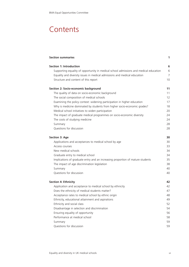### **Contents**

| <b>Section summaries</b>                                                              | 1              |
|---------------------------------------------------------------------------------------|----------------|
| <b>Section 1: Introduction</b>                                                        | 6              |
| Supporting equality of opportunity in medical school admissions and medical education | 6              |
| Equality and diversity issues in medical admissions and medical education             | $\overline{7}$ |
| Structure and content of this report                                                  | 10             |
| Section 2: Socio-economic background                                                  | 11             |
| The quality of data on socio-economic background                                      | 11             |
| The social composition of medical schools                                             | 12             |
| Examining the policy context: widening participation in higher education              | 17             |
| Why is medicine dominated by students from higher socio-economic grades?              | 18             |
| Medical school initiatives to widen participation                                     | 20             |
| The impact of graduate medical programmes on socio-economic diversity                 | 24             |
| The costs of studying medicine                                                        | 24             |
| Summary                                                                               | 28             |
| Questions for discussion                                                              | 28             |
| <b>Section 3: Age</b>                                                                 | 30             |
| Applications and acceptances to medical school by age                                 | 30             |
| Access courses                                                                        | 33             |
| New medical schools                                                                   | 34             |
| Graduate entry to medical school                                                      | 34             |
| Implications of graduate entry and an increasing proportion of mature students        | 35             |
| The impact of age discrimination legislation                                          | 38             |
| Summary                                                                               | 40             |
| Questions for discussion                                                              | 40             |
| <b>Section 4: Ethnicity</b>                                                           | 42             |
| Application and acceptance to medical school by ethnicity                             | 42             |
| Does the ethnicity of medical students matter?                                        | 47             |
| Acceptance rates to medical school by ethnic origin                                   | 48             |
| Ethnicity, educational attainment and aspirations                                     | 49             |
| Ethnicity and social class                                                            | 52             |
| Disadvantage in selection and discrimination                                          | 54             |
| Ensuring equality of opportunity                                                      | 56             |
| Performance at medical school                                                         | 58             |
| Summary                                                                               | 59             |
| Questions for discussion                                                              | 59             |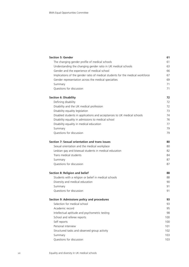| <b>Section 5: Gender</b>                                                       | 61  |
|--------------------------------------------------------------------------------|-----|
| The changing gender profile of medical schools                                 | 61  |
| Understanding the changing gender ratio in UK medical schools                  | 63  |
| Gender and the experience of medical school                                    | 66  |
| Implications of the gender ratio of medical students for the medical workforce | 67  |
| Gender representation across the medical specialties                           | 69  |
| Summary                                                                        | 71  |
| Questions for discussion                                                       | 71  |
| <b>Section 6: Disability</b>                                                   | 72  |
| Defining disability                                                            | 72  |
| Disability and the UK medical profession                                       | 72  |
| Disability equality legislation                                                | 73  |
| Disabled students in applications and acceptances to UK medical schools        | 74  |
| Disability equality in admissions to medical school                            | 76  |
| Disability equality in medical education                                       | 77  |
| Summary                                                                        | 79  |
| Questions for discussion                                                       | 79  |
| Section 7: Sexual orientation and trans issues                                 | 80  |
| Sexual orientation and the medical workplace                                   | 80  |
| Lesbian gay and bisexual students in medical education                         | 82  |
| Trans medical students                                                         | 84  |
| Summary                                                                        | 87  |
| Questions for discussion                                                       | 87  |
| Section 8: Religion and belief                                                 | 88  |
| Students with a religion or belief in medical schools                          | 88  |
| Diversity and medical education                                                | 90  |
| Summary                                                                        | 91  |
| Questions for discussion                                                       | 91  |
| Section 9: Admissions policy and procedures                                    | 93  |
| Selection for medical school                                                   | 93  |
| Academic record                                                                | 95  |
| Intellectual aptitude and psychometric testing                                 | 98  |
| School and referee reports                                                     | 100 |
| Self reports                                                                   | 100 |
| Personal interview                                                             | 101 |
| Structured tasks and observed group activity                                   | 102 |
| Summary                                                                        | 103 |
| Questions for discussion                                                       | 103 |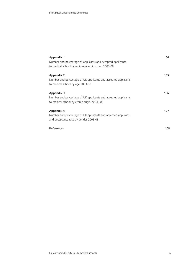| <b>Appendix 1</b>                                              | 104 |
|----------------------------------------------------------------|-----|
| Number and percentage of applicants and accepted applicants    |     |
| to medical school by socio-economic group 2003-08              |     |
| <b>Appendix 2</b>                                              | 105 |
| Number and percentage of UK applicants and accepted applicants |     |
| to medical school by age 2003-08                               |     |
| <b>Appendix 3</b>                                              | 106 |
| Number and percentage of UK applicants and accepted applicants |     |
| to medical school by ethnic origin 2003-08                     |     |
|                                                                |     |
| <b>Appendix 4</b>                                              | 107 |
| Number and percentage of UK applicants and accepted applicants |     |
| and acceptance rate by gender 2003-08                          |     |
| <b>References</b>                                              | 108 |
|                                                                |     |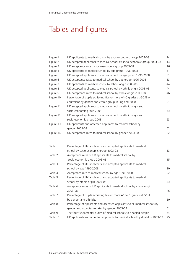## Tables and figures

| Figure 1  | UK applicants to medical school by socio-economic group 2003-08               | 14 |
|-----------|-------------------------------------------------------------------------------|----|
| Figure 2  | UK accepted applicants to medical school by socio-economic group 2003-08      | 14 |
| Figure 3  | UK acceptance rate by socio-economic group 2003-08                            | 16 |
| Figure 4  | UK applicants to medical school by age group 1996-2008                        | 31 |
| Figure 5  | UK accepted applicants to medical school by age group 1996-2008               | 31 |
| Figure 6  | UK acceptance rates to medical school by age group 1996-2008                  | 33 |
| Figure 7  | UK applicants to medical school by ethnic origin 2003-08                      | 44 |
| Figure 8  | UK accepted applicants to medical school by ethnic origin 2003-08             | 44 |
| Figure 9  | UK acceptance rates to medical school by ethnic origin 2003-08                | 46 |
| Figure 10 | Percentage of pupils achieving five or more A*-C grades at GCSE or            |    |
|           | equivalent by gender and ethnic group in England 2008                         | 51 |
| Figure 11 | UK accepted applicants to medical school by ethnic origin and                 |    |
|           | socio-economic group 2003                                                     | 53 |
| Figure 12 | UK accepted applicants to medical school by ethnic origin and                 |    |
|           | socio-economic group 2008                                                     | 53 |
| Figure 13 | UK applicants and accepted applicants to medical school by                    |    |
|           | gender 2003-08                                                                | 62 |
| Figure 14 | UK acceptance rates to medical school by gender 2003-08                       | 62 |
|           |                                                                               |    |
| Table 1   | Percentage of UK applicants and accepted applicants to medical                |    |
|           | school by socio-economic group 2003-08                                        | 13 |
| Table 2   | Acceptance rates of UK applicants to medical school by                        |    |
|           | socio-economic group 2003-08                                                  | 15 |
| Table 3   | Percentage of UK applicants and accepted applicants to medical                |    |
|           | school by age 1996-2008                                                       | 30 |
| Table 4   | Acceptance rate to medical school by age 1996-2008                            | 32 |
| Table 5   | Percentage of UK applicants and accepted applicants to medical                |    |
|           | school by ethnic origin 2003-08                                               | 43 |
| Table 6   | Acceptance rates of UK applicants to medical school by ethnic origin          |    |
|           | 2003-08                                                                       | 46 |
| Table 7   | Percentage of pupils achieving five or more A* to C grades at GCSE            |    |
|           | by gender and ethnicity                                                       | 50 |
| Table 8   | Percentage of applicants and accepted applicants to all medical schools by    |    |
|           | gender and acceptance rates by gender 2003-08                                 | 61 |
| Table 9   | The four fundamental duties of medical schools to disabled people             | 74 |
| Table 10  | UK applicants and accepted applicants to medical school by disability 2003-07 | 75 |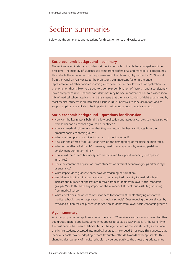### Section summaries

Below are the summaries and questions for discussion for each diversity section.

#### **Socio-economic background – summary**

The socio-economic status of students at medical schools in the UK has changed very little over time. The majority of students still come from professional and managerial backgrounds. This reflects the situation across the professions in the UK as highlighted in the 2009 report from the Panel on Fair Access to the Professions. An important factor in the underrepresentation of other socio-economic groups seems to be their low rates of application – a phenomenon that is likely to be due to a complex combination of factors – and a consistently lower acceptance rate. Financial considerations may be one important barrier to a wider social mix of medical school applicants and this means that the heavy burden of debt experienced by most medical students is an increasingly serious issue. Initiatives to raise aspirations and to support applicants are likely to be important in widening access to medical school.

#### **Socio-economic background – questions for discussion**

- How can the key reasons behind the low application and acceptance rates to medical school from lower socio-economic groups be identified?
- How can medical schools ensure that they are getting the best candidates from the broadest socio-economic groups?
- What are the options for widening access to medical school?
- How can the effect of top-up tuition fees on the demography of medicine be monitored?
- What is the effect of students' increasing need to manage debt by seeking part-time employment during term time?
- How could the current bursary system be improved to support widening participation initiatives?
- Does the content of applications from students of different economic groups differ in style or substance?
- What impact does graduate entry have on widening participation?
- Would lowering the minimum academic criteria required for entry to medical school increase the number of applications received from students from lower socio-economic groups? Would this have any impact on the number of students successfully graduating from medical school?
- What effect does the absence of tuition fees for Scottish students studying at Scottish medical schools have on applications to medical schools? Does reducing the overall cost by removing tuition fees help encourage Scottish students from lower socio-economic groups?

#### **Age – summary**

A higher proportion of applicants under the age of 21 receive acceptances compared to other age groups; mature applicants sometimes appear to be at a disadvantage. At the same time, the past decade has seen a definite shift in the age pattern of medical students, so that about one in five students accepted into medical degrees is now aged 21 or over. This suggests that medical schools may be adopting a more favourable attitude towards older applicants. This changing demography of medical schools may be due partly to the effect of graduate-entry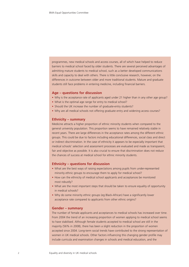programmes, new medical schools and access courses, all of which have helped to reduce barriers to medical school faced by older students. There are several perceived advantages of admitting mature students to medical school, such as a better developed communications skills and capacity to deal with others. There is little conclusive research, however, on the differences in outcome between older and more traditional students. Mature and graduate students still face problems in entering medicine, including financial barriers.

#### **Age – questions for discussion**

- Why is the acceptance rate of applicants aged under 21 higher than in any other age group?
- What is the optimal age range for entry to medical school?
- Should the UK increase the number of graduate-entry students?
- Why are all medical schools not offering graduate entry and widening access courses?

#### **Ethnicity – summary**

Medicine attracts a higher proportion of ethnic minority students when compared to the general university population. This proportion seems to have remained relatively stable in recent years. There are large differences in the acceptance rates among the different ethnic groups. This could be due to factors including educational differences, social class and direct or indirect discrimination. In the case of ethnicity it appears to be especially important that medical schools' selection and assessment processes are evaluated and made as transparent, fair and objective as possible. It is also crucial to ensure that discrimination does not reduce the chances of success at medical school for ethnic minority students.

#### **Ethnicity – questions for discussion**

- What are the best ways of raising expectations among pupils from under-represented minority ethnic groups to encourage them to apply for medical school?
- How can the ethnicity of medical school applicants and acceptances be monitored most robustly?
- What are the most important steps that should be taken to ensure equality of opportunity in medical schools?
- Why do some minority ethnic groups (eg Black-African) have a significantly lower acceptance rate compared to applicants from other ethnic origins?

#### **Gender – summary**

The number of female applicants and acceptances to medical schools has increased over time. From 2004 the trend of an increasing proportion of women applying to medical school seems to have stabilised. Although female students accepted to medical school are still in the majority (56% in 2008), there has been a slight reduction in the proportion of women accepted since 2004. Long-term social trends have contributed to the strong representation of women in UK medical schools. Other factors influencing this changing gender profile may include curricula and examination changes in schools and medical education, and the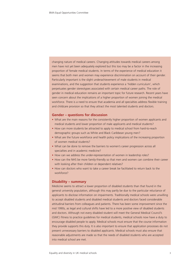changing nature of medical careers. Changing attitudes towards medical careers among men have not yet been adequately explored but this too may be a factor in the increasing proportion of female medical students. In terms of the experience of medical education it seems that both men and women may experience discrimination on account of their gender. Particularly important is the slight underachievement of male students in medical examinations, and the suggestion that students experience a 'hidden curriculum', which perpetuates gender stereotypes associated with certain medical career paths. The role of gender in medical education remains an important topic for future research. Recent years have seen concern about the implications of a higher proportion of women joining the medical workforce. There is a need to ensure that academia and all specialties address flexible training and childcare provision so that they attract the most talented students and doctors.

#### **Gender – questions for discussion**

- What are the main reasons for the consistently higher proportion of women applicants and medical students and lower proportion of male applicants and medical students?
- How can more students be attracted to apply to medical school from hard-to-reach demographic groups such as White and Black Caribbean young men?
- What are the future workforce and health policy implications of the increasing proportion of women medical students?
- What can be done to remove the barriers to women's career progression across all specialties and in academic medicine?
- How can we address the under-representation of women in leadership roles?
- How can the NHS be more family-friendly so that men and women can combine their career with looking after their children or dependent relatives?
- How can doctors who want to take a career break be facilitated to return back to the workforce?

#### **Disability – summary**

Medicine seems to attract a lower proportion of disabled students than that found in the general university population, although this may partly be due to the particular reluctance of applicants to disclose information on impairments. Traditionally medical schools were unwilling to accept disabled students and disabled medical students and doctors faced considerable attitudinal barriers from colleagues and patients. There has been some improvement since the mid 1990s, as legal and cultural shifts have led to a more positive view of disabled students and doctors. Although not every disabled student will meet the General Medical Council's (GMC) fitness to practice guidelines for medical students, medical schools now have a duty to encourage disabled people to apply. Medical schools must ensure that the course information they provide supports this duty. It is also important to ensure that application processes do not present unnecessary barriers to disabled applicants. Medical schools must also ensure that reasonable adjustments are made so that the needs of disabled students who are accepted into medical school are met.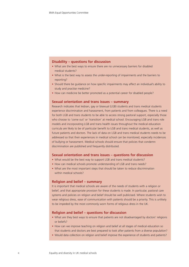#### **Disability – questions for discussion**

- What are the best ways to ensure there are no unnecessary barriers for disabled medical students?
- What is the best way to assess the under-reporting of impairments and the barriers to reporting?
- Should there be guidance on how specific impairments may affect an individual's ability to study and practise medicine?
- How can medicine be better promoted as a potential career for disabled people?

#### **Sexual orientation and trans issues – summary**

Research indicates that lesbian, gay or bisexual (LGB) students and trans medical students experience discrimination and harassment, from patients and from colleagues. There is a need for both LGB and trans students to be able to access strong pastoral support, especially those who choose to 'come out' or 'transition' at medical school. Encouraging LGB and trans role models and incorporating LGB and trans health issues throughout the medical education curricula are likely to be of particular benefit to LGB and trans medical students, as well as future patients and doctors. The lack of data on LGB and trans medical students needs to be addressed so that their experiences in medical school can be monitored, especially incidences of bullying or harassment. Medical schools should ensure that policies that condemn discrimination are published and frequently distributed.

#### **Sexual orientation and trans issues – questions for discussion**

- What would be the best way to support LGB and trans medical students?
- How can medical schools promote understanding of LGB and trans needs?
- What are the most important steps that should be taken to reduce discrimination within medical schools?

#### **Religion and belief – summary**

It is important that medical schools are aware of the needs of students with a religion or belief, and that appropriate provision for these students is made. In particular, pastoral care systems and policies on religion and belief should be well publicised. Where students wish to wear religious dress, ease of communication with patients should be a priority. This is unlikely to be impeded by the most commonly worn forms of religious dress in the UK.

#### **Religion and belief – questions for discussion**

- What are they best ways to ensure that patients are not disadvantaged by doctors' religions or beliefs?
- How can we improve teaching on religion and belief at all stages of medical education so that students and doctors are best prepared to look after patients from a diverse population?
- Would data collection on religion and belief improve the experience of students and patients?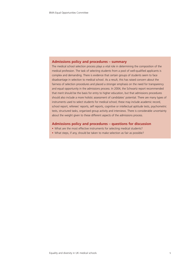#### **Admissions policy and procedures – summary**

The medical school selection process plays a vital role in determining the composition of the medical profession. The task of selecting students from a pool of well-qualified applicants is complex and demanding. There is evidence that certain groups of students seem to face disadvantage in selection to medical school. As a result, this has raised concern about the fairness of selection procedures and placed a stronger emphasis on the need for transparency and equal opportunity in the admissions process. In 2004, the Schwartz report recommended that merit should be the basis for entry to higher education, but that admissions procedures should also include a more holistic assessment of candidates' potential. There are many types of instruments used to select students for medical school; these may include academic record, school report, referees' reports, self reports, cognitive or intellectual aptitude tests, psychometric tests, structured tasks, organised group activity and interviews. There is considerable uncertainty about the weight given to these different aspects of the admissions process.

#### **Admissions policy and procedures – questions for discussion**

- What are the most effective instruments for selecting medical students?
- What steps, if any, should be taken to make selection as fair as possible?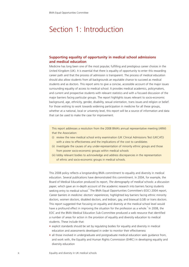### Section 1: Introduction

#### **Supporting equality of opportunity in medical school admissions and medical education**

Medicine has long been one of the most popular, fulfilling and prestigious career choices in the United Kingdom (UK). It is essential that there is equality of opportunity to enter this rewarding career path and that the process of admission is transparent. The process of medical education should also allow students from all backgrounds an equitable chance to succeed as medical students and as doctors. This report aims to give a concise, accessible account of the major issues surrounding equality of access to medical school. It provides medical academics, policymakers, and current and prospective students with relevant statistics and with a focused discussion of the major barriers facing particular groups. The report highlights issues relevant to socio-economic background, age, ethnicity, gender, disability, sexual orientation, trans issues and religion or belief. For those wishing to work towards widening participation in medicine for all these groups, whether at a national, local or university level, this report will be a source of information and data that can be used to make the case for improvement.

This report addresses a resolution from the 2008 BMA's annual representative meeting (ARM) that the Association:

- (i) review the new medical school entry examination (UK Clinical Admissions Test (UKCAT)) with a view to effectiveness and the implications of the cost to candidates
- (ii) investigate the causes of any under-representation of minority ethnic groups and those from poorer socio-economic groups within medical schools
- (iii) lobby relevant bodies to acknowledge and address discrepancies in the representation of ethnic and socio-economic groups in medical schools.

This 2008 policy reflects a longstanding BMA commitment to equality and diversity in medical education. Several publications have demonstrated this commitment. In 2004, for example, the Board of Medical Education produced its report, *The demography of medical* schools*: a discussion paper*, which gave an in-depth account of the academic research into barriers facing students seeking entry to medical school.<sup>2</sup> The BMA Equal Opportunities Committee's (EOC) 2004 report, *Career barriers in medicine: doctors' experiences,* highlighted key barriers facing ethnic minority doctors, women doctors, disabled doctors, and lesbian, gay, and bisexual (LGB) or trans doctors. This report suggested that focusing on equality and diversity at the medical school level would have a profound effect in improving the situation for the profession as a whole.<sup>3</sup> In 2008, the EOC and the BMA Medical Education Sub-Committee produced a web resource that identified a number of areas for action in the provision of equality and diversity education to medical students. These include that:

- explicit standards should be set by regulating bodies for equality and diversity in medical education and assessments developed in order to monitor their effectiveness
- all those involved in undergraduate and postgraduate medical education seek guidance from, and work with, the Equality and Human Rights Commission (EHRC) in developing equality and diversity education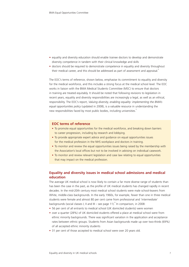- equality and diversity education should enable trainee doctors to develop and demonstrate diversity competence in tandem with their clinical knowledge and skills
- doctors should be required to demonstrate competence in equality and diversity throughout their medical career, and this should be addressed as part of assessment and appraisal.<sup>4</sup>

The EOC's terms of reference, shown below, emphasise its commitment to equality and diversity for the medical workforce, and this includes a strong focus at the medical school level. The EOC works in liaison with the BMA Medical Students Committee (MSC) to ensure that doctors in training are treated equitably. It should be noted that following revisions to legislation in recent years, equality and diversity responsibilities are increasingly a legal, as well as an ethical, responsibility. The EOC's report, *Valuing diversity, enabling equality: implementing the BMA's equal opportunities policy* (updated in 2008), is a valuable resource in understanding the new responsibilities faced by most public bodies, including universities.<sup>5</sup>

#### **EOC terms of reference**

- To promote equal opportunities for the medical workforce, and breaking down barriers to career progression, including by research and lobbying.
- To provide appropriate expert advice and guidance on equal opportunities issues for the medical profession in the NHS workplace and doctors in training.
- To monitor and review the equal opportunities issues being raised by the membership with the Association's local offices but not to be involved in advising on individual casework.
- To monitor and review relevant legislation and case law relating to equal opportunities that may impact on the medical profession.

#### **Equality and diversity issues in medical school admissions and medical education**

The average UK medical school is now likely to contain a far more diverse range of students than has been the case in the past, as the profile of UK medical students has changed rapidly in recent decades. In the mid-20th century most medical school students were male school-leavers from White, middle-class backgrounds. In the early 1960s, for example, fewer than one in three medical students were female and almost 80 per cent came from professional and 'intermediate' backgrounds (social classes I, II and III – see page 11). <sup>6</sup> In comparison, in 2008:

- 56 per cent of all entrants to medical school (UK domiciled students) were women
- over a quarter (28%) of UK domiciled students offered a place at medical school were from ethnic minority backgrounds. There was significant variation in the application and acceptance rates between ethnic groups. Students from Asian backgrounds made up over two-thirds (69%) of all accepted ethnic minority students
- 31 per cent of those accepted to medical school were over 20 years old.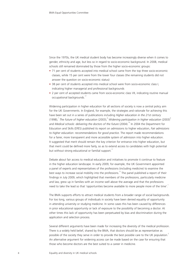Since the 1970s, the UK medical student body has become increasingly diverse when it comes to gender, ethnicity and age, but less so in regard to socio-economic background. In 2008, medical schools still remained dominated by those from the higher socio-economic groups:

- 71 per cent of students accepted into medical school came from the top three socio-economic classes, while 15 per cent were from the lower four classes (the remaining students did not answer the question on socio-economic status)
- 38 per cent of students accepted into medical school were from socio-economic class I, indicating higher managerial and professional backgrounds
- 2 per cent of accepted students came from socio-economic class VII, indicating routine manual occupational backgrounds.<sup>17</sup>

Widening participation in higher education for all sections of society is now a central policy aim for the UK Governments. In England, for example, the strategies and rationale for achieving this have been set out in a series of publications including *Higher education in the 21st century* (1998),<sup>7</sup> The future of higher education (2003),<sup>8</sup> Widening participation in higher education (2003)<sup>s</sup> and *Medical schools: delivering the doctors of the future* (2004).<sup>10</sup> In 2004 the Department for Education and Skills (DfES) published its report on admissions to higher education, *Fair admissions to higher education: recommendations for good practice*. The report made recommendations for a fairer, more transparent and more accessible system of admission into higher education. It suggested that merit should remain the key criterion for entrance into higher education, but that merit could be defined more fairly, so as to extend access to candidates with high potential but without strong educational or familial support.<sup>11</sup>

Debate about fair access to medical education and initiatives to promote it continue to feature in the higher education landscape. In early 2009, for example, the UK Government appointed a panel of experts and representatives of the professions (including medicine) to examine the best ways to increase social mobility into the professions.<sup>12</sup> The panel published a report of their findings in July 2009, which highlighted that members of the professions, particularly medicine and law, grew up in families with an income well above the average and that the professions need to take the lead so that 'opportunities become available to more people more of the time'.<sup>1</sup>

The BMA supports efforts to attract medical students from a broader range of social backgrounds. For too long, various groups of individuals in society have been denied equality of opportunity in attending university or studying medicine. In some cases this has been caused by differences in prior educational opportunity or lack of exposure to the possibility of becoming a doctor. At other times this lack of opportunity has been perpetuated by bias and discrimination during the application and selection process.

Several different arguments have been made for increasing the diversity of the medical profession. There is a widely held belief, shared by the BMA, that doctors should be as representative as possible of the society they serve in order to provide the best possible care to the UK population.<sup>2</sup> An alternative argument for widening access can be made based on the case for ensuring that those who become doctors are the best suited to a career in medicine.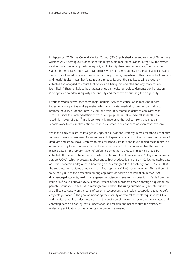In September 2009, the General Medical Council (GMC) published a revised version of *Tomorrow's Doctors (2003)* setting out standards for undergraduate medical education in the UK. The revised version has a greater emphasis on equality and diversity than previous versions, $13$  in particular stating that medical schools 'will have policies which are aimed at ensuring that all applicants and students are treated fairly and have equality of opportunity, regardless of their diverse backgrounds and needs'. It also states that 'data relating to equality and diversity issues will be routinely collected and analysed to ensure that policies are being implemented and any concerns are identified'.<sup>14</sup> There is likely to be a greater onus on medical schools to demonstrate that action is being taken to address equality and diversity and that they are fulfilling their legal duty.

Efforts to widen access, face some major barriers. Access to education in medicine is both increasingly competitive and expensive, which complicates medical schools' responsibility to promote equality of opportunity. In 2008, the ratio of accepted students to applicants was 1 to 2.1. Since the implementation of variable top-up fees in 2006, medical students have faced high levels of debt.<sup>15</sup> In this context, it is imperative that policymakers and medical schools work to ensure that entrance to medical school does not become even more exclusive.

While the body of research into gender, age, social class and ethnicity in medical schools continues to grow, there is a clear need for more research. Papers on age and on the comparative success of graduate and school-leaver entrants to medical schools are rare and in examining these topics it is often necessary to rely on research conducted internationally. It is also imperative that valid and reliable data on the representation of different demographic groups in medical schools be collected. This report is based substantially on data from the Universities and Colleges Admissions Service (UCAS), which processes applications to higher education in the UK. Collecting usable data on socio-economic background is becoming an increasingly difficult challenge for UCAS. In 2008, the socio-economic status of nearly one in five applicants (17%) was unrecorded. This is thought to be partly due to the perception among applicants of positive discrimination in favour of disadvantaged students, leading to a general reluctance to answer this question.<sup>16</sup> Aside from the issue of refusals to answer, UCAS's measurement of socio-economic status through a question on parental occupation is seen as increasingly problematic. The rising numbers of graduate students are difficult to classify on the basis of parental occupation, and modern occupations tend to defy easy categorisation.<sup>17</sup> The goal of increasing the diversity of medical students requires that UCAS and medical schools conduct research into the best way of measuring socio-economic status, and collecting data on disability, sexual orientation and religion and belief so that the efficacy of widening participation programmes can be properly evaluated.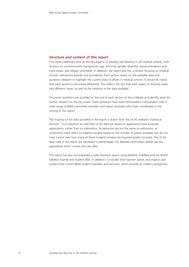#### **Structure and content of this report**

This report addresses each of the key aspects of equality and diversity in UK medical schools, with sections on socio-economic background, age, ethnicity, gender, disability, sexual orientation and trans issues, and religion and belief. In addition, the report also has a section focusing on medical schools' admissions policies and procedures. Each section draws on the available data and academic research to highlight the current state of affairs in medical schools. It should be noted that each section is structured differently. This reflects the fact that each aspect of diversity raises very different issues, as well as the variation in the data available.

Discussion questions are provided at the end of each section to focus debate and identify areas for further research on the key issues. These questions have been formulated in consultation with a wide range of BMA committee members and expert reviewers who have contributed to the writing of this report.

The majority of the data provided in the report is drawn from the UCAS website's Statistical Services.<sup>17</sup> It is important to note that UCAS data are based on applications and accepted applications, rather than on admissions. Acceptances are not the same as admissions, as universities make offers to students roughly based on the number of places available, but do not have control over how many of these students achieve the required grades for entry. The UCAS data used in the report are expressed in percentages. For detailed information please see the appendices which contain the raw data.

The report has also encompassed a wide literature search using Medline, PubMed and the *British Medical Journal* and *Student BMJ*. In addition, it includes short opinion pieces and original case studies from current BMA student members and lecturers, which provide an insider's perspective.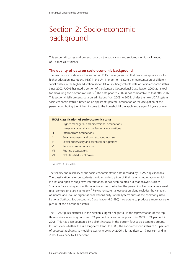## Section 2: Socio-economic background

This section discusses and presents data on the social class and socio-economic background of UK medical students.

#### **The quality of data on socio-economic background**

The main source of data for this section is UCAS, the organisation that processes applications to higher education institutions (HEIs) in the UK. In order to measure the representation of different social classes in the higher education sector, UCAS routinely collects data on socio-economic status. Since 2002, UCAS has used a version of the Standard Occupational Classification 2000 as its tool for measuring socio-economic status.<sup>17</sup> The data prior to 2002 is not comparable to that after 2002. This section chiefly presents data on admissions from 2003 to 2008. Under the new UCAS system, socio-economic status is based on an applicant's parental occupation or the occupation of the person contributing the highest income to the household if the applicant is aged 21 years or over.

#### **UCAS classification of socio-economic status**

- I Higher managerial and professional occupations
- II Lower managerial and professional occupations
- III Intermediate occupations
- IV Small employers and own account workers
- V Lower supervisory and technical occupations
- VI Semi-routine occupations
- VII Routine occupations
- VIII Not classified unknown

Source: UCAS 2009

The validity and reliability of the socio-economic status data recorded by UCAS is questionable. The classification relies on students providing a description of their parents' occupation, which is brief and open to subjective interpretation. It has been pointed out that answers such as 'manager' are ambiguous, with no indication as to whether the person involved manages a small retail venture or a large company.<sup>18</sup> Relying on parental occupation alone excludes the variables of income and level of organisational responsibility, which systems such as the commonly used National Statistics Socio-economic Classification (NS-SEC) incorporate to produce a more accurate picture of socio-economic status.

The UCAS figures discussed in this section suggest a slight fall in the representation of the top three socio-economic groups from 74 per cent of accepted applicants in 2003 to 71 per cent in 2008. This has been countered by a slight increase in the bottom four socio-economic groups.<sup>17</sup> It is not clear whether this is a long-term trend. In 2003, the socio-economic status of 13 per cent of accepted applicants to medicine was unknown; by 2006 this had risen to 17 per cent and in 2008 it was back to 13 per cent.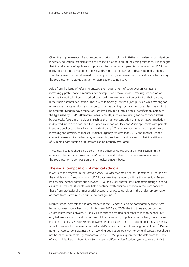Given the high relevance of socio-economic status to political initiatives on widening participation in tertiary education, problems with the collection of data are of increasing relevance. It is thought that the reluctance of applicants to provide information about parental occupation to UCAS has partly arisen from a perception of positive discrimination in favour of disadvantaged students.<sup>16</sup> This clearly needs to be addressed, for example through improved communications or by making the socio-economic status question on applications compulsory.

Aside from the issue of refusal to answer, the measurement of socio-economic status is increasingly problematic. Graduates, for example, who make up an increasing proportion of entrants to medical school, are asked to record their own occupation or that of their partner, rather than parental occupation. Those with temporary, low-paid jobs pursued while waiting for university entrance results may thus be counted as coming from a lower social class than might be accurate. Modern-day occupations are less likely to fit into a simple classification system of the type used by UCAS. Alternative measurements, such as evaluating socio-economic status by postcode, face similar problems, such as the high concentration of student accommodation in deprived inner-city areas, and the higher likelihood of Black and Asian applicants with parents in professional occupations living in deprived areas.<sup>16</sup> The widely acknowledged importance of increasing the diversity of medical students urgently requires that UCAS and medical schools conduct research into the best way of measuring socio-economic status, so that the efficacy of widening participation programmes can be properly evaluated.

These qualifications should be borne in mind when using the analysis in this section. In the absence of better data, however, UCAS records are still able to provide a useful overview of the socio-economic composition of the medical student body.

#### **The social composition of medical schools**

It was recently asserted in the *British Medical Journal* that medicine has 'remained in the grip of the middle class',<sup>19</sup> and analysis of UCAS data over the decades confirms this assertion. Research into medical school admissions between 1956 and 2001 shows 'little systematic change in social class of UK medical students over half a century', with minimal variation in the dominance of those from professional or managerial occupational backgrounds or in the under-representation of those from partly skilled or unskilled backgrounds.<sup>18</sup>

Medical school admissions and acceptances in the UK continue to be dominated by those from higher socio-economic backgrounds. Between 2003 and 2008, the top three socio-economic classes represented between 71 and 74 per cent of accepted applicants to medical school, but only between about 52 and 55 per cent of the UK working population. In contrast, lower socioeconomic classes have represented between 14 and 15 per cent of accepted applicants to medical school, compared to between about 44 and 45 per cent of the UK working population.<sup>17, 20</sup> Please note that comparisons against the UK working population are given for general context, but should not be relied upon as closely comparable to the UCAS figures, given that the data from the Office of National Statistics' Labour Force Survey uses a different classification system to that of UCAS.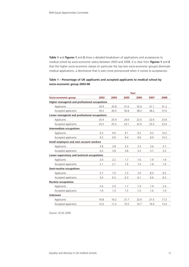**Table 1** and **figures 1** and **2** show a detailed breakdown of applications and acceptances to medical school by socio-economic status between 2003 and 2008. It is clear from **figures 1** and **2** that the higher socio-economic classes (in particular the top two socio-economic groups) dominate medical applications, a dominance that is even more pronounced when it comes to acceptances.

#### **Table 1 – Percentage of UK applicants and accepted applicants to medical school by socio-economic group 2003-08**

|                                                |      |      |      | Year |      |      |
|------------------------------------------------|------|------|------|------|------|------|
| Socio-economic group                           | 2003 | 2004 | 2005 | 2006 | 2007 | 2008 |
| Higher managerial and professional occupations |      |      |      |      |      |      |
| Applicants                                     | 34.9 | 33.8 | 31.0 | 32.0 | 31.1 | 31.2 |
| Accepted applicants                            | 39.2 | 40.0 | 36.8 | 38.3 | 38.2 | 37.6 |
| Lower managerial and professional occupations  |      |      |      |      |      |      |
| Applicants                                     | 25.4 | 25.4 | 24.0 | 22.5 | 22.6 | 23.8 |
| Accepted applicants                            | 25.5 | 25.5 | 24.1 | 22.9 | 23.2 | 23.4 |
| Intermediate occupations                       |      |      |      |      |      |      |
| Applicants                                     | 9.3  | 9.6  | 9.1  | 9.2  | 9.2  | 10.2 |
| Accepted applicants                            | 9.2  | 9.6  | 9.4  | 9.6  | 8.9  | 10.3 |
| Small employers and own account workers        |      |      |      |      |      |      |
| Applicants                                     | 3.8  | 3.8  | 3.5  | 3.3  | 3.6  | 3.7  |
| Accepted applicants                            | 4.2  | 3.8  | 3.8  | 3.3  | 3.7  | 3.2  |
| Lower supervisory and technical occupations    |      |      |      |      |      |      |
| Applicants                                     | 2.0  | 2.2  | 1.7  | 1.6  | 1.9  | 1.9  |
| Accepted applicants                            | 2.1  | 2.1  | 1.6  | 1.6  | 1.8  | 1.9  |
| <b>Semi-routine occupations</b>                |      |      |      |      |      |      |
| Applicants                                     | 5.7  | 7.0  | 7.3  | 7.0  | 8.3  | 9.5  |
| Accepted applicants                            | 5.4  | 6.2  | 6.3  | 6.1  | 6.6  | 8.3  |
| <b>Routine occupations</b>                     |      |      |      |      |      |      |
| Applicants                                     | 2.0  | 2.0  | 1.7  | 1.9  | 1.9  | 2.4  |
| Accepted applicants                            | 1.9  | 1.5  | 1.5  | 1.5  | 1.6  | 1.9  |
| <b>Unknown</b>                                 |      |      |      |      |      |      |
| Applicants                                     | 16.8 | 16.2 | 21.7 | 22.4 | 21.5 | 17.2 |
| Accepted applicants                            | 12.6 | 11.2 | 16.5 | 16.7 | 16.0 | 13.4 |

Source: UCAS 2009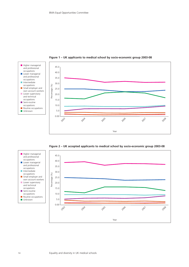

**Figure 1 – UK applicants to medical school by socio-economic group 2003-08**



**Figure 2 – UK accepted applicants to medical school by socio-economic group 2003-08**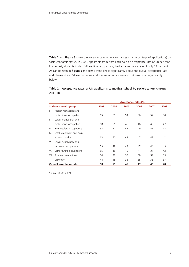**Table 2** and **figure 3** show the acceptance rate (ie acceptances as a percentage of applications) by socio-economic status. In 2008, applicants from class I achieved an acceptance rate of 58 per cent. In contrast, students in class VII, routine occupations, had an acceptance rate of only 39 per cent. As can be seen in **figure 3** the class I trend line is significantly above the overall acceptance rate and classes VI and VII (semi-routine and routine occupations) and unknowns fall significantly below.

#### **Table 2 – Acceptance rates of UK applicants to medical school by socio-economic group 2003-08**

|                          |                          | Acceptance rates (%) |      |      |      |      |      |
|--------------------------|--------------------------|----------------------|------|------|------|------|------|
| Socio-economic group     |                          | 2003                 | 2004 | 2005 | 2006 | 2007 | 2008 |
| L.                       | Higher managerial and    |                      |      |      |      |      |      |
|                          | professional occupations | 65                   | 60   | 54   | 56   | 57   | 58   |
| $\mathbb{H}$ .           | Lower managerial and     |                      |      |      |      |      |      |
|                          | professional occupations | 58                   | 51   | 46   | 48   | 48   | 47   |
| III.                     | Intermediate occupations | 58                   | 51   | 47   | 49   | 45   | 48   |
| IV.                      | Small employers and own  |                      |      |      |      |      |      |
|                          | account workers          | 63                   | 50   | 49   | 47   | 48   | 42   |
| V.                       | Lower supervisory and    |                      |      |      |      |      |      |
|                          | technical occupations    | 59                   | 49   | 44   | 47   | 44   | 49   |
| VI.                      | Semi-routine occupations | 55                   | 45   | 40   | 41   | 37   | 42   |
| VII.                     | Routine occupations      | 54                   | 39   | 38   | 38   | 39   | 39   |
|                          | Unknown                  | 44                   | 35   | 35   | 35   | 35   | 37   |
| Overall acceptance rates |                          | 58                   | 51   | 45   | 47   | 46   | 48   |

Source: UCAS 2009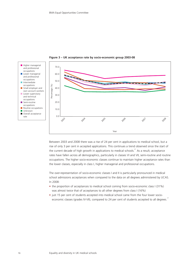

**Figure 3 – UK acceptance rate by socio-economic group 2003-08**

Between 2003 and 2008 there was a rise of 24 per cent in applications to medical school, but a rise of only 3 per cent in accepted applications. This continues a trend observed since the start of the current decade of high growth in applications to medical schools.<sup>21</sup> As a result, acceptance rates have fallen across all demographics, particularly in classes VI and VII, semi-routine and routine occupations. The higher socio-economic classes continue to maintain higher acceptance rates than the lower classes, especially in class I, higher managerial and professional occupations.

The over-representation of socio-economic classes I and II is particularly pronounced in medical school admissions acceptances when compared to the data on all degrees administered by UCAS. In 2008:

- the proportion of acceptances to medical school coming from socio-economic class I (31%) was almost twice that of acceptances to all other degrees from class I (16%)
- just 15 per cent of students accepted into medical school came from the four lower socioeconomic classes (grades IV-VII), compared to 24 per cent of students accepted to all degrees.<sup>17</sup>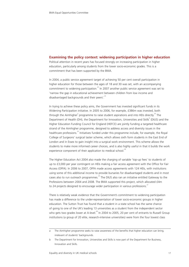#### **Examining the policy context: widening participation in higher education**

Political attention in recent years has focused strongly on increasing participation in higher education, particularly among students from the lower socio-economic grades. This is a commitment that has been supported by the BMA.

In 2004, a public service agreement target of achieving 50 per cent overall participation in higher education for those between the ages of 18 and 30 was set, with an accompanying commitment to widening participation.<sup>22</sup> In 2007 another public service agreement was set to 'narrow the gap in educational achievement between children from low income and disadvantaged backgrounds and their peers'.<sup>23</sup>

In trying to achieve these policy aims, the Government has invested significant funds in its Widening Participation initiative. In 2005 to 2006, for example, £386m was invested, both through the Aimhigher<sup>®</sup> programme to raise student aspirations and into HEIs directly.<sup>24</sup> The Department of Health (DH), the Department for Innovation, Universities and Skills (DIUS) and the Higher Education Funding Council for England (HEFCE) are jointly funding a targeted healthcare strand of the Aimhigher programme, designed to address access and diversity issues in the healthcare professions.<sup>25</sup> Initiatives funded under this programme include, for example, the Royal College of Surgeons' surgical taster scheme, which allows sixth form students in the East End of London and in Essex to gain insight into a surgical work environment. This scheme allows the students to make more informed career choices, and is also highly useful in that it builds the work experience component of their application to medical school.<sup>26</sup>

The Higher Education Act 2004 also made the charging of variable 'top-up fees' to students of up to £3,000 per year contingent on HEIs making a fair access agreement with the Office for Fair Access (OFFA). In 2006 to 2007, OFFA made access agreements with 124 HEIs, with institutions using some of this additional income to provide bursaries for disadvantaged students and in most cases also to run outreach programmes.<sup>24</sup> The DIUS also ran an initiative entitled Gateway to the Professions between 2004 and 2008. The BMA supported this project, which allocated £4m to 24 projects designed to encourage wider participation in various professions.<sup>27</sup>

There is relatively weak evidence that the Government's commitment to widening participation has made a difference to the under-representation of lower socio-economic groups in higher education. The Sutton Trust has found that a student in a state school has the same chance of going to one of the UK's leading 13 universities as a student from the independent sector who gets two grades lower at A-level.<sup>28</sup> In 2004 to 2005, 20 per cent of entrants to Russell Group institutions (a group of 20 elite, research-intensive universities) were from the four lowest class

a The Aimhigher programme seeks to raise awareness of the benefits that higher education can bring, irrelevant of students' backgrounds.

b The Department for Innovation, Universities and Skills is now part of the Department for Business, Innovation and Skills.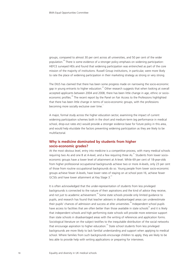groups, compared to almost 30 per cent across all universities, and 50 per cent of the wider population.<sup>29</sup> There is some evidence of a stronger policy emphasis on widening participation: HEFCE surveyed HEIs and found that widening participation was entrenched as part of the core mission of the majority of institutions. Russell Group institutions, in particular, were more likely to rate the place of widening participation in their marketing strategy as strong or very strong.

The DIUS has claimed that there has been some progress made on narrowing the socio-economic gap in young entrants to higher education.<sup>23</sup> Other research suggests that when looking at overall accepted applicants between 2004 and 2008, there has been little change in age, ethnic or socioeconomic profiles.<sup>30</sup> The recent report by the Panel on Fair Access to the Professions highlighted that there has been little change in terms of socio-economic groups, with the professions becoming more socially exclusive over time.<sup>1</sup>

A major, formal study across the higher education sector, examining the impact of current widening participation schemes both in the short and medium-term (eg performance in medical school, drop-out rates etc) would provide a stronger evidence base for future policy in this area, and would help elucidate the factors preventing widening participation as they are likely to be multifactorial.

#### **Why is medicine dominated by students from higher socio-economic grades?**

At the most obvious level, entry into medicine is a competitive process, with many medical schools requiring two As and one B at A-level, and a few requiring three  $\text{As}^{31}$  Students from lower socioeconomic groups have a lower level of attainment at A-level. While 69 per cent of 18-year-olds from higher professional occupational backgrounds achieve two or more A-levels, only 23 per cent of those from routine occupational backgrounds do so. Young people from lower socio-economic groups achieve fewer A-levels, have lower rates of staying on at school post-16, achieve fewer GCSEs and have lower attainment at Key Stage 3.<sup>21</sup>

It is often acknowledged that the under-representation of students from less privileged backgrounds is connected to the nature of their aspirations and the kind of advice they receive, and not just to academic achievement. $^{29}$  Some state schools provide only limited guidance to pupils, and research has found that teacher advisers in disadvantaged areas can underestimate their pupils' chances of admission and success at elite universities.<sup>29</sup> Independent school pupils have access to facilities that are often better than those available in state schools<sup>32</sup> and it is likely that independent schools and high performing state schools will provide more extensive support than state schools in disadvantaged areas with the writing of references and application forms. Sociological literature on the subject testifies to the inequitable distribution of the social networks that encourage aspiration to higher education.<sup>33</sup> State school students from less privileged backgrounds are more likely to lack familial understanding and support when applying to medical school. Where families from such backgrounds encourage children to apply, they are likely to be less able to provide help with writing applications or preparing for interviews.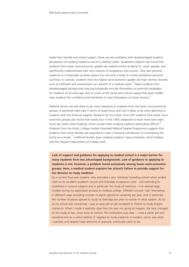Aside from familial and school support, there are also problems with disadvantaged students' perceptions of studying medicine and of a medical career. Qualitative research has found that students from lower socio-economic grades see medical school as being for 'posh' people, and significantly underestimate their own chances of acceptance and success. They also perceive medicine as a financially lucrative option, but one that is likely to involve prohibitive personal sacrifices. In contrast, students from the higher socio-economic grades cite high intrinsic rewards such as fulfilment and achievement as a benefit of a medical career.<sup>34</sup> Many students from disadvantaged backgrounds may psychologically exclude themselves as potential candidates for medicine at an early age, due to a lack of the social and cultural capital that gives middleclass students the confidence and familiarity to view themselves as future doctors.<sup>35</sup>

Material factors are also likely to be more important to students from the lower socio-economic groups. A perceived high load in terms of study hours and cost is likely to be more daunting to students with less financial support. Research by the Sutton Trust with students from lower socioeconomic groups also found that nearly four in five (78%) expected to work more than eight hours per week while studying, which would make studying medicine particularly difficult.<sup>36</sup> Evidence from the King's College London Extended Medical Degree Programme suggests that students from some families are expected to make a financial contribution to maintaining the family as a whole,<sup>35</sup> a difficult burden given medical students' heavy schedules, short holidays and the frequent requirement of holiday work.

**Lack of support and guidance for applying to medical school is a major barrier for many students from less advantaged backgrounds. Lack of guidance in applying to medicine is not, however, a problem found exclusively among lower socio-economic groups. Here, a medical student explains her school's failure to provide support for her decision to study medicine.**

As a current final-year student, who attended a very 'old-boys' boarding school which prided itself on its excellent academic record and Oxbridge acceptance rates – not extending to excellence in science subjects and in particular the study of medicine – I hit several large hurdles during my application process to medical college. Different schools 'rate' themselves in different ways including number of places gained at university per year, and in particular, the number of places gained to study at Oxbridge per year no matter in what subject. As far as my school was concerned, I was an easy bet to get accepted to Oxford to study English Literature. When I made it explicitly clear that this was not going to happen, the tack changed to the study of law, once more at Oxford. The motivation was clear – I was a clever girl and would be lost as a useful statistic if I applied to study medicine in London, which was what I wanted, and despite huge amounts of pressure, eventually came to do.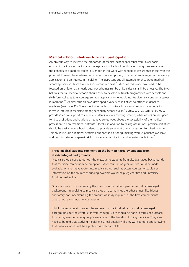#### **Medical school initiatives to widen participation**

An obvious way to increase the proportion of medical school applicants from lower socioeconomic backgrounds is to raise the aspirations of school pupils by ensuring they are aware of the benefits of a medical career. It is important to work with schools to ensure that those with the potential to meet the academic requirements are supported, in order to encourage both university application and an interest in medicine. The BMA supports all attempts to encourage medical school applications from a wider socio-economic base. $37$  Much of this work may need to be focused on children at an early age, but schemes run by universities can still be effective. The BMA believes that all medical schools should seek to develop outreach programmes with schools and sixth form colleges to encourage suitable applicants who would not traditionally consider a career in medicine.<sup>38</sup> Medical schools have developed a variety of initiatives to attract students to medicine (see page 22). Some medical schools run outreach programmes in local schools to increase interest in medicine among secondary school pupils.<sup>39</sup> Some, such as summer schools, provide intensive support to capable students in low achieving schools, while others are designed to raise aspirations and challenge negative stereotypes about the accessibility of the medical profession to non-traditional entrants.<sup>40</sup> Ideally, in addition to raising aspirations, practical initiatives should be available to school students to provide some sort of compensation for disadvantage. This could include additional academic support and tutoring, making work experience available, and teaching students generic skills such as communication and interview technique.<sup>41, 42</sup>

#### **Three medical students comment on the barriers faced by students from disadvantaged backgrounds.**

Medical schools need to get out the message to students from disadvantaged backgrounds that medicine can actually be an option! More foundation year courses could be made available, or alternative routes into medical school such as access courses. Also, clearer information on the sources of funding available would help, eg charities and university funds as well as loans.

Financial strain is not necessarily the main issue that affects people from disadvantaged backgrounds in applying to medical school. It's sometimes the other things, like friends and family not understanding the amount of study required, or the time commitments, or just not having much encouragement.

I think there's a great move on the surface to attract individuals from disadvantaged backgrounds but the effort is far from enough. More should be done in terms of outreach to schools, ensuring young people are aware of the benefits of doing medicine. They also need to be told that studying medicine is a real possibility if they want to do it and knowing that finances would not be a problem is only part of this.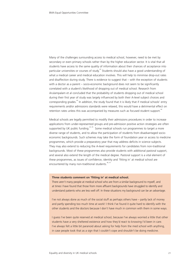Many of the challenges surrounding access to medical school, however, need to be met by secondary or even primary schools rather than by the higher education sector. It is vital that all students have access to the same quality of information about their chances of acceptance into particular universities or courses of study.<sup>43</sup> Students should also have a good understanding of what a medical career and medical education involves. This will help to minimise drop-out rates and disaffection during study. There is evidence to suggest that – with the exception of students with a doctor as a parent – socio-economic background does not seem to be significantly correlated with a student's likelihood of dropping out of medical school. Research from Arulampalam et al concluded that the probability of students dropping out of medical school during their first year of study was largely influenced by both their A-level subject choices and corresponding grades.<sup>44</sup> In addition, the study found that it is likely that if medical schools' entry requirements and/or admissions standards were relaxed, this would have a detrimental effect on retention rates unless this was accompanied by measures such as focused student support.<sup>44</sup>

Medical schools are legally permitted to modify their admissions procedures in order to increase applications from under-represented groups and pre-admission positive action strategies are often supported by UK public funding.<sup>24, 45</sup> Some medical schools run programmes to target a more diverse range of students, and to allow the participation of students from disadvantaged socioeconomic backgrounds. Such schemes may take the form of foundation year or access to medicine programmes, which provide a preparatory year that may address deficits in science subjects. They may also extend to reducing the A-level requirements for candidates from non-traditional backgrounds. Most of these programmes also provide students with additional pastoral support, and several also extend the length of the medical degree. Pastoral support is a vital element of these programmes, as issues of confidence, identity and 'fitting in' at medical school are encountered by many non-traditional students.<sup>46, 4</sup>

#### **Three students comment on 'fitting in' at medical school.**

There aren't many people at medical school who are from a similar background to myself, and at times I have found that those from more affluent backgrounds have struggled to identify and understand patients who are less well off. In these situations my background can be an advantage.

I've not always done as much of the social stuff as perhaps others have – partly lack of money and partly spending too much time at work! I think I've found it quite hard to identify with the other students and the doctors because I don't have much in common with them in some ways.

I guess I've been quite reserved at medical school, because I've always worried a little that other students have a very sheltered existence and how they'd react to knowing I'd been in care. I've always felt a little bit paranoid about asking for help from the med school with anything, in case people took that as a sign that I couldn't cope and shouldn't be doing medicine.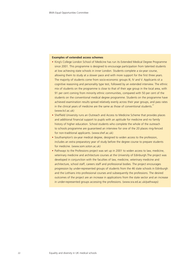#### **Examples of extended access schemes**

- King's College London School of Medicine has run its Extended Medical Degree Programme since 2001. This programme is designed to encourage participation from talented students at low achieving state schools in inner London. Students complete a six-year course, allowing them to study at a slower pace and with more support for the first three years. The majority of students come from socio-economic groups III, IV and V. Applicants sit a cognitive reasoning and personality type test, followed by an extended interview. The ethnic mix of students on the programme is close to that of their age group in the local area, with 91 per cent coming from minority ethnic communities, compared with 50 per cent of the students on the conventional medical degree programme. Students on the programme have achieved examination results spread relatively evenly across their year groups, and pass rates in the clinical years of medicine are the same as those of conventional students. $47$ (www.kcl.ac.uk)
- Sheffield University runs an Outreach and Access to Medicine Scheme that provides places and additional financial support to pupils with an aptitude for medicine and no family history of higher education. School students who complete the whole of the outreach to schools programme are guaranteed an interview for one of the 20 places ring-fenced for non-traditional applicants. (www.shef.ac.uk)
- Southampton's six-year medical degree, designed to widen access to the profession, includes an extra preparatory year of study before the degree course to prepare students for medicine. (www.som.soton.ac.uk)
- Pathways to the Professions project was set up in 2001 to widen access to law, medicine, veterinary medicine and architecture courses at the University of Edinburgh.The project was developed in conjunction with the faculties of law, medicine, veterinary medicine and architecture, school staff, careers staff and professional bodies. The project encourages progression by under-represented groups of students from the 46 state schools in Edinburgh and the Lothians into professional courses and subsequently the professions. The desired outcomes of the project are an increase in applications from the state sector and an increase in under-represented groups accessing the professions. (www.sra.ed.ac.uk/pathways)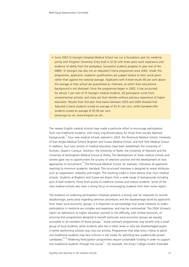• Since 2003 St George's Hospital Medical School has run a foundation year for medicine jointly with Kingston University. Entry level is GCSE with three years work experience and evidence of ability from the workplace. Successful students progress to year one of the MBBS. St George's has also run an Adjusted Criteria programme since 2002. Under this programme, applicants' academic qualifications are judged relative to their social peers rather than against the national average. Applicants with A-level results 60 per cent above the average at their school are guaranteed an interview, at which their educational background is not disclosed. Since the programme began in 2002, it has accounted for almost 7 per cent of St George's medical students. All participants come from comprehensive schools, and many are from families without previous experience of higher education. Results from first-year final exams between 2003 and 2006 showed that Adjusted Criteria students scored an average of 65.41 per cent, while standard-offer students scored an average of 65.69 per cent. (www.sgul.ac.uk; www.kingston.ac.uk).

The newest English medical schools have made a particular effort to encourage participation from non-traditional students, with many ring-fenced places for those from socially deprived backgrounds.<sup>56</sup> Four new medical schools opened in 2003: the Peninsula Medical School; University of East Anglia Medical School; Brighton and Sussex Medical School; and Hull York Medical School. In addition, four new centres of medical education have been established: the University of Durham, Queen's Campus, Stockton, the University of Keele, the University of Warwick and the University of Nottingham Medical School at Derby. The development of these medical schools and centres gave rise to opportunities for scrutiny of selection practice and the development of new approaches to recruitment.<sup>45</sup> The Peninsula Medical School, for example, interviews all applicants reaching its minimum academic standard. This structured interview is designed to reveal attributes such as cooperation, empathy and insight. The resulting intake is more diverse than most medical schools. Students at Brighton and Sussex are drawn from a wide range of backgrounds including post A-level students, those from access to medicine courses and mature students. Some of the new medical schools also have a strong focus on encouraging students from their home region.

The evidence on widening participation initiatives presents a strong case for measures to counter disadvantage, particularly regarding selection procedures and the disadvantage faced by applicants from lower socio-economic groups. It is important to acknowledge that some initiatives to widen participation in medicine are complex and expensive, and may be controversial. The 2004 Schwartz report on admissions to higher education pointed to the difficulty, with limited resources, of ensuring that programmes designed to benefit particular socio-economic groups are equally accessible to all members of those groups.<sup>11</sup> Some outreach programmes may benefit only a small group of local students, while students who live in other areas or who are disadvantaged pupils in better performing schools may miss out entirely. Programmes that relax entry criteria to admit non-traditional students may face criticism in the media for admitting less academically proven candidates.<sup>48, 49</sup> Widening Participation programmes require sustainable funding in order to support non-traditional students through the course<sup>50</sup> – for example, the King's College London Extended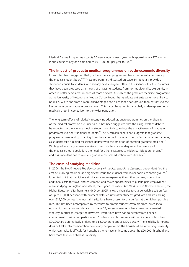Medical Degree Programme accepts 50 new students each year, with approximately 270 students in the course at any one time and costs  $£190,000$  per year to run.<sup>47</sup>

#### **The impact of graduate medical programmes on socio-economic diversity**

It has often been suggested that graduate medical programmes have the potential to diversify the medical student body.<sup>50-53</sup> These programmes, discussed on page 34, generally provide a shortened course to students who already have a degree, often in the sciences. In other countries, they have been proposed as a means of attracting students from non-traditional backgrounds, in order to better serve areas in need of more doctors. A study of the graduate medicine programme at the University of Nottingham Medical School found that graduate entrants were more likely to be male, White and from a more disadvantaged socio-economic background than entrants to the Nottingham undergraduate programme.<sup>50</sup> This particular group is particularly under-represented at medical school in comparison to the wider population.

The long-term effects of relatively recently introduced graduate programmes on the diversity of the medical profession are uncertain. It has been suggested that the rising levels of debt to be expected by the average medical student are likely to reduce the attractiveness of graduate programmes to non-traditional students.<sup>50</sup> The Australian experience suggests that graduate programmes may end up drawing from the same pool of students as undergraduate programmes, as students take a biological science degree with the ambition of entering graduate medicine.<sup>53</sup> While graduate programmes are likely to contribute to some degree to the diversity of the medical school population, the need for other strategies to widen participation remains<sup>51</sup> and it is important not to conflate graduate medical education with diversity.<sup>33</sup>

#### **The costs of studying medicine**

In 2004, the BMA's report *The demography of medical schools: a discussion paper* identified the cost of studying medicine as a significant issue for students from lower socio-economic groups.<sup>2</sup> It pointed out that medicine is significantly more expensive than other degrees, due to the additional costs for travel and equipment, and fewer opportunities to pursue paid employment while studying. In England and Wales, the Higher Education Act 2004, and in Northern Ireland, the Higher Education (Northern Ireland) Order 2005, allow universities to charge variable tuition fees of up to £3,000 per year (with payment deferred until after students graduate and are earning over £15,000 per year). Almost all institutions have chosen to charge fees at the highest possible rate. This has been accompanied by measures to protect students who are from lower socioeconomic groups. As was detailed on page 17, access agreements have been implemented whereby in order to charge the new fees, institutions have had to demonstrate financial commitment to widening participation. Students from households with an income of less than £20,000 are automatically entitled to a £2,700 grant and a £300 bursary. The eligibility for grants does not take into consideration how many people within the household are attending university, which can make it difficult for households who have an income above the £20,000 threshold and have more than one child at university.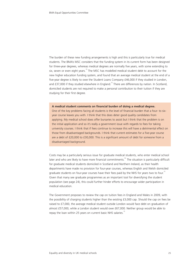The burden of these new funding arrangements is high and this is particularly true for medical students. The BMA's MSC considers that the funding system in its current form has been designed for three-year degrees, whereas medical degrees are normally five years, with some extending to six, seven or even eight years.<sup>15</sup> The MSC has modelled medical student debt to account for the new higher education funding system, and found that an average medical student at the end of a five-year degree is likely to owe the Student Loans Company £46,000 if they studied in London, and  $£37,000$  if they studied elsewhere in England.<sup>15</sup> There are differences by nation. In Scotland, domiciled students are not required to make a personal contribution to their tuition if they are studying for their first degree.

#### **A medical student comments on financial burden of doing a medical degree.**

One of the key problems facing all students is the level of financial burden that a four- to sixyear course leaves you with. I think that this does deter good quality candidates from applying. My medical school does offer bursaries to assist but I think that the problem is on the initial application and so it's really a government issue with regards to fees for taking university courses. I think that if fees continue to increase this will have a detrimental effect on those from disadvantaged backgrounds. I think that current estimates for a five-year course are a debt of £20,000 to £30,000. This is a significant amount of debt for someone from a disadvantaged background.

Costs may be a particularly serious issue for graduate medical students, who enter medical school later and who are likely to have more financial commitments.<sup>52</sup> The situation is particularly difficult for graduate medical students domiciled in Scotland and Northern Ireland, as their health departments have made no provision for four-year courses, whereas English and Welsh domiciled graduate students on four-year courses have their fees paid by the NHS for years two to four.<sup>15</sup> Given that many see graduate programmes as an important tool for diversifying the student population (see page 24), this could further hinder efforts to encourage wider participation in medical education.

The Government proposes to review the cap on tuition fees in England and Wales in 2009, with the possibility of charging students higher than the existing £3,000 cap. Should the cap on fees be raised to £7,000, the average medical student outside London would face debt on graduation of almost £57,000, while a London student would owe £67,000. Neither group would be able to repay the loan within 25 years on current basic NHS salaries.<sup>1</sup>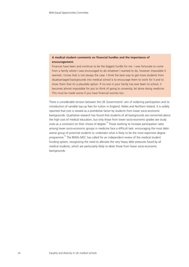# **A medical student comments on financial hurdles and the importance of encouragement.**

Finances have been and continue to be the biggest hurdle for me. I was fortunate to come from a family where I was encouraged to do whatever I wanted to do, however impossible it seemed. I know that is not always the case. I think the best way to get more students from disadvantaged backgrounds into medical school is to encourage them to work for it and to show them that it's a plausible option. If no one in your family has ever been to school, it becomes almost impossible for you to think of going to university, let alone doing medicine. This must be made worse if you have financial worries too.

There is considerable tension between the UK Governments' aim of widening participation and its introduction of variable top-up fees for tuition in England, Wales and Northern Ireland. It is widely reported that cost is viewed as a prohibitive factor by students from lower socio-economic backgrounds. Qualitative research has found that students of all backgrounds are concerned about the high cost of medical education, but only those from lower socio-economic grades see study  $costs$  as a constraint on their choice of degree.<sup>34</sup> Those working to increase participation rates among lower socio-economic groups in medicine face a difficult task: encouraging the most debtaverse group of potential students to undertake what is likely to be the most expensive degree programme.40 The BMA's MSC has called for an independent review of the medical student funding system, recognising the need to alleviate the very heavy debt pressures faced by all medical students, which are particularly likely to deter those from lower socio-economic backgrounds.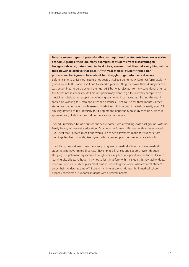**Despite several types of potential disadvantage faced by students from lower socioeconomic groups, there are many examples of students from disadvantaged backgrounds who, determined to be doctors, ensured that they did everything within their power to achieve that goal. A fifth-year medical student from a nonprofessional background talks about her struggle to get into medical school.** Before I came to university, I spent three years at college doing my A-levels. Unfortunately my grades were A, B, C and D so I had to spend a year re-sitting the lower three A subjects as I was determined to be a doctor. I then got ABB but was rejected from my conditional offer as the A was not in chemistry. As I did not particularly want to go to university except to do medicine, I decided to reapply the following year when I was accepted. During this year I carried on working for Tesco and attended a Princes' Trust course for three months. I then started supporting adults with learning disabilities full-time until I started university aged 21. I am very grateful to my university for giving me the opportunity to study medicine, when it appeared very likely that I would not be accepted anywhere.

I found university a bit of a culture shock as I come from a working-class background, with no family history of university education. As a good performing fifth year with an intercalated BSc, I feel that I proved myself and would like to see allowances made for students from working-class backgrounds, like myself, who attended poor performing state schools.

In addition, I would like to see more support given by medical schools to those medical students who have limited finances. I have limited finances and support myself through studying. I supplement my income through a casual job as a support worker for adults with learning disabilities. Although I try not to let it interfere with my studies, it inevitability does. I often miss out on study or placement time if I need to go to work. Whereas most students enjoy their holidays as time off, I spend my time at work. I do not think medical school properly considers or supports students with a limited income.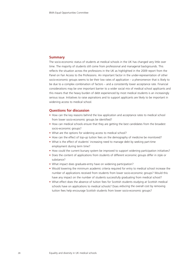## **Summary**

The socio-economic status of students at medical schools in the UK has changed very little over time. The majority of students still come from professional and managerial backgrounds. This reflects the situation across the professions in the UK as highlighted in the 2009 report from the Panel on Fair Access to the Professions. An important factor in the under-representation of other socio-economic groups seems to be their low rates of application – a phenomenon that is likely to be due to a complex combination of factors – and a consistently lower acceptance rate. Financial considerations may be one important barrier to a wider social mix of medical school applicants and this means that the heavy burden of debt experienced by most medical students is an increasingly serious issue. Initiatives to raise aspirations and to support applicants are likely to be important in widening access to medical school.

## **Questions for discussion**

- How can the key reasons behind the low application and acceptance rates to medical school from lower socio-economic groups be identified?
- How can medical schools ensure that they are getting the best candidates from the broadest socio-economic groups?
- What are the options for widening access to medical school?
- How can the effect of top-up tuition fees on the demography of medicine be monitored?
- What is the effect of students' increasing need to manage debt by seeking part-time employment during term time?
- How could the current bursary system be improved to support widening participation initiatives?
- Does the content of applications from students of different economic groups differ in style or substance?
- What impact does graduate-entry have on widening participation?
- Would lowering the minimum academic criteria required for entry to medical school increase the number of applications received from students from lower socio-economic groups? Would this have any impact on the number of students successfully graduating from medical school?
- What effect does the absence of tuition fees for Scottish students studying at Scottish medical schools have on applications to medical schools? Does reducing the overall cost by removing tuition fees help encourage Scottish students from lower socio-economic groups?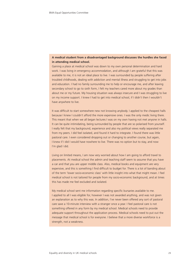# **A medical student from a disadvantaged background discusses the hurdles she faced in attending medical school.**

Gaining a place at medical school was down to my own personal determination and hard work. I was living in emergency accommodation, and although I am grateful that this was available to me, it is not an ideal place to live. I was surrounded by people suffering after troubled childhoods, dealing with addiction and mental illness and struggling to get into jobs and education. I had no family surrounding me to help or encourage me, and after leaving secondary school to go to sixth form, I felt my teachers cared more about my grades than about me or my future. My housing situation was always insecure and I was struggling to live on my income support. I knew I had to get into medical school, if I didn't then I wouldn't have anywhere to live.

It was difficult to start somewhere new not knowing anybody. I applied to the cheapest halls because I knew I couldn't afford the more expensive ones. I was the only medic living there. This meant that when we all began lectures I was on my own having not met anyone in halls. It can be quite intimidating, being surrounded by people that are so polarised from yourself. I really felt that my background, experience and also my political views really separated me from my peers. I did feel isolated, and found it hard to integrate. I found there was little pastoral care. I even considered dropping out or changing to another course, but again, I knew if I did I would have nowhere to live. There was no option but to stay, and now I'm glad I did.

Living on limited means, I am now very worried about how I am going to afford travel to placements. At medical school the admin and teaching staff seem to assume that you have a car and that you are upper middle class. Also, medical books and equipment are very expensive, and this is something I find difficult to budget for. There is a lot of banding about of the term 'lower socio-economic class' with little insight into what that might mean. I feel medical school is not tailored for people from my socio-economic background, and at times this has made me feel excluded and isolated.

My medical school sent me information regarding specific bursaries available to me. I applied to all I was eligible for, however I was not awarded anything, and was not given an explanation as to why this was. In addition, I've never been offered any sort of pastoral care save a 10-minute interview with a stranger once a year. I feel pastoral care is not something offered in any form by my medical school. Medical schools need to provide adequate support throughout the application process. Medical schools need to put out the message that medical school is for everyone. I believe that a more diverse workforce is a strength, not a weakness.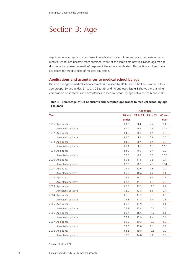# Section 3: Age

Age is an increasingly important issue in medical education. In recent years, graduate entry to medical school has become more common, while at the same time new legislation against age discrimination makes universities' responsibilities more complicated. This section explores these key issues for the discipline of medical education.

## **Applications and acceptances to medical school by age**

Data on the age of medical school entrants is provided by UCAS and is broken down into four age groups: 20 and under, 21 to 24, 25 to 39, and 40 and over. **Table 3** shows the changing composition of applicants and acceptances to medical school by age between 1996 and 2008.

|      |                     |        | Age (years) |                   |        |  |  |
|------|---------------------|--------|-------------|-------------------|--------|--|--|
| Year |                     | 20 and |             | 21 to 24 25 to 39 | 40 and |  |  |
|      |                     | under  |             |                   | over   |  |  |
|      | 1996 Applicants     | 83.3   | 9.4         | 7.2               | 0.1    |  |  |
|      | Accepted applicants | 91.0   | 6.2         | 2.8               | 0.02   |  |  |
|      | 1997 Applicants     | 84.5   | 8.8         | 6.5               | 0.3    |  |  |
|      | Accepted applicants | 92.0   | 5.2         | 2.8               | 0.0    |  |  |
|      | 1998 Applicants     | 84.6   | 8.7         | 6.5               | 0.2    |  |  |
|      | Accepted applicants | 91.7   | 5.1         | 3.1               | 0.02   |  |  |
| 1999 | Applicants          | 83.5   | 9.9         | 6.4               | 0.2    |  |  |
|      | Accepted applicants | 90.0   | 6.8         | 3.2               | 0.02   |  |  |
|      | 2000 Applicants     | 80.3   | 11.5        | 7.9               | 0.4    |  |  |
|      | Accepted applicants | 87.0   | 8.7         | 4.3               | 0.04   |  |  |
|      | 2001 Applicants     | 79.4   | 12.6        | 7.6               | 0.4    |  |  |
|      | Accepted applicants | 85.3   | 10.4        | 4.2               | 0.1    |  |  |
|      | 2002 Applicants     | 75.5   | 14.3        | 9.5               | 0.7    |  |  |
|      | Accepted applicants | 81.7   | 11.7        | 6.3               | 0.3    |  |  |
|      | 2003 Applicants     | 66.3   | 17.2        | 14.8              | 1.7    |  |  |
|      | Accepted applicants | 78.0   | 12.8        | 8.8               | 0.4    |  |  |
|      | 2004 Applicants     | 66.5   | 17.2        | 15.0              | 1.3    |  |  |
|      | Accepted applicants | 78.8   | 11.8        | 9.0               | 0.5    |  |  |
|      | 2005 Applicants     | 65.7   | 17.9        | 15.3              | 1.1    |  |  |
|      | Accepted applicants | 76.2   | 13.4        | 10.1              | 0.4    |  |  |
|      | 2006 Applicants     | 65.7   | 18.5        | 14.7              | 1.1    |  |  |
|      | Accepted applicants | 77.2   | 12.9        | 9.4               | 0.4    |  |  |
|      | 2007 Applicants     | 66.9   | 19.3        | 12.9              | 1.0    |  |  |
|      | Accepted applicants | 78.6   | 13.0        | 8.1               | 0.4    |  |  |
|      | 2008 Applicants     | 68.8   | 19.8        | 10.6              | 0.9    |  |  |
|      | Accepted applicants | 77.9   | 14.8        | 7.0               | 0.3    |  |  |

## **Table 3 – Percentage of UK applicants and accepted applicants to medical school by age 1996-2008**

Source: UCAS 2009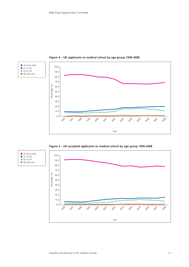

**Figure 4 – UK applicants to medical school by age group 1996-2008**

**Figure 5 – UK accepted applicants to medical school by age group 1996-2008**



■ 20 and under ■ 21 to 24 ■ 25 to 39 ■ 40 and over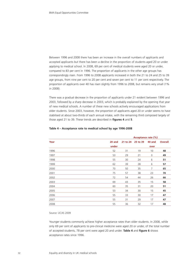Between 1996 and 2008 there has been an increase in the overall numbers of applicants and accepted applicants but there has been a decline in the proportion of students aged 20 or under applying to medical school. In 2008, 69 per cent of medical students were aged 20 or under, compared to 83 per cent in 1996. The proportion of applicants in the other age groups has correspondingly risen. From 1996 to 2008 applicants increased in both the 21 to 24 and 25 to 39 age groups, from nine per cent to 20 per cent and seven per cent to 11 per cent respectively. The proportion of applicants over 40 has risen slightly from 1996 to 2008, but remains very small (1% in 2008).

There was a gradual decrease in the proportion of applicants under 21 evident between 1996 and 2003, followed by a sharp decrease in 2003, which is probably explained by the opening that year of new medical schools. A number of these new schools actively encouraged applications from older students. Since 2003, however, the proportion of applicants aged 20 or under seems to have stabilised at about two-thirds of each annual intake, with the remaining third composed largely of those aged 21 to 39. These trends are described in **figures 4** and **5**.

|      |        | Acceptance rate (%) |          |             |                |  |  |
|------|--------|---------------------|----------|-------------|----------------|--|--|
| Year | 20 and |                     | 25 to 39 | 40 and      | <b>Overall</b> |  |  |
|      | under  |                     |          | over        |                |  |  |
| 1996 | 52     | 31                  | 19       | 10          | 48             |  |  |
| 1997 | 53     | 29                  | 21       | $\mathbf 0$ | 49             |  |  |
| 1998 | 55     | 30                  | 24       | 6           | 51             |  |  |
| 1999 | 62     | 39                  | 28       | 6           | 57             |  |  |
| 2000 | 70     | 50                  | 35       | 7           | 65             |  |  |
| 2001 | 75     | 57                  | 38       | 23          | 70             |  |  |
| 2002 | 72     | 54                  | 44       | 26          | 66             |  |  |
| 2003 | 69     | 43                  | 35       | 15          | 58             |  |  |
| 2004 | 60     | 35                  | 31       | 20          | 51             |  |  |
| 2005 | 53     | 34                  | 30       | 15          | 45             |  |  |
| 2006 | 55     | 33                  | 30       | 17          | 47             |  |  |
| 2007 | 55     | 31                  | 29       | 17          | 47             |  |  |
| 2008 | 55     | 36                  | 32       | 17          | 48             |  |  |

#### **Table 4 – Acceptance rate to medical school by age 1996-2008**

#### Source: UCAS 2009

Younger students commonly achieve higher acceptance rates than older students. In 2008, while only 69 per cent of applicants to pre-clinical medicine were aged 20 or under, of the total number of accepted students, 78 per cent were aged 20 and under. **Table 4** and **figure 6** shows acceptance rates since 1996.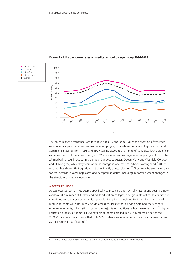





The much higher acceptance rate for those aged 20 and under raises the question of whether older age groups experience disadvantage in applying to medicine. Analysis of applications and admissions statistics from 1996 and 1997 (taking account of a range of variables) found significant evidence that applicants over the age of 21 were at a disadvantage when applying to four of the 27 medical schools included in the study (Dundee, Leicester, Queen Mary and Westfield College and St George's), while they were at an advantage in one medical school (Nottingham).<sup>54</sup> Other research has shown that age does not significantly affect selection.<sup>55</sup> There may be several reasons for the increase in older applicants and accepted students, including important recent changes in the structure of medical education.

## **Access courses**

Access courses, sometimes geared specifically to medicine and normally lasting one year, are now available at a number of further and adult education colleges, and graduates of these courses are considered for entry by some medical schools. It has been predicted that growing numbers of mature students will enter medicine via access courses without having obtained the standard entry requirements, which still holds for the majority of traditional school-leaver entrants.<sup>56</sup> Higher Education Statistics Agency (HESA) data on students enrolled in pre-clinical medicine for the 2006/07 academic year shows that only 100 students were recorded as having an access course as their highest qualification. $57$ 

c Please note that HESA requires its data to be rounded to the nearest five students.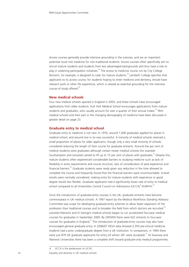Access courses generally provide intensive grounding in the sciences, and are an important potential route into medicine for non-traditional students. Access courses often specifically aim to recruit mature students and students from less advantaged backgrounds and thus have a role to play in widening participation initiatives.<sup>58</sup> The access to medicine course run by City College Norwich, for example, is designed to cater for mature students.<sup>59</sup> Lambeth College specifies that applicants to its access course, for students hoping to enter medicine and dentistry, should have relevant work or other life experience, which is viewed as essential grounding for the intensive course of study offered.<sup>60</sup>

#### **New medical schools**

Four new medical schools opened in England in 2003, and these schools have encouraged applications from older students. Hull York Medical School encourages applications from mature students and graduates, who usually account for over a quarter of their annual intake.<sup>61</sup> New medical schools and their part in the changing demography of medicine have been discussed in greater detail on page 23.

#### **Graduate entry to medical school**

Graduate entry to medicine is not new. In 1976, around 1,000 graduates applied for places in medical school, and around one in six was successful. A minority of medical schools reserved a small proportion of places for older applicants, though only a very small minority of schools considered reducing the length of their course for graduate entrants. Around five per cent of medical students were graduates although certain newer medical schools (for example Southampton and Leicester) aimed to fill up to 15 per cent of places with graduates. <sup>24</sup> Despite this, mature students often experienced considerable barriers to studying medicine such as lack of flexibility in entry requirements and course structure, lack of consideration of past experience and financial barriers.<sup>85</sup> Graduate students were rarely given any reduction in the time allowed to complete the course and frequently found that the financial barriers were insurmountable. A-level results were normally considered, making entry for mature students with experience or good degree results less flexible. Graduate applicants had a significantly lower rate of entry to medical school compared to all Universities Central Council on Admissions (UCCA)<sup>d</sup> students.<sup>62</sup>

Since the introduction of graduate-entry courses in the UK, graduate entrants have become commonplace in UK medical schools. A 1997 report by the Medical Workforce Standing Advisory Committee saw scope for developing graduate-entry schemes to allow faster expansion of the profession than traditional courses and to broaden the field from which doctors are recruited. $64$ Leicester-Warwick and St George's medical schools began to run accelerated four-year medical courses for graduates in September 2000. By 2003/04 there were 622 entrants to four-year courses for graduates in England.<sup>10</sup> The introduction of graduate-entry courses may also have encouraged general graduate entry. In 2006/07 HESA data showed 2,350 pre-clinical medicine students had a prior undergraduate degree from a UK institution. In comparison, in 1994 there were just 879 UK graduate applicants for entry (of whom 281 were accepted).<sup>10</sup> At Swansea and Warwick Universities there has been a complete shift toward graduate-only medical programmes.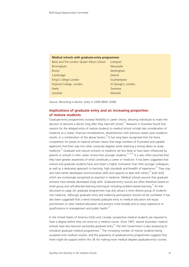#### **Medical schools with graduate-entry programmes**

| Barts and The London Queen Mary's School | Liverpool           |
|------------------------------------------|---------------------|
| Birmingham                               | Newcastle           |
| <b>Bristol</b>                           | Nottingham          |
| Cambridge                                | Oxford              |
| King's College London                    | Southampton         |
| Imperial College, London                 | St George's, London |
| Keele                                    | Swansea             |
| Leicester                                | <b>Warwick</b>      |

Source: *Becoming a doctor: entry in 2009* (BMA 2008)

# **Implications of graduate entry and an increasing proportion of mature students**

Graduate-entry programmes increase flexibility in career choice, allowing individuals to make the decision to become a doctor long after they have left school.<sup>65</sup> Research in Australia found that reasons for the delayed entry of mature students to medical school include late consideration of medicine as a career, financial considerations, dissatisfaction with previous career, poor academic results, or a combination of the above factors.<sup>66</sup> It has long been recognised that the fierce competition for places at medical schools means that large numbers of frustrated and capable applicants find their way into other university degrees while retaining a strong desire to study medicine. $^{62}$  Graduate and mature entrants to medicine are less likely to have been influenced by parents or schools in their career choice than younger students.<sup>52, 65, 66</sup> It is also often assumed that they have greater awareness of what constitutes a career in medicine. It has been suggested that mature and graduate students have and retain a higher motivation than their younger colleagues, as well as a dedicated approach to learning, high standards and breadth of experience.<sup>67</sup> They may also have better developed communication skills and capacity to deal with others,<sup>68</sup> both skills which are increasingly recognised as essential in medicine. Medical schools assume that graduate entrants have already developed study skills. Graduate-entry courses are often therefore based on small group and self-directed learning techniques including problem-based learning.<sup>65</sup> As was discussed on page 24, graduate programmes may also attract a more diverse group of students into medicine. Although graduate entry and widening participation should not be conflated. It has also been suggested that a trend towards graduate entry to medical education will equip practitioners to view medical education and practice more broadly and to value experience or qualifications in management and public health.<sup>69</sup>

In the United States of America (USA) and Canada, prospective medical students are required to have a degree before they can enrol on a medical course. Since 1997, several Australian medical schools have also become exclusively graduate entry.<sup>65</sup> The Irish Government is also proposing to  $introduce$  graduate medical programmes.<sup>52</sup> The increasing number of mature students being accepted onto medical courses, and the popularity of graduate-entry programmes suggests that there might be support within the UK for making more medical degrees graduate-entry courses.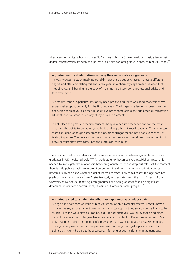Already some medical schools (such as St George's in London) have developed basic science first degree courses which are seen as a potential platform for later graduate entry to medical school.<sup>10</sup>

#### **A graduate-entry student discusses why they came back as a graduate.**

I always wanted to study medicine but didn't get the grades at A-levels. I chose a different degree and after completing this and a few years in a pharmacy department I realised that medicine was still burning in the back of my mind – so I took some professional advice and then went for it.

My medical school experience has mostly been positive and there was good academic as well as pastoral support, certainly for the first two years. The biggest challenge has been trying to get people to treat you as a mature adult. I've never come across any age-based discrimination either at medical school or on any of my clinical placements.

I think older and graduate medical students bring a wider life experience and for the most part have the ability to be more sympathetic and empathetic towards patients. They are often more confident (although sometimes this becomes arrogance) and have had experience just talking to people. Theoretically they work harder as they sometimes almost have something to prove because they have come into the profession later in life.

There is little conclusive evidence on differences in performance between graduates and nongraduates in UK medical schools.<sup>52, 65</sup> As graduate entry becomes more established, research is needed to investigate the relationship between graduate entry and drop-out rates. At the moment there is little publicly available information on how this differs from undergraduate courses. Research is divided as to whether older students are more likely to fail exams but age does not predict clinical performance.<sup>70</sup> An Australian study of graduates from the first 16 years of the University of Newcastle admitting both graduates and non-graduates found no significant differences in academic performance, research outcomes or career progress.

#### **A graduate medical student describes her experience as an older student.**

My age has never been an issue at medical school or on clinical placements. I don't know if my age has any association with my propensity to turn up on time, smartly dressed, and to be as helpful to the ward staff as I can be, but if it does then yes I would say that being older helps! I have heard of colleagues having some ageist banter but I've not experienced it. My only disappointment is that people often assume that I want to be a GP because I'm older. It does genuinely worry me that people have said that I might not get a place in specialty training as I won't be able to be a consultant for long enough before my retirement age.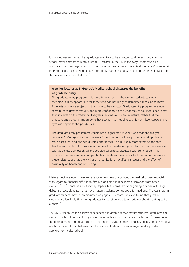It is sometimes suggested that graduates are likely to be attracted to different specialties than school-leaver entrants to medical school. Research in the UK in the early 1990s found no association between age at entry to medical school and choice of eventual specialty. Graduates at entry to medical school were a little more likely than non-graduates to choose general practice but this relationship was not strong.<sup>72</sup>

## **A senior lecturer at St George's Medical School discusses the benefits of graduate entry.**

The graduate-entry programme is more than a 'second chance' for students to study medicine. It is an opportunity for those who had not really contemplated medicine to move from arts or science subjects to then train to be a doctor. Graduate-entry programme students seem to have greater maturity and more confidence to say what they think. That is not to say that students on the traditional five-year medicine course are immature, rather that the graduate-entry programme students have come into medicine with fewer misconceptions and eyes wide open to the possibilities.

The graduate-entry programme course has a higher staff-student ratio than the five-year course at St George's. It allows the use of much more small group tutorial work, problem- /case-based learning and self-directed approaches. This is usually more satisfying for both teacher and student. It is fascinating to hear the broader range of ideas from outside science such as political, philosophical and sociological aspects discussed with some depth. This broadens medicine and encourages both students and teachers alike to focus on the various bigger pictures such as the NHS as an organisation, moral/ethical issues and the effect of spirituality on health and well being.

Mature medical students may experience more stress throughout the medical course, especially with regard to financial difficulties, family problems and loneliness or isolation from other students.<sup>52, 66, 73</sup> Concerns about money, especially the prospect of beginning a career with large debts, is a possible reason that more mature students do not apply for medicine. The costs facing graduate students have been discussed on page 25. Research has also found that graduate students are less likely than non-graduates to feel stress due to uncertainty about wanting to be a doctor $^{71}$ 

The BMA recognises the positive experiences and attributes that mature students, graduates and students with children can bring to medical schools and to the medical profession.<sup>37</sup> It welcomes the development of graduate courses and the increasing number of such students on conventional medical courses. It also believes that these students should be encouraged and supported in applying for medical school.<sup>37</sup>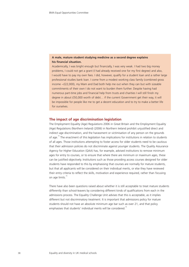## **A male, mature student studying medicine as a second degree explains his financial situation.**

Academically, I was bright enough but financially, I was very weak. I had two big money problems, I could not get a grant (I had already received one for my first degree) and also, I would have to pay my own fees. I did, however, qualify for a student loan and a rather large professional studies bank loan. I come from a modest working class family (combined gross income ~£22,000), my Mam and Dad both help me out when they can but with sizeable commitments of their own I do not want to burden them further. Despite having had numerous part-time jobs and financial help from trusts and charities I will still finish my degree in about £50,000 worth of debt… if the current Government get their way, it will be impossible for people like me to get a decent education and to try to make a better life for ourselves.

## **The impact of age discrimination legislation**

The Employment Equality (Age) Regulations 2006 in Great Britain and the Employment Equality (Age) Regulations (Northern Ireland) (2006) in Northern Ireland prohibit unjustified direct and indirect age discrimination, and the harassment or victimisation of any person on the grounds of age.<sup>74</sup> The enactment of this legislation has implications for institutions in relation to students of all ages. Those institutions attempting to foster access for older students need to be cautious that their admission policies do not discriminate against younger students. The Quality Assurance Agency for Higher Education (QAA) has, for example, advised institutions to remove minimum ages for entry to courses, or to ensure that where there are minimum or maximum ages, these can be justified objectively. Institutions such as those providing access courses designed for older students have responded to this by emphasising that courses are normally for mature students, but that all applicants will be considered on their individual merits, or else they have reviewed their entry criteria to reflect the skills, motivation and experience required, rather than focusing on age limits.<sup>75</sup>

There have also been questions raised about whether it is still acceptable to treat mature students differently than school-leavers by considering different kinds of qualifications from each in the admissions process. The Equality Challenge Unit advises that this is acceptable, as it implies different but not discriminatory treatment. It is important that admissions policy for mature students should not have an absolute minimum age bar such as over 21, and that policy emphasises that students' individual merits will be considered.<sup>75</sup>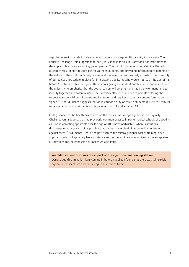Age discrimination legislation also removes the minimum age of 18 for entry to university. The Equality Challenge Unit suggests that, partly in response to this, it is advisable for institutions to develop a policy for safeguarding young people. This might include requiring Criminal Records Bureau checks for staff responsible for younger students, and providing information to parents on the nature of the institution's duty of care and the extent of responsibility it holds.<sup>75</sup> The University of Surrey has a procedure in place for interviewing applicants who would not reach the age of 18 before Christmas of their first year. This involves giving the student and his or her parents a tour of the university to emphasise that the young person will be entering an adult environment, and to identify together any potential risks. The university also sends a letter to parents detailing the respective responsibilities of parent and institution and requires a parental consent form to be signed.<sup>75</sup> Other guidance suggests that an institution's duty of care to students is likely to justify its refusal of admission to students much younger than 17 and a half or 18.<sup>76</sup>

In its guidance to the health professions on the implications of age legislation, the Equality Challenge Unit suggests that the previously common practice in some medical schools of adopting caution in admitting applicants over the age of 40 is now inadvisable. Where institutions discourage older applicants, it is possible that claims of age discrimination will be registered against them.<sup>76</sup> Arguments used in the past such as the relatively higher cost of training older applicants, who will generally have shorter careers in the NHS, are now unlikely to be acceptable justifications for the imposition of maximum age limits.<sup>76</sup>

**An older student discusses the impact of the age discrimination legislation.** Despite age discrimination laws coming in before I applied I found that there was still explicit ageism in prospectuses and on talking to admissions tutors.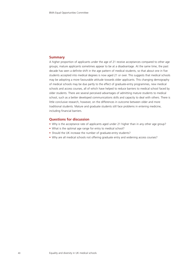## **Summary**

A higher proportion of applicants under the age of 21 receive acceptances compared to other age groups; mature applicants sometimes appear to be at a disadvantage. At the same time, the past decade has seen a definite shift in the age pattern of medical students, so that about one in five students accepted into medical degrees is now aged 21 or over. This suggests that medical schools may be adopting a more favourable attitude towards older applicants. This changing demography of medical schools may be due partly to the effect of graduate-entry programmes, new medical schools and access courses, all of which have helped to reduce barriers to medical school faced by older students. There are several perceived advantages of admitting mature students to medical school, such as a better developed communications skills and capacity to deal with others. There is little conclusive research, however, on the differences in outcome between older and more traditional students. Mature and graduate students still face problems in entering medicine, including financial barriers.

## **Questions for discussion**

- Why is the acceptance rate of applicants aged under 21 higher than in any other age group?
- What is the optimal age range for entry to medical school?
- Should the UK increase the number of graduate-entry students?
- Why are all medical schools not offering graduate entry and widening access courses?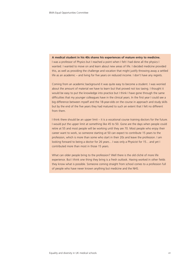**A medical student in his 40s shares his experiences of mature entry to medicine.**

I was a professor of Physics but I reached a point when I felt I had done all the physics I wanted. I wanted to move on and learn about new areas of life. I decided medicine provided this, as well as providing the challenge and vocation that might justify throwing away a settled life as an academic – and living for five years on reduced income. I don't have any regrets.

Coming from an academic background it was quite easy to become a student. I was worried about the amount of material we have to learn but that proved not too taxing. I thought it would be easy to put the knowledge into practice but I think I have gone through the same difficulties that my younger colleagues have in the clinical years. In the first year I could see a big difference between myself and the 18-year-olds on the course in approach and study skills but by the end of the five years they had matured to such an extent that I felt no different from them.

I think there should be an upper limit – it is a vocational course training doctors for the future. I would put the upper limit at something like 45 to 50. Gone are the days when people could retire at 55 and most people will be working until they are 70. Most people who enjoy their career want to work, so someone starting at 50 can expect to contribute 15 years to the profession, which is more than some who start in their 20s and leave the profession. I am looking forward to being a doctor for 26 years... I was only a Physicist for 15... and yet I contributed more than most in those 15 years.

What can older people bring to the profession? Well there is the old cliché of more life experience. But I think one thing they bring is a fresh outlook. Having worked in other fields they know what is possible. Someone coming straight from school comes to a profession full of people who have never known anything but medicine and the NHS.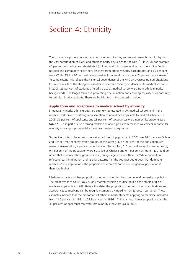# Section 4: Ethnicity

The UK medical profession is notable for its ethnic diversity, and recent research has highlighted the vital contribution of Black and ethnic minority physicians to the NHS.<sup>77,78</sup> In 2008, for example, 40 per cent of medical and dental staff (of known ethnic origin) working for the NHS in English hospital and community health services were from ethnic minority backgrounds and 60 per cent were White. Of the 40 per cent categorised as from an ethnic minority, 28 per cent were Asian.<sup>79</sup> To some extent, this reflects the historical dependence of the NHS on overseas-trained physicians. It is also a result of the strong representation of ethnic minority students in UK medical schools – in 2008, 29 per cent of students offered a place at medical school were from ethnic minority backgrounds. Challenges remain in preventing discrimination and ensuring equality of opportunity for ethnic minority students. These are highlighted in the discussion below.

### **Application and acceptance to medical school by ethnicity**

In general, minority ethnic groups are strongly represented in UK medical schools and in the medical workforce. The strong representation of non-White applicants to medical schools – in 2008, 36 per cent of applicants and 28 per cent of acceptances were non-White students (see **table 5**) – is in part due to a strong tradition of and high esteem for medical careers in particular minority ethnic groups, especially those from Asian backgrounds.

To provide context, the ethnic composition of the UK population in 2001 was 92.1 per cent White and 7.9 per cent minority ethnic groups. In the latter group 4 per cent of the population was Asian or Asian-British, 2 per cent was Black or Black-British, 1.2 per cent were of mixed ethnicity, 0.4 per cent of the population were classified as Chinese and 0.4 per cent as 'other'. It should be noted that minority ethnic groups have a younger age structure than the White population, reflecting past immigration and fertility patterns.<sup>80</sup> In the younger age groups that dominate medical school applications, the proportion of ethnic minorities in the general population is therefore higher.

Medicine attracts a higher proportion of ethnic minorities than the general university population. The predecessor of UCAS, UCCA, only started collecting routine data on the ethnic origin of medicine applicants in 1989. Before this date, the proportion of ethnic minority applications and acceptances to medicine can be roughly estimated by indexing non-European surnames. These estimates indicate that the proportion of ethnic minority students applying to medicine increased from 11.2 per cent in 1981 to 22.9 per cent in 1986.<sup>55</sup> This is a much lower proportion than the 36 per cent of applicants received from minority ethnic groups in 2008.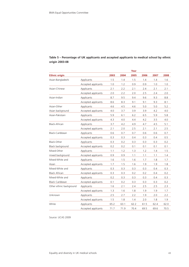|                         |                     |      |      | Year |      |      |      |
|-------------------------|---------------------|------|------|------|------|------|------|
| <b>Ethnic origin</b>    |                     | 2003 | 2004 | 2005 | 2006 | 2007 | 2008 |
| Asian-Bangladeshi       | Applicants          | 1.5  | 1.4  | 1.5  | 1.4  | 1.4  | 1.6  |
|                         | Accepted applicants | 1.0  | 1.2  | 0.9  | 0.9  | 1.0  | 1.0  |
| Asian-Chinese           | Applicants          | 2.1  | 2.2  | 2.1  | 2.4  | 2.1  | 2.1  |
|                         | Accepted applicants | 2.0  | 2.2  | 2.0  | 2.5  | 2.4  | 2.0  |
| Asian-Indian            | Applicants          | 8.7  | 9.5  | 9.4  | 9.6  | 9.3  | 8.8  |
|                         | Accepted applicants | 8.6  | 8.3  | 9.1  | 9.1  | 9.3  | 8.1  |
| Asian-Other             | Applicants          | 4.6  | 4.5  | 4.6  | 5.0  | 5.0  | 5.2  |
| Asian background        | Accepted applicants | 4.0  | 3.7  | 3.9  | 3.9  | 4.2  | 4.0  |
| Asian-Pakistani         | Applicants          | 5.9  | 6.1  | 6.2  | 6.5  | 5.9  | 5.8  |
|                         | Accepted applicants | 4.3  | 4.0  | 4.4  | 4.2  | 3.5  | 4.0  |
| Black-African           | Applicants          | 3.7  | 4.2  | 4.9  | 4.7  | 4.5  | 5.1  |
|                         | Accepted applicants | 2.1  | 2.0  | 2.5  | 2.1  | 2.1  | 2.5  |
| Black-Caribbean         | Applicants          | 0.6  | 0.7  | 0.7  | 0.6  | 0.6  | 0.7  |
|                         | Accepted applicants | 0.3  | 0.3  | 0.4  | 0.3  | 0.4  | 0.5  |
| Black-Other             | Applicants          | 0.3  | 0.2  | 0.3  | 0.3  | 0.3  | 0.2  |
| Black background        | Accepted applicants | 0.2  | 0.2  | 0.1  | 0.1  | 0.1  | 0.1  |
| Mixed-Other             | Applicants          | 1.1  | 1.2  | 1.3  | 1.2  | 1.4  | 1.5  |
| mixed background        | Accepted applicants | 0.9  | 0.9  | 1.1  | 1.1  | 1.1  | 1.4  |
| Mixed-White and         | Applicants          | 1.6  | 1.5  | 1.6  | 1.7  | 1.8  | 1.7  |
| Asian                   | Accepted applicants | 1.7  | 1.5  | 1.6  | 1.9  | 1.9  | 1.8  |
| Mixed-White and         | Applicants          | 0.3  | 0.3  | 0.3  | 0.3  | 0.4  | 0.3  |
| <b>Black African</b>    | Accepted applicants | 0.3  | 0.3  | 0.2  | 0.2  | 0.4  | 0.2  |
| Mixed-White and         | Applicants          | 0.2  | 0.3  | 0.3  | 0.3  | 0.4  | 0.3  |
| <b>Black Caribbean</b>  | Accepted applicants | 0.1  | 0.2  | 0.3  | 0.3  | 0.3  | 0.2  |
| Other ethnic background | Applicants          | 1.6  | 2.1  | 2.4  | 2.5  | 2.5  | 2.3  |
|                         | Accepted applicants | 1.3  | 1.6  | 1.8  | 1.9  | 1.9  | 1.7  |
| Unknown                 | Applicants          | 2.5  | 2.7  | 2.2  | 1.9  | 2.0  | 2.2  |
|                         | Accepted applicants | 1.5  | 1.8  | 1.4  | 2.0  | 1.8  | 1.9  |
| White                   | Applicants          | 65.2 | 63.1 | 62.2 | 61.5 | 62.4 | 62.0 |
|                         | Accepted applicants | 71.7 | 71.9 | 70.4 | 69.5 | 69.6 | 70.5 |

# **Table 5 – Percentage of UK applicants and accepted applicants to medical school by ethnic origin 2003-08**

Source: UCAS 2009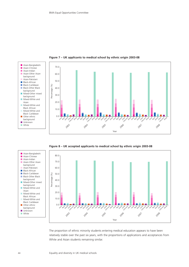

**Figure 7 – UK applicants to medical school by ethnic origin 2003-08**





The proportion of ethnic minority students entering medical education appears to have been relatively stable over the past six years, with the proportions of applications and acceptances from White and Asian students remaining similar.

■ Asian-Indian

background

■ Black-African

background

background

Black African

■ Other ethnic background ■ Unknown ■ White

Asian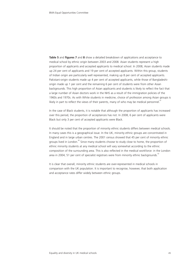**Table 5** and **figures 7** and **8** show a detailed breakdown of applications and acceptance to medical school by ethnic origin between 2003 and 2008. Asian students represent a high proportion of applicants and accepted applicants to medical school. In 2008, Asian students made up 24 per cent of applicants and 19 per cent of accepted applicants. Within this group, students of Indian origin are particularly well represented, making up 8 per cent of accepted applicants. Pakistani-origin students made up 4 per cent of accepted applicants, while those of Bangladeshiorigin made up 1 per cent and the remaining 6 per cent of students were from other Asian backgrounds. This high proportion of Asian applicants and students is likely to reflect the fact that a large number of Asian doctors work in the NHS as a result of the immigration policies of the 1960s and 1970s. As with White students in medicine, choice of profession among Asian groups is likely in part to reflect the views of their parents, many of who may be medical personnel.<sup>81</sup>

In the case of Black students, it is notable that although the proportion of applicants has increased over this period, the proportion of acceptances has not. In 2008, 6 per cent of applicants were Black but only 3 per cent of accepted applicants were Black.

It should be noted that the proportion of minority ethnic students differs between medical schools. In many cases this is a geographical issue. In the UK, minority ethnic groups are concentrated in England and in large urban centres. The 2001 census showed that 45 per cent of minority ethnic groups lived in London.<sup>80</sup> Since many students choose to study close to home, the proportion of ethnic minority students at any medical school will vary somewhat according to the ethnic composition of the surrounding area. This is also reflected in the medical workforce: in the London area in 2004, 51 per cent of specialist registrars were from minority ethnic backgrounds.<sup>82</sup>

It is clear that overall, minority ethnic students are over-represented in medical schools in comparison with the UK population. It is important to recognise, however, that both application and acceptance rates differ widely between ethnic groups.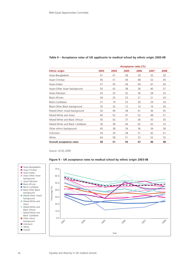|                                 | Acceptance rates (%) |      |      |      |      |      |  |
|---------------------------------|----------------------|------|------|------|------|------|--|
| <b>Ethnic origin</b>            | 2003                 | 2004 | 2005 | 2006 | 2007 | 2008 |  |
| Asian-Bangladeshi               | 41                   | 41   | 28   | 29   | 32   | 30   |  |
| Asian-Chinese                   | 56                   | 51   | 44   | 48   | 52   | 45   |  |
| Asian-Indian                    | 57                   | 45   | 44   | 44   | 47   | 44   |  |
| Asian-Other Asian background    | 50                   | 42   | 38   | 36   | 40   | 37   |  |
| Asian-Pakistani                 | 43                   | 33   | 32   | 30   | 28   | 33   |  |
| Black-African                   | 34                   | 25   | 23   | 21   | 21   | 24   |  |
| Black-Caribbean                 | 31                   | 19   | 25   | 26   | 29   | 34   |  |
| Black-Other Black background    | 35                   | 32   | 12   | 14   | 16   | 26   |  |
| Mixed-Other mixed background    | 50                   | 40   | 38   | 41   | 36   | 45   |  |
| Mixed-White and Asian           | 60                   | 52   | 47   | 52   | 48   | 51   |  |
| Mixed-White and Black African   | 56                   | 42   | 37   | 36   | 43   | 35   |  |
| Mixed-White and Black Caribbean | 36                   | 38   | 44   | 62   | 42   | 33   |  |
| Other ethnic background         | 45                   | 38   | 34   | 36   | 34   | 36   |  |
| Unknown                         | 34                   | 34   | 28   | 51   | 42   | 41   |  |
| White                           | 64                   | 58   | 51   | 53   | 52   | 55   |  |
| Overall acceptance rates        | 58                   | 51   | 45   | 47   | 46   | 48   |  |

## **Table 6 – Acceptance rates of UK applicants to medical school by ethnic origin 2003-08**

Source: UCAS 2009



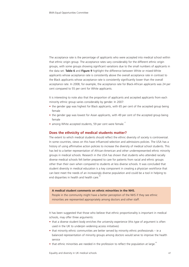The acceptance rate is the percentage of applicants who were accepted into medical school within that ethnic origin group. The acceptance rates vary considerably for the different ethnic origin groups, with some groups showing significant variations due to the small numbers of applicants in the data set. **Table 6** and **Figure 9** highlight the difference between White or mixed-White applicants whose acceptance rate is consistently above the overall acceptance rate in contrast to the Black applicants whose acceptance rate is consistently significantly lower than the overall acceptance rate. In 2008, for example, the acceptance rate for Black-African applicants was 24 per cent compared to 55 per cent for White applicants.

It is interesting to note also that the proportion of applicants and accepted applicants from each minority ethnic group varies considerably by gender. In 2007:

- the gender gap was highest for Black applicants, with 65 per cent of the accepted group being female
- the gender gap was lowest for Asian applicants, with 49 per cent of the accepted group being female
- among White accepted students, 59 per cent were female.<sup>17</sup>

#### **Does the ethnicity of medical students matter?**

The extent to which medical students should reflect the ethnic diversity of society is controversial. In some countries, views on this have influenced selection and admissions policies. The USA has a history of using affirmative action policies to increase the diversity of medical school students. This has led to a better representation of African-American and other underrepresented ethnic minority groups in medical schools. Research in the USA has shown that students who attended racially diverse medical schools felt better prepared to care for patients from racial and ethnic groups other than their own when compared to students at less diverse schools. It was concluded that student diversity in medical education is a key component in creating a physician workforce that can best meet the needs of an increasingly diverse population and could be a tool in helping to end disparities in health and health care.<sup>8</sup>

#### **A medical student comments on ethnic minorities in the NHS.**

People in the community might have a better perception of the NHS if they see ethnic minorities are represented appropriately among doctors and other staff.

It has been suggested that those who believe that ethnic proportionality is important in medical schools, may offer three arguments:

- that a diverse student body enriches the university experience (this type of argument is often used in the UK to underpin widening access initiatives)
- that minority ethnic communities are better served by minority ethnic professionals ie a balanced representation of minority groups among doctors would serve to improve the health service
- that ethnic minorities are needed in the profession to reflect the population at large.<sup>81</sup>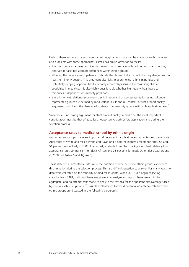Each of these arguments is controversial. Although a good case can be made for each, there are also problems with these approaches. Esmail has drawn attention to these:

- the use of race as a proxy for diversity seems to confuse race with both ethnicity and culture, and fails to take into account differences within ethnic groups
- allowing the racial views of patients to dictate the choice of doctor could be very dangerous, not least to minority doctors. This argument also risks 'pigeon-holing' ethnic minorities and potentially denying opportunities to minority ethnic physicians in the most sought-after specialties in medicine. It is also highly questionable whether high-quality healthcare to minorities is dependent on minority physicians
- there is no neat relationship between discrimination and under-representation as not all underrepresented groups are defined by racial categories. In the UK context, a strict proportionality argument could harm the chances of students from minority groups with high application rates.<sup>81</sup>

Since there is no strong argument for strict proportionality in medicine, the most important consideration must be that of equality of opportunity, both before application and during the selection process.

### **Acceptance rates to medical school by ethnic origin**

Among ethnic groups, there are important differences in application and acceptances to medicine. Applicants of White and mixed White and Asian origin had the highest acceptance rates, 55 and 51 per cent respectively in 2008. In contrast, students from Black backgrounds had relatively low acceptance rates, 24 per cent for Black-African and 26 per cent for Black-Other Black background in 2008 (see **table 6** and **figure 9**).

These differential acceptance rates raise the question of whether some ethnic groups experience discrimination during the selection process. This is a difficult question to answer. For many years no data were collected on the ethnicity of medical students. When UCCA did begin collecting statistics from 1989, it did not have any strategy to analyse and report these, except in the aggregate, and no attempt was made to analyse the reasons for the apparent disadvantage faced by minority ethnic applicants.<sup>81</sup> Possible explanations for the differential acceptance rate between ethnic groups are discussed in the following paragraphs.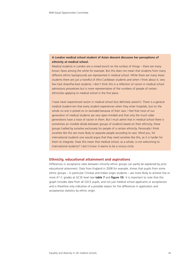# **A London medical school student of Asian descent discusses her perceptions of ethnicity at medical school.**

Medical students in London are a mixed bunch on the surface of things – there are many brown faces among the white for example. But this does not mean that students from many different ethnic backgrounds are represented in medical school. While there are many Asian students there are just a handful of Afro-Caribbean students and when I think about it, very few East Asian/Far-East students. I don't think this is a reflection of racism in medical school admissions procedures but is more representative of the numbers of people of certain ethnicities applying to medical school in the first place.

I have never experienced racism in medical school (but definitely sexism!). There is a general medical student-ism that every student experiences when they enter hospitals, but on the whole no one is picked on or excluded because of their race. I feel that most of our generation of medical students are very open-minded and that only the much older generations have a trace of racism in them. But I must admit that in medical school there is sometimes an invisible divide between groups of students based on their ethnicity, these groups fuelled by societies exclusively for people of a certain ethnicity. Personally I think societies like this are more likely to separate people according to race. Mind you, for international students one would argue that they need societies like this, as it is harder for them to integrate. Does this mean that medical school, as a whole, is not welcoming to international students? I don't know. It seems to be a vicious circle.

## **Ethnicity, educational attainment and aspirations**

Differences in acceptance rates between minority ethnic groups can partly be explained by prior educational attainment. Data from England in 2008 for example, shows that pupils from some ethnic groups – in particular Chinese and Indian origin students – are more likely to achieve five or more A\*-C grades at GCSE level (see **table 7** and **figure 10**). It is important to note that this graph includes data from all GSCE pupils, and not just medical school applicants or acceptances and is therefore only indicative of a possible reason for the differences in application and acceptances statistics by ethnic origin.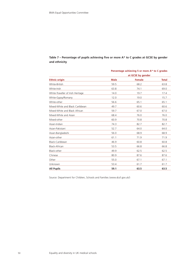|                                   | Percentage achieving 5 or more A* to C grades |               |              |  |  |  |
|-----------------------------------|-----------------------------------------------|---------------|--------------|--|--|--|
|                                   | at GCSE by gender                             |               |              |  |  |  |
| <b>Ethnic origin</b>              | <b>Male</b>                                   | <b>Female</b> | <b>Total</b> |  |  |  |
| White-British                     | 59.5                                          | 68.2          | 63.8         |  |  |  |
| White-Irish                       | 63.8                                          | 74.1          | 69.0         |  |  |  |
| White-Traveller of Irish Heritage | 14.0                                          | 19.7          | 17.4         |  |  |  |
| White-Gypsy/Romany                | 12.0                                          | 19.0          | 15.7         |  |  |  |
| White-other                       | 56.6                                          | 65.1          | 65.1         |  |  |  |
| Mixed-White and Black Caribbean   | 49.7                                          | 60.6          | 60.6         |  |  |  |
| Mixed-White and Black African     | 59.7                                          | 67.0          | 67.0         |  |  |  |
| Mixed-White and Asian             | 68.4                                          | 76.0          | 76.0         |  |  |  |
| Mixed-other                       | 60.9                                          | 70.8          | 70.8         |  |  |  |
| Asian-Indian                      | 74.3                                          | 82.7          | 82.7         |  |  |  |
| Asian-Pakistani                   | 52.7                                          | 64.0          | 64.0         |  |  |  |
| Asian-Bangladeshi                 | 56.0                                          | 68.9          | 68.9         |  |  |  |
| Asian-other                       | 61.1                                          | 71.9          | 71.9         |  |  |  |
| Black-Caribbean                   | 46.9                                          | 60.8          | 60.8         |  |  |  |
| Black-African                     | 53.5                                          | 66.8          | 66.8         |  |  |  |
| Black-other                       | 49.9                                          | 62.5          | 62.5         |  |  |  |
| Chinese                           | 80.9                                          | 87.6          | 87.6         |  |  |  |
| Other                             | 55.0                                          | 67.1          | 67.1         |  |  |  |
| Unknown                           | 53.4                                          | 61.7          | 61.7         |  |  |  |
| <b>All Pupils</b>                 | 59.1                                          | 63.5          | 63.5         |  |  |  |

# **Table 7 – Percentage of pupils achieving five or more A\* to C grades at GCSE by gender and ethnicity**

Source: Department for Children, Schools and Families (www.dcsf.gov.uk/)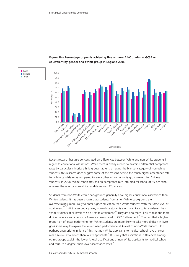■ Male ■ Female ■ Total





Recent research has also concentrated on differences between White and non-White students in regard to educational aspirations. While there is clearly a need to examine differential acceptance rates by particular minority ethnic groups rather than using the blanket category of non-White students, this research does suggest some of the reasons behind the much higher acceptance rate for White candidates as compared to every other ethnic minority group except for Chinese students: in 2008, White candidates had an acceptance rate into medical school of 55 per cent, whereas the rate for non-White candidates was 37 per cent.

Students from non-White ethnic backgrounds generally have higher educational aspirations than White students. It has been shown that students from a non-White background are overwhelmingly more likely to enter higher education than White students with the same level of attainment.<sup>84, 85</sup> At the secondary level, non-White students are more likely to take A-levels than White students at all levels of GCSE stage attainment.<sup>86</sup> They are also more likely to take the more difficult science and chemistry A-levels at every level of GCSE attainment.<sup>86</sup> The fact that a higher proportion of lower-performing non-White students are more likely to take more difficult A-levels goes some way to explain the lower mean performance at A-level of non-White students. It is perhaps unsurprising in light of this that non-White applicants to medical school have a lower mean A-level attainment than White applicants.<sup>86</sup> It is likely that aspirational differences among ethnic groups explain the lower A-level qualifications of non-White applicants to medical school, and thus, to a degree, their lower acceptance rates. $\degree$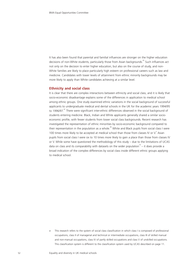It has also been found that parental and familial influences are stronger on the higher education decisions of non-White students, particularly those from Asian backgrounds.<sup>85</sup> Such influences act not only on the decision to enter higher education, but also on the course of study, and non-White families are likely to place particularly high esteem on professional careers such as law and medicine. Candidates with lower levels of attainment from ethnic minority backgrounds may be more likely to apply than White candidates achieving at a similar level.

## **Ethnicity and social class**

It is clear that there are complex interactions between ethnicity and social class, and it is likely that socio-economic disadvantage explains some of the differences in application to medical school among ethnic groups. One study examined ethnic variations in the social background of successful applicants to undergraduate medical and dental schools in the UK for the academic years 1994/95 to 1996/97.<sup>87</sup> There were significant inter-ethnic differences observed in the social background of students entering medicine. Black, Indian and White applicants generally shared a similar socioeconomic profile, with fewer students from lower social class backgrounds. Recent research has investigated the representation of ethnic minorities by socio-economic background compared to their representation in the population as a whole.<sup>88</sup> White and Black pupils from social class I were 100 times more likely to be accepted at medical school than those from classes IV or V. Asian pupils from social class I were six to 10 times more likely to gain a place than those from classes IV or V. While some have questioned the methodology of this study – due to the limitations of UCAS data on class and its comparability with datasets on the wider population<sup>18</sup> – it does provide a broad indication of the complex differences by social class inside different ethnic groups applying to medical school.

e This research refers to the system of social class classification in which class I is composed of professional occupations, class II of managerial and technical or intermediate occupations, class III of skilled manual and non-manual occupations, class IV of partly skilled occupations and class V of unskilled occupations. This classification system is different to the classification system used by UCAS described on page 11.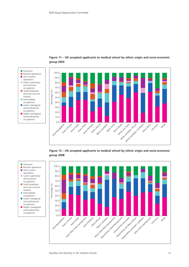



**Figure 12 – UK accepted applicants to medical school by ethnic origin and socio-economic group 2008**





■ Unknown ■ Routine operations ■ Semi-routine operations ■ Lower supervisory and technical occupations ■ Small employers and own account workers ■ Intermediate occupations ■ Lower managerial and professional occupations ■ Higher managerial and professional occupations



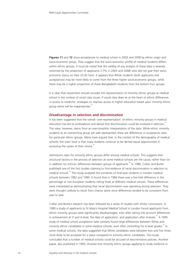**Figures 11** and **12** show acceptances to medical school in 2003 and 2008 by ethnic origin and socio-economic group. They suggest that the socio-economic profile of medical students differs within ethnic groups. It must be noted that the validity of any analysis of these data is severely restricted by the proportion of applicants (17% in 2003 and 2008) who did not give their socioeconomic status on their UCAS form. It appears that White students (both applicants and acceptances) may be more likely to come from the three higher socio-economic groups, while there may be a higher proportion of Asian-Bangladeshi students from the bottom four groups.

It is clear that researchers should consider the representation of minority ethnic groups at medical school in the context of social class issues. If social class does lie at the heart of ethnic differences in access to medicine, strategies to improve access to higher education based upon minority ethnic group alone will be inappropriate. $8<sup>8</sup>$ 

#### **Disadvantage in selection and discrimination**

It has been suggested that the overall 'over-representation' of ethnic minority groups in medical education has led to ambivalence and denial that discrimination could be involved in selection.<sup>81</sup> This view, however, stems from an over-simplistic interpretation of the data. While ethnic minority students as an overarching group are well represented, there are differences in acceptance rates for particular ethnic groups. Many have argued that, in the context of the demography of medical schools, the main issue is that many students continue to be denied equal opportunities in accessing the career of their choice.<sup>8</sup>

Admissions rates for minority ethnic groups differ among medical schools. This suggests that structural factors in the process of selection at some medical schools are the cause, rather than (or in addition to) intrinsic differences between groups of applicants.<sup>89</sup> In 1986, Collier and Burke published one of the first studies claiming to find evidence of racial discrimination in selection to medical schools.<sup>90</sup> This study analysed the surnames of final-year students in London medical schools between 1982 and 1984. It found that in 1984 there was a five-fold difference in the percentage of non-European students sitting finals at different medical schools. These differences were interpreted as demonstrating that racial discrimination was operating during selection. They were thought unlikely to result from chance alone since differences tended to be consistent from year to year.

Collier and Burke's research has been followed by a series of studies with similar conclusions. In 1989 a study of applicants to St Mary's Hospital Medical School in London found applicants from ethnic minority groups were significantly disadvantaged, even after taking into account differences in achievement at O and A-level, the date of application, and application after A-levels.<sup>91</sup> A 1995 study of medical school acceptance rates similarly found large differences between White and minority ethnic candidates in some medical schools, even after controlling for A-level grades.<sup>34</sup> In some medical schools, the data suggested that White candidates were between two and five times more likely to be accepted for a place compared to minority ethnic candidates. This study concluded that a number of medical schools could be accused of discriminatory policies. Another paper, also published in 1995, showed that minority ethnic groups applying to study medicine in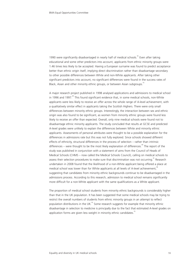1990 were significantly disadvantaged in nearly half of medical schools.<sup>92</sup> Even after taking educational and some other predictors into account, applicants from ethnic minority groups were 1.46 times less likely to be accepted. Having a European surname was found to predict acceptance better than ethnic origin itself, implying direct discrimination rather than disadvantage secondary to other possible differences between White and non-White applicants. After taking other significant predictors into account, no significant differences were found in the success rates of Black, Asian and other minority ethnic groups, or between Asian subgroups.<sup>55</sup>

A major research project published in 1998 analysed applications and admissions to medical school in 1996 and 1997.<sup>89</sup> This found significant evidence that, in some medical schools, non-White applicants were less likely to receive an offer across the whole range of A-level achievement, with a qualitatively similar effect in applicants taking the Scottish Highers. There were only small differences between minority ethnic groups. Interestingly, the interaction between sex and ethnic origin was also found to be significant, as women from minority ethnic groups were found less likely to receive an offer than expected. Overall, only nine medical schools were found not to disadvantage ethnic minority applicants. The study concluded that results at GCSE and predicted A-level grades were unlikely to explain the differences between White and minority ethnic applicants. Assessments of personal attributes were thought to be a possible explanation for the differences in admissions rate but this was not fully explored. Since schools showed different effects of ethnicity, structural differences in the process of selection – rather than intrinsic differences – were thought to be the most likely explanation of differences.<sup>89</sup> The report of the study was published in conjunction with a statement of aims from the Council of Heads of Medical Schools (CHMS – now called the Medical Schools Council), calling on medical schools to assess their selection procedures to make sure that discrimination was not occurring.<sup>81</sup> Research undertaken in 2008 found that the likelihood of a non-White applicant being offered a place at medical school was lower than for White applicants at all levels of A-level achievement,<sup>86</sup> suggesting that candidates from minority ethnic backgrounds continue to be disadvantaged in the admissions process. According to this research, admission to medical school remains significantly more difficult for a non-White applicant with the same qualifications as a White applicant.

The proportion of medical school students from minority ethnic backgrounds is considerably higher than that in the UK population. It has been suggested that some medical schools may be trying to restrict the overall numbers of students from ethnic minority groups in an attempt to reflect population distributions in the UK. $^{92}$  Some research suggests for example that minority ethnic disadvantage in selection to medicine is principally due to the fact that estimated A-level grades on application forms are given less weight in minority ethnic candidates.<sup>5</sup>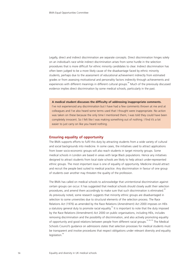Legally, direct and indirect discrimination are separate concepts. Direct discrimination hinges solely on an individual's race while indirect discrimination arises from some hurdle in the selection procedures that is more difficult for ethnic minority candidates to clear. Indirect discrimination has often been judged to be a more likely cause of the disadvantage faced by ethnic minority students, perhaps due to the assessment of educational achievement indirectly from estimated grades or from assessing motivational and personality factors indirectly through achievements and experiences with different meanings in different cultural groups.<sup>89</sup> Much of the previously discussed evidence implies direct discrimination by some medical schools, particularly in the past.

**A medical student discusses the difficulty of addressing inappropriate comments.**

I've not experienced any discrimination but I have had a few comments thrown at me and at colleagues and I've also heard some terms used that I thought were inappropriate. No action was taken on these because the only time I mentioned them, I was told they could have been completely innocent. So I felt like I was making something out of nothing. I find it's a lot easier to just carry on like you heard nothing.

## **Ensuring equality of opportunity**

The BMA supports efforts to fulfil this duty by attracting students from a wide variety of cultural and social backgrounds into medicine. In some cases, the initiatives used to attract applications from lower socio-economic groups will also reach students in target minority groups. Some medical schools in London are based in areas with large Black populations. Hence any initiatives designed to attract students from local state schools are likely to help attract under-represented ethnic groups. The most important issue is one of equality of opportunity. Medicine should attract and recruit the people best suited to medical practice. Any discrimination in favour of one group of students over another may threaten the quality of the profession.

The BMA has called on medical schools to acknowledge that unintentional discrimination against certain groups can occur. It has suggested that medical schools should closely audit their selection procedures, and amend them accordingly to make sure that such discrimination is eliminated.<sup>38</sup> As previously noted, some research suggests that minority ethnic groups are disadvantaged in selection to some universities due to structural elements of the selection process. The Race Relations Act (1976) as amended by the Race Relations (Amendment) Act 2000 imposes on HEIs a statutory general duty to promote racial equality.<sup>93</sup> It is important to note that the duty imposed by the Race Relations (Amendment) Act 2000 on public organisations, including HEIs, includes removing discrimination and the possibility of discrimination, and also actively promoting equality of opportunity and good relations between people from different racial groups.<sup>24, 94, 95</sup> The Medical Schools Council's guidance on admissions states that selection processes for medical students must be transparent and involve procedures that respect obligations under relevant diversity and equality legislation.<sup>96</sup>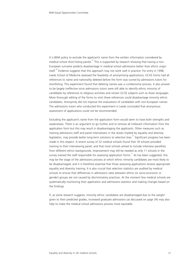It is BMA policy to exclude the applicant's name from the written information considered by medical school short-listing panels.<sup>67</sup> This is supported by research showing that having a non-European surname predicts disadvantage in medical school admissions better than ethnic origin itself.<sup>90</sup> Evidence suggests that this approach may not work well in practice. For entry in 1998, Leeds School of Medicine assessed the feasibility of anonymising applications; UCAS forms had all references to name and nationality deleted before the form was scored by admissions tutors for shortlisting. This experiment found that deleting names was a cumbersome process. It also proved to be largely ineffective since admissions tutors were still able to identify ethnic minority of candidates by references to religious activities and certain GCSE subjects such as Asian languages. More thorough editing of the forms to omit these references could disadvantage minority ethnic candidates. Anonymity did not improve the evaluations of candidates with non-European names. The admissions tutors who conducted this experiment in Leeds concluded that anonymous assessment of applications could not be recommended.

Excluding the applicant's name from the application form would seem to have both strengths and weaknesses. There is an argument to go further and to remove all irrelevant information from the application form but this may result in disadvantaging the applicants. Other measures such as training admissions staff and panel interviewers in the duties implied by equality and diversity legislation, may provide better long-term solutions to selection bias.<sup>97</sup> Significant progress has been made in this respect. A recent survey of 22 medical schools found that 18 schools provided training to their interviewing panel, and that most schools aimed to include interview panellists from different ethnic backgrounds. Improvement may still be needed as only 11 schools in the survey trained the staff responsible for assessing application forms.<sup>31</sup> As has been suggested, this may be the stage of the admissions process at which ethnic minority candidates are most likely to be disadvantaged, and it is therefore essential that those assessing applications receive appropriate equality and diversity training. It is also crucial that selection statistics are audited by medical schools to ensure that differences in admissions rates between ethnic (or socio-economic or gender) groups are not caused by discriminatory practices. At the moment few medical schools are systematically monitoring their application and admissions statistics and making changes based on the findings.

If, as some research suggests, minority ethnic candidates are disadvantaged due to the weight given to their predicted grades, increased graduate admissions (as discussed on page 34) may also help to make the medical school admissions process more equitable.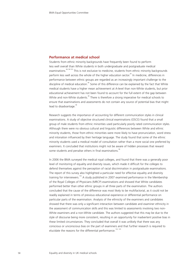## **Performance at medical school**

Students from ethnic minority backgrounds have frequently been found to perform less well overall than White students in both undergraduate and postgraduate medical examinations.<sup>86, 98-103</sup> This is not exclusive to medicine, students from ethnic minority backgrounds perform less well across the whole of the higher education sector.<sup>85</sup> In medicine, differences in performance between ethnic groups are regarded as an increasingly important challenge to the discipline of medical education.<sup>86</sup> Some of this difference can be explained by the fact that White medical students have a higher mean achievement at A-level than non-White students, but prior educational achievement has not been found to account for the full extent of the gap between White and non-White students.<sup>86</sup> There is therefore a strong imperative for medical schools to ensure that examinations and assessments do not contain any source of potential bias that might lead to disadvantage.<sup>98</sup>

Research suggests the importance of accounting for different communication styles in clinical examinations. A study of objective structured clinical examinations (OSCE) found that a small group of male students from ethnic minorities used particularly poorly rated communication styles. Although there were no obvious cultural and linguistic differences between White and ethnic minority students, those from ethnic minorities were more likely to have pronunciation, word stress and intonation influenced by their heritage language. The study found that some of the ethnic minority students used a medical model of consultation rather than a more social one preferred by examiners. It concluded that institutions might not be aware of hidden processes that reward some students and penalise others in final examinations.<sup>98</sup>

In 2006 the BMA surveyed the medical royal colleges, and found that there was a generally poor level of monitoring of equality and diversity issues, which made it difficult for the colleges to defend themselves against the perception of racial discrimination in postgraduate examinations. The report of this survey also highlighted a particular need for effective equality and diversity training for interviewers.<sup>104</sup> A study published in 2007 examined performance in the Membership of the Royal Colleges of Physicians (MRCP) examinations and showed that White candidates performed better than other ethnic groups in all three parts of the examination. The authors concluded that the cause of the difference was most likely to be multifactorial, as it could not be readily explained in terms of previous educational experience or differential performance on particular parts of the examination. Analysis of the ethnicity of the examiners and candidates showed that there was only a significant interaction between candidate and examiner ethnicity in the assessment of communication skills and this was limited to assessments involving two non-White examiners and a non-White candidate. The authors suggested that this may be due to the style of discourse being more consistent, resulting in an opportunity for inadvertent positive bias in these limited circumstances. They concluded that overall it was unlikely that there was any conscious or unconscious bias on the part of examiners and that further research is required to elucidate the reasons for the differential performance.<sup>102, 105</sup>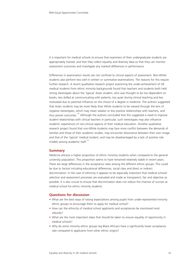It is important for medical schools to ensure that examiners of their undergraduate students are appropriately trained, and that they collect equality and diversity data so that they can monitor assessment outcomes and investigate any marked differences in performance.

Differences in examination results are not confined to clinical aspects of assessment. Non-White students also perform less well in written or summative examinations. The reasons for this require further research. A recent qualitative research project examining the under-achievement of UK medical students from ethnic minority backgrounds found that teachers and students both held strong stereotypes about the 'typical' Asian student, who was thought to be too dependent on books, less skilled at communicating with patients, too quiet during clinical teaching and less motivated due to parental influence on the choice of a degree in medicine. The authors suggested that Asian students may be more likely than White students to be viewed through the lens of negative stereotypes, which may mean weaker or less positive relationships with teachers, and thus poorer outcomes.<sup>106</sup> Although the authors concluded that this suggested a need to improve student relationships with clinical teachers in particular, such stereotypes may also influence students' experiences of non-clinical aspects of their medical education. Another qualitative research project found that non-White students may face more conflict between the demands of families and those of their academic studies, may encounter dissonance between their own image and that of the 'typical' medical student, and may be disadvantaged by a lack of positive role models among academic staff.<sup>107</sup>

## **Summary**

Medicine attracts a higher proportion of ethnic minority students when compared to the general university population. This proportion seems to have remained relatively stable in recent years. There are large differences in the acceptance rates among the different ethnic groups. This could be due to factors including educational differences, social class and direct or indirect discrimination. In the case of ethnicity it appears to be especially important that medical schools' selection and assessment processes are evaluated and made as transparent, fair and objective as possible. It is also crucial to ensure that discrimination does not reduce the chances of success at medical school for ethnic minority students.

### **Questions for discussion**

- What are the best ways of raising expectations among pupils from under-represented minority ethnic groups to encourage them to apply for medical school?
- How can the ethnicity of medical school applicants and acceptances be monitored most robustly?
- What are the most important steps that should be taken to ensure equality of opportunity in medical schools?
- Why do some minority ethnic groups (eg Black-African) have a significantly lower acceptance rate compared to applicants from other ethnic origins?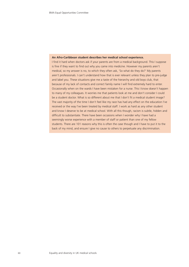#### **An Afro-Caribbean student describes her medical school experience.**

I find it hard when doctors ask if your parents are from a medical background. This I suppose is fine if they want to find out why you came into medicine. However my parents aren't medical, so my answer is no, to which they often ask, 'So what do they do?' My parents aren't professionals. I can't understand how that is ever relevant unless they plan to pre-judge and label you. These situations give me a taste of the hierarchy and old boys club, that because of my lack of contacts and correct family name I will find extremely hard to enter. Occasionally when on the wards I have been mistaken for a nurse. This I know doesn't happen to many of my colleagues. It worries me that patients look at me and don't consider I could be a student doctor. What is so different about me that I don't fit a medical student image? The vast majority of the time I don't feel like my race has had any effect on the education I've received or the way I've been treated by medical staff. I work as hard as any other student and know I deserve to be at medical school. With all this though, racism is subtle, hidden and difficult to substantiate. There have been occasions when I wonder why I have had a seemingly worse experience with a member of staff or patient than one of my fellow students. There are 101 reasons why this is often the case though and I have to put it to the back of my mind, and ensure I give no cause to others to perpetuate any discrimination.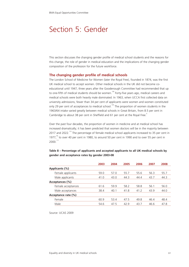# Section 5: Gender

This section discusses the changing gender profile of medical school students and the reasons for this change, the role of gender in medical education and the implications of the changing gender composition of the profession for the future workforce.

## **The changing gender profile of medical schools**

The London School of Medicine for Women (later the Royal Free), founded in 1874, was the first UK medical school to accept women. Other medical schools in the UK did not become coeducational until 1947, three years after the Goodenough Committee had recommended that up to one-fifth of medical students should be women.<sup>108</sup> Forty-five years ago, medical careers and medical schools were both heavily male dominated. In 1963, when UCCA first collected data on university admissions, fewer than 34 per cent of applicants were women and women constituted only 29 per cent of acceptances to medical school.<sup>109</sup> The proportion of women students in the 1963/64 intake varied greatly between medical schools in Great Britain, from 8.5 per cent in Cambridge to about 38 per cent in Sheffield and 61 per cent at the Royal Free.<sup>6</sup>

Over the past four decades, the proportion of women in medicine and at medical school has increased dramatically; it has been predicted that women doctors will be in the majority between 2017 and 2022.<sup>110</sup> The percentage of female medical school applicants increased to 35 per cent in 1977, $\degree$  to over 40 per cent in 1980, to around 50 per cent in 1990 and to over 55 per cent in 2000.111

|                     | 2003 | 2004 | 2005 | 2006 | 2007 | 2008 |
|---------------------|------|------|------|------|------|------|
| Applicants (%)      |      |      |      |      |      |      |
| Female applicants   | 59.0 | 57.0 | 55.7 | 55.6 | 56.3 | 55.7 |
| Male applicants     | 41.0 | 43.0 | 44.3 | 44.4 | 43.7 | 44.3 |
| Acceptances (%)     |      |      |      |      |      |      |
| Female acceptances  | 61.6 | 59.9 | 58.2 | 58.8 | 56.1 | 56.0 |
| Male acceptances    | 38.4 | 40.1 | 41.8 | 41.2 | 43.9 | 44.0 |
| Acceptance rate (%) |      |      |      |      |      |      |
| Female              | 60.9 | 53.4 | 47.5 | 49.8 | 46.4 | 48.4 |
| Male                | 54.6 | 47.5 | 42.9 | 43.7 | 46.6 | 47.8 |

## **Table 8 – Percentage of applicants and accepted applicants to all UK medical schools by gender and acceptance rates by gender 2003-08**

Source: UCAS 2009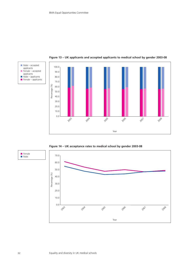

**Figure 13 – UK applicants and accepted applicants to medical school by gender 2003-08**

**Figure 14 – UK acceptance rates to medical school by gender 2003-08**



applicants

applicants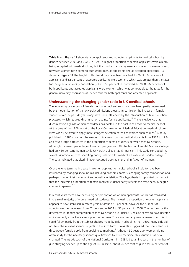**Table 8** and **figure 13** show data on applicants and accepted applicants to medical school by gender between 2003 and 2008. In 1996, a higher proportion of female applicants were already being accepted into medical school, but the numbers applying were about even. In ensuing years, however, women have come to outnumber men as applicants and as accepted applicants. As shown in **figure 14** the height of this trend may have been reached. In 2003, 59 per cent of applicants and 62 per cent of accepted applicants were women, which was greater than the rates for the general university population (53 and 52 per cent respectively). In 2008, 56 per cent of both applicants and accepted applicants were women, which was comparable to the rates for the general university population at 55 per cent for both applicants and accepted applicants.

#### **Understanding the changing gender ratio in UK medical schools**

The increasing proportion of female medical school entrants may have been partly determined by the modernisation of the university admissions process. In particular, the increase in female students over the past 40 years may have been influenced by the introduction of fairer selection processes, which reduced discrimination against female applicants.<sup>112</sup> There is evidence that discrimination against women candidates has existed in the past in selection to medical school. At the time of the 1968 report of the Royal Commission on Medical Education, medical schools were widely believed to apply more stringent selection criteria to women than to men.  $\degree$  A study published in 1986 analysing the names of final-year London medical students from 1982 to 1984 also found large differences in the proportion of female students between medical schools. Although the mean percentage of women per year was 38, the London Hospital Medical College had only 30 per cent women while University College had 51 per cent. This study concluded that sexual discrimination was operating during selection for medical education at London colleges.<sup>90</sup> The data indicated that discrimination occurred both against and in favour of women.

Over the long term the increase in women applying to medical school is likely to have been influenced by changing social norms including economic factors, changing family composition and, perhaps, the feminist movement and equality legislation. This hypothesis is supported by the fact that the increasing proportion of female medical students partly reflects the trend seen in degree courses in general.<sup>1</sup>

In recent years there have been a higher proportion of women applicants, which has translated into a small majority of women medical students. The increasing proportion of women applicants appears to have stabilised in recent years at around 56 per cent, however the number of acceptances has decreased from 62 per cent in 2003 to 56 per cent in 2008. The reasons for the differences in gender composition of medical schools are unclear. Medicine seems to have become an increasingly attractive career option for women. There are probably several reasons for this. It could follow partly from the subject choices made by girls in school. In the 1960s, many girls did not take the relevant science subjects in the sixth form. It was also suggested that some teachers discouraged female pupils from applying to medicine. <sup>6</sup> Although 30 years ago, women did not often study for the necessary science qualifications to enter medicine, this situation has now changed. The introduction of the National Curriculum in 1988 led to an increase in the number of girls studying science up to the age of 16. In 1987, about 26 per cent of girls and 34 per cent of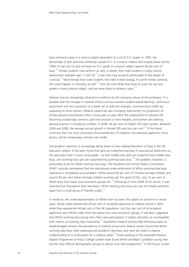boys achieved a pass in a science subject equivalent to a GCSE A–C grade. In 1992, the percentage of girls and boys achieving a grade A–C in a science subject was roughly equal and by 1994, 41 per cent of girls achieved an A–C grade in a science subject against 40 per cent of boys.<sup>114</sup> Female students now perform as well, or better, than male students in every science examination between age 11 and 18, $^{115}$  a fact that may be partly attributable to the design of curricula.<sup>116</sup> More female than male students now take A-level biology. If current trends continue, this could happen in chemistry as well.<sup>115</sup> Girls are more likely than boys to score the top two grades in every science subject, and are more likely to achieve a pass.<sup>117</sup>

Women may be increasingly attracted to medicine by the changing nature of the profession. It is possible that the changes in medical school curricula towards problem-based learning, continuous assessment and the acquisition of a wider set of skills (for example, communication skills) are appealing to some women. Medical careers are also changing. Importantly, the proportion of female general practitioners (GPs) is rising year on year. With the employment of salaried GPs becoming increasingly common, part-time practice is more feasible, and women are entering general practice in increasing numbers. In 2008, 44 per cent of English GPs were women. Between 2004 and 2008, the average annual growth in female GPs was four per cent.<sup>118</sup> If this trend continues then the most commonly encountered face of medicine, the potential applicants' local doctor, will be increasingly a female role model.

Policymakers' attention is increasingly being drawn to the underachievement of boys in the UK education system. It has been found that girls are outperforming boys in educational attainment at the secondary level in every social grade – so that middle-class girls are outperforming middle-class boys, and working-class girls are outperforming working-class boys.<sup>119</sup> The problem, however, is particularly acute for White working-class boys. The Equalities and Human Rights Commission (EHRC) recently commented that the educational under-attainment of White working-class boys represents a compelling social problem. While around 66 per cent of Chinese heritage children and around 60 per cent Indian heritage children routinely get five good GCSEs, only 15 per cent of White boys from lower socio-economic groups do.<sup>120</sup> Following on from 2008 GCSE results, it was reported that throughout their education, White working class boys are now the lowest achievers apart from a small group of Traveller pupils.<sup>121</sup>

In medicine, the under-representation of White men has been the subject of comment in recent years. White males represented 28 per cent of accepted applicants to medical school in 2007, while they represented 44 per cent of the UK population. Just four per cent of all accepted applicants were White males from the lowest four socio-economic groups. It has been suggested that White working-class young men often view participation in higher education as incompatible with notions of working class masculinity.<sup>119</sup> Qualitative research among high-achieving pupils at disadvantaged schools into perceptions of medical school and medical careers found that White working-class boys often expressed anti-academic identities, and were less likely to express understanding of or enthusiasm for a medical career.<sup>34</sup> Those working on the Extended Medical Degree Programme at King's College London have found White and Black Caribbean young men are the most difficult demographic groups to attract onto their programme.<sup>46</sup> In the future, access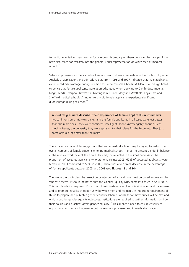to medicine initiatives may need to focus more substantially on these demographic groups. Some have also called for research into the general under-representation of White men at medical  $schol$ <sup>122</sup>

Selection processes for medical school are also worth closer examination in the context of gender. Analysis of applications and admissions data from 1996 and 1997 indicated that male applicants experienced disadvantage during selection for some medical schools. McManus found significant evidence that female applicants were at an advantage when applying to Cambridge, Imperial, King's, Leeds, Liverpool, Newcastle, Nottingham, Queen Mary and Westfield, Royal Free and Sheffield medical schools. At no university did female applicants experience significant disadvantage during selection.<sup>89</sup>

**A medical graduate describes their experience of female applicants in interviews.** I've sat in on some interview panels and the female applicants in all cases were just better than the male ones – they were confident, intelligent, spoke knowledgably about current medical issues, the university they were applying to, their plans for the future etc. They just came across a lot better than the males.

There have been anecdotal suggestions that some medical schools may be trying to restrict the overall numbers of female students entering medical school, in order to prevent gender imbalance in the medical workforce of the future. This may be reflected in the small decrease in the proportion of accepted applicants who are female since 2003 (62% of accepted applicants were female in 2003 compared to 56% in 2008). There was also a small decrease in the percentage of female applicants between 2003 and 2008 (see **figures 13** and **14**).

The law in the UK is clear that selection or rejection of a candidate must be based entirely on the student's merits. It should be noted that the Gender Equality Duty came into force in April 2007. This new legislation requires HEIs to work to eliminate unlawful sex discrimination and harassment, and to promote equality of opportunity between men and women. An important requirement of this is to prepare and publish a gender equality scheme, which shows how duties will be met and which specifies gender equality objectives. Institutions are required to gather information on how their policies and practices affect gender equality.<sup>123</sup> This implies a need to ensure equality of opportunity for men and women in both admissions processes and in medical education.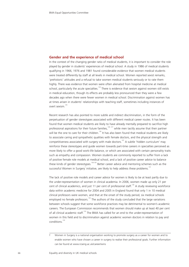### **Gender and the experience of medical school**

In the context of the changing gender ratio of medical students, it is important to consider the role played by gender in students' experiences of medical school. A study in 1986 of medical students qualifying in 1966, 1976 and 1981 found considerable evidence that women medical students were treated differently by staff at all levels in medical school. Women reported sexist remarks, 'prehistoric' attitudes and a refusal to take women medical students seriously or to rate them highly. There was evidence that women were often alienated from hospital medicine at medical school, particularly the acute specialties.<sup>124</sup> There is evidence that sexism against women still exists in medical education, though its effects are probably less pronounced than they were a few decades ago when there were fewer women in medical school. Discrimination against women has at times arisen in students' relationships with teaching staff, sometimes including instances of overt sexism.<sup>125</sup>

Recent research has also pointed to more subtle and indirect discrimination, in the form of the perpetuation of gender stereotypes associated with different medical career routes. It has been found that women medical students are likely to have already mentally prepared to sacrifice high professional aspirations for their future families,<sup>126, 127</sup> while men tacitly assume that their partner will be the one to care for their children.<sup>126</sup> It has also been found that medical students are likely to associate caring and sympathetic qualities with female doctors, and the physical strength and competitiveness associated with surgery with male doctors.<sup>107</sup> A subtle 'hidden curriculum' may reinforce these stereotypes and guide women towards part-time careers in specialties perceived as more likely to offer a good work-life balance, or which are associated with certain personality traits such as empathy and compassion. Women students are commonly reported to suffer from a lack of positive female role models at medical school, and a lack of positive career advice to balance these kinds of gender stereotypes.<sup>126-130</sup> Better career advice and mentoring schemes such as the successful Women in Surgery initiative, are likely to help address these problems.<sup>131</sup>

The lack of positive role models and career advice for women is likely to be at least partly due to the under-representation of women in clinical academia. In 2006, women made up only 21 per cent of clinical academics, and just 11 per cent of professorial staff.<sup>130</sup> A study reviewing workforce data within academic medicine for 2004 and 2005 in England found that only 1 in 10 medical clinical professors were women, and that at the onset of the study period, six medical schools employed no female professors.<sup>132</sup> The authors of the study concluded that the large variations between schools suggest that some workforce practices may be detrimental to women's academic careers. The European Commission recommends that women should make up at least 40 per cent of all clinical academic staff.<sup>133</sup> The BMA has called for an end to the under-representation of women in this field and to discrimination against academic women doctors in relation to pay and conditions.<sup>133</sup>

Women in Surgery is a national organisation working to promote surgery as a career for women and to enable women who have chosen a career in surgery to realise their professional goals. Further information can be found at www.rcseng.ac.uk/career/wins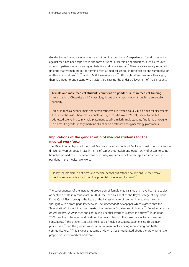Gender issues in medical education are not confined to women's experiences. Sex discrimination against men has been reported in the form of unequal learning opportunities, such as reduced access to patients when training in obstetrics and gynaecology.<sup>134</sup> There are also widely reported findings that women are outperforming men at medical school, in both clinical and summative or written examinations<sup>99-101, 135</sup> and in MRCP examinations.<sup>102</sup> Although differences are often slight, there is a need to understand what factors are causing the under-achievement of male students.

## **Female and male medical students comment on gender issues in medical training.**

I'm a guy – so Obstetrics and Gynaecology is out of my reach – even though it's an excellent specialty.

I think in medical school, male and female students are treated equally but on clinical placements this is not the case. I have met a couple of surgeons who wouldn't really speak to me but addressed everything to my male placement buddy. Similarly, male students find it much tougher in places like genito-urinary medicine clinics or on obstetrics and gynaecology placements.

# **Implications of the gender ratio of medical students for the medical workforce**

The 2006 Annual Report of the Chief Medical Officer for England, Sir Liam Donaldson, outlines the difficulties women doctors face in terms of career progression and opportunity of access to some branches of medicine. The report questions why women are not better represented in senior positions in the medical workforce:

'Today the problem is not access to medical school but rather how we ensure the female medical workforce is able to fulfil its potential once in employment'<sup>131</sup>

The consequences of the increasing proportion of female medical students have been the subject of heated debate in recent years. In 2004, the then President of the Royal College of Physicians, Dame Carol Black, brought the issue of the increasing role of women in medicine into the spotlight with a front-page interview in *The Independent* newspaper which warned that the 'feminisation' of medicine may threaten the profession's status and influence.<sup>136</sup> An editorial in the *British Medical Journal* cited the continuing unequal status of women in society.<sup>137</sup> In addition, 2008 saw the publication and citation of research claiming the lower productivity of women consultants,138 the greater statistical likelihood of male consultants experiencing disciplinary procedures,<sup>105</sup> and the greater likelihood of women doctors being more caring and better communicators.<sup>105, 128</sup> It is clear that some anxiety has been generated about the growing female proportion of the medical workforce.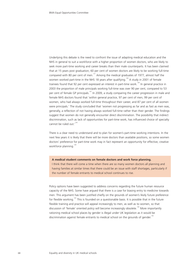Underlying this debate is the need to confront the issue of adapting medical education and the NHS in general to suit a workforce with a higher proportion of women doctors, who are likely to seek more part-time working and career breaks than their male counterparts. It has been claimed that at 15 years post graduation, 60 per cent of women doctors are likely to be working full-time compared with 80 per cent of men.<sup>131</sup> Among the medical graduates of 1977, almost half the women worked part-time in the NHS 18 years after qualifying.<sup>139</sup> A study in 2001 of female trainees found that 92 per cent expressed an interest in part-time work.<sup>140</sup> In general practice in 2003 the proportion of male principals working full-time was over 90 per cent, compared to 53 per cent of female GP principals.<sup>141</sup> In 2009, a study comparing the career progression in male and female NHS doctors found that 'within general practice, 97 per cent of men, 99 per cent of women, who had always worked full-time throughout their career, and 87 per cent of all women were principals.' The study concluded that 'women not progressing as far and as fast as men was, generally, a reflection of not having always worked full-time rather than their gender. The findings suggest that women do not generally encounter direct discrimination. The possibility that indirect discrimination, such as lack of opportunities for part-time work, has influenced choice of specialty cannot be ruled out  $i^{142}$ 

There is a clear need to understand and to plan for women's part-time working intentions. In the next few years it is likely that there will be more doctors than available positions, so some women doctors' preference for part-time work may in fact represent an opportunity for effective, creative workforce planning.<sup>1</sup>

#### **A medical student comments on female doctors and work force planning.**

I think that there will come a time when there are so many women doctors all planning and having families at similar times that there could be an issue with staff shortages, particularly if the number of female entrants to medical school continues to rise.

Policy options have been suggested to address concerns regarding the future human resource capacity of the NHS. Some have argued that there is a case for biasing entry to medicine towards men. This argument has been justified chiefly on the grounds of women's likely future preference for flexible working.<sup>143</sup> This is founded on a questionable basis. It is possible that in the future flexible training and practice will appeal increasingly to men, as well as to women, so that discussion of 'female' oriented policy will become increasingly obsolete.<sup>144</sup> More importantly rationing medical school places by gender is illegal under UK legislation as it would be discrimination against female entrants to medical school on the grounds of gender.<sup>145</sup>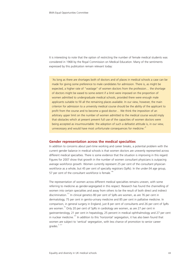It is interesting to note that the option of restricting the number of female medical students was considered in 1968 by the Royal Commission on Medical Education. Many of the sentiments expressed by this publication remain relevant today:

'As long as there are shortages both of doctors and of places in medical schools a case can be made for giving some preference to male candidates for admission. There is, as might be expected, a higher rate of "wastage" of women doctors from the profession… the shortage of doctors might be eased to some extent if a limit were imposed on the proportion of women admitted to undergraduate medical schools, provided there were enough male applicants suitable to fill all the remaining places available. In our view, however, the main criterion for admission to a university medical course should be the ability of the applicant to profit from the course and to become a good doctor… We think the imposition of an arbitrary upper limit on the number of women admitted to the medical course would imply that obstacles which at present prevent full use of the capacities of women doctors were being accepted as insurmountable: the adoption of such a defeatist attitude is, in our view, unnecessary and would have most unfortunate consequences for medicine.<sup>'6</sup>

#### **Gender representation across the medical specialties**

In addition to concerns about part-time working and career breaks, a potential problem with the current gender balance in medical schools is that women doctors are unevenly represented across different medical specialties. There is some evidence that the situation is improving in this regard. Figures for 2007 show that growth in the number of women consultant physicians is outpacing average workforce growth. Women currently represent 25 per cent of the consultant physician workforce as a whole, but 45 per cent of specialty registrars (SpRs). In the under-34 age group, 57 per cent of the consultant workforce is female.<sup>14</sup>

The representation of women across different medical specialties remains uneven, with some referring to medicine as gender-segregated in this respect. Research has found the channelling of women into certain specialties and away from others to be the result of both direct and indirect discrimination.<sup>127</sup> In clinical genetics 80 per cent of SpRs are women, as are 76 per cent in dermatology, 75 per cent in genito-urinary medicine and 85 per cent in palliative medicine. In comparison, in general surgery in England, just 8 per cent of consultants and 26 per cent of SpRs are women. $\frac{79}{9}$  Only 20 per cent of SpRs in cardiology are women, as are 27 per cent in gastroenterology, 21 per cent in hepatology, 25 percent in medical ophthalmology and 27 per cent in nuclear medicine.<sup>147</sup> In addition to this 'horizontal' segregation, it has also been found that women are subject to 'vertical' segregation, with less chance of promotion to senior career arades. $3, 127$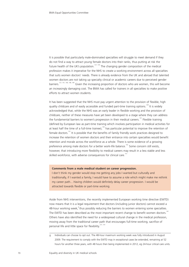It is possible that particularly male-dominated specialties will struggle to meet demand if they do not find a way to attract young female doctors into their ranks, thus putting at risk the future health of the UK's population.<sup>127, 130</sup> The changing gender composition of the medical profession makes it imperative for the NHS to create a working environment across all specialties that suits women doctors' needs. There is already evidence from the UK and abroad that talented women doctors are not taking up specialty clinical or academic careers due to perceived gender barriers.127, 141, 146, 148, 149 Given the increasing proportion of doctors who are women, this will become an increasingly damaging cost. The BMA has called for trainers in all specialties to make positive efforts to attract women students.

It has been suggested that the NHS must pay urgent attention to the provision of flexible, high quality childcare and of easily accessible and funded part-time training options.<sup>128</sup> It is widely acknowledged that, while the NHS was an early leader in flexible working and the provision of childcare, neither of these measures have yet been developed to a stage where they can address the fundamental barriers to women's progression in their medical careers.<sup>131</sup> Flexible training (defined by European law as part-time training which involves participation in medical activities for at least half the time of a full-time trainee),<sup>150</sup> has particular potential to improve the retention of female doctors.<sup>151</sup> It is possible that the benefits of family friendly work practices designed to increase the retention of women doctors and their entrance into certain specialties would benefit retention and morale across the workforce as a whole. There is some evidence of a growing preference among male doctors for a better work-life balance.<sup>152</sup> Some concern still exists, however, that introducing more flexibility to medical careers may result in a less stable and less skilled workforce, with adverse consequences for clinical care.<sup>151</sup>

#### **Comments from a male medical student on career progression.**

I don't think my gender would stop me getting any jobs I wanted but culturally and traditionally, if I wanted a family, I would have to assume a role which might make me rethink my career path... Having children would definitely delay career progression. I would be attracted towards flexible or part-time working.

Aside from NHS interventions, the recently implemented European working time directive (EWTD) now means that it is a legal requirement that doctors (including junior doctors) cannot exceed a 48-hour working week, <sup>9</sup> thus possibly reducing the barriers to women entering some specialties. The EWTD has been described as the most important recent change to benefit women doctors.<sup>1</sup> Others have also identified the need for a widespread cultural change in the medical profession, moving away from the traditional career path that encourages full-time working, sacrifice of personal life and little space for flexibility.<sup>127, 141</sup>

g Individuals can choose to opt out. The 48-hour maximum working week was fully introduced in August 2009. The requirement to comply with the EWTD may in exceptional cases be extended, remaining at 52 hours for another three years, with 48 hours then being implemented in 2012, eg 24-hour critical care units.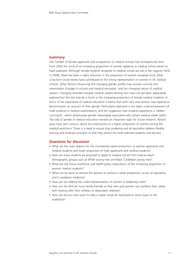## **Summary**

The number of female applicants and acceptances to medical schools has increased over time. From 2004 the trend of an increasing proportion of women applying to medical school seems to have stabilised. Although female students accepted to medical school are still in the majority (56% in 2008), there has been a slight reduction in the proportion of women accepted since 2004. Long-term social trends have contributed to the strong representation of women in UK medical schools. Other factors influencing this changing gender profile may include curricula and examination changes in schools and medical education, and the changing nature of medical careers. Changing attitudes towards medical careers among men have not yet been adequately explored but this too may be a factor in the increasing proportion of female medical students. In terms of the experience of medical education it seems that both men and women may experience discrimination on account of their gender. Particularly important is the slight underachievement of male students in medical examinations, and the suggestion that students experience a 'hidden curriculum', which perpetuates gender stereotypes associated with certain medical career paths. The role of gender in medical education remains an important topic for future research. Recent years have seen concern about the implications of a higher proportion of women joining the medical workforce. There is a need to ensure that academia and all specialties address flexible training and childcare provision so that they attract the most talented students and doctors.

### **Questions for discussion**

- What are the main reasons for the consistently higher proportion of women applicants and medical students and lower proportion of male applicants and medical students?
- How can more students be attracted to apply to medical school from hard-to-reach demographic groups such as White young men and Black Caribbean young men?
- What are the future workforce and health policy implications of the increasing proportion of women medical students?
- What can be done to remove the barriers to women's career progression across all specialties and in academic medicine?
- How can we address the under-representation of women in leadership roles?
- How can the NHS be more family-friendly so that men and women can combine their career with looking after their children or dependent relatives?
- How can doctors who want to take a career break be facilitated to return back to the workforce?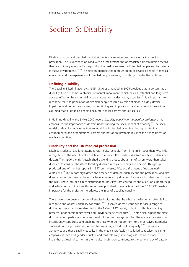# Section 6: Disability

Disabled doctors and disabled medical students are an important resource for the medical profession. Their experience of living with an impairment and of associated discrimination means they are uniquely equipped to respond to the healthcare needs of disabled people and to foster an inclusive environment.<sup>153-155</sup> This section discusses the representation of disabled people in medical education and the experiences of disabled people entering or wishing to enter the profession.

### **Defining disability**

The Disability Discrimination Act 1995 (DDA) as amended in 2005 provides that 'a person has a disability if he or she has a physical or mental impairment, which has a substantial and long-term adverse effect on his or her ability to carry out normal day-to-day activities'.<sup>156</sup> It is important to recognise that the population of disabled people covered by this definition is highly diverse. Impairments differ in their causes, nature, timing and implications, and as a result it cannot be assumed that all disabled people encounter similar barriers and difficulties.

In defining disability, the BMA's 2007 report, *Disability equality in the medical profession,* has emphasised the importance of doctors understanding the social model of disability.<sup>153</sup> The social model of disability recognises that an individual is disabled by society through attitudinal, environmental and organisational barriers and not as an inevitable result of their impairment or medical condition.

### **Disability and the UK medical profession**

Disabled students have long attended UK medical schools.<sup>157</sup> Until the mid 1990s there was little recognition of the need to collect data or to research the needs of disabled medical students and doctors.<sup>158</sup> In 1996 the BMA established a working group, about half of whom were themselves disabled, to consider the issues faced by disabled medical students and doctors. This group produced one of the first reports in 1997 on the issue, *Meeting the needs of doctors with disabilities*. <sup>159</sup> This report highlighted the absence of data on disability and the profession, and also drew attention to some of the obstacles encountered by disabled doctors and students working in the NHS. These included direct discrimination, hostility from colleagues and a lack of support, help and advice. Around the time this report was published, the enactment of the DDA 1995 made it imperative for the profession to address the issue of disability equality.

There have since been a number of studies indicating that healthcare professionals often fail to recognise and address disability concerns.160-162 Disabled doctors continue to face a range of difficulties similar to those identified in the BMA's 1997 report, including inflexible working patterns, poor contingency cover and unsympathetic colleagues.<sup>3, 153</sup> Some also experience direct discrimination, particularly in recruitment.<sup>3</sup> It has been suggested that the medical profession is insufficiently supportive and enabling to those who do not conform to the perceived normative standard, with a professional culture that works against disability equality.<sup>3, 153</sup> It is widely acknowledged that disability equality in the medical profession has failed to receive the same emphasis as race and gender equality, and thus relatively little progress has been made.<sup>153</sup> It is likely that attitudinal barriers in the medical profession contribute to the general lack of data on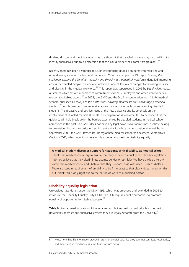disabled doctors and medical students as it is thought that disabled doctors may be unwilling to identify themselves due to a perception that this could hinder their career progression.<sup>3, 153</sup>

Recently there has been a stronger focus on encouraging disabled students into medicine and on addressing some of the historical barriers. In 2004 for example, the DH report *Sharing the challenge, sharing the benefits – equality and diversity in the medical workforce* identified improving access for disabled people to medical education as one of the key challenges to providing equality and diversity in the medical workforce.<sup>163</sup> This report was superseded in 2005 by *Equal values: equal outcomes* which set out a number of commitments for NHS Employers and other stakeholders in relation to disabled access.<sup>164</sup> In 2008, the GMC and the DIUS, in cooperation with 11 UK medical schools, published *Gateways to the professions: advising medical schools: encouraging disabled* students<sup>155</sup> which provides comprehensive advice for medical schools on encouraging disabled students. The proactive and positive focus of the new guidance and its emphasis on the involvement of disabled medical students in its preparation is welcome. It is to be hoped that the guidance will help break down the barriers experienced by disabled students in medical school admissions in the past. The GMC does not have any legal powers over admissions, as these belong to universities, but as the curriculum setting authority, its advice carries considerable weight. In September 2009, the GMC revised its undergraduate medical standards document, *Tomorrow's Doctors (2003)* which now includes a much stronger emphasis on disability equality.<sup>14</sup>

**A medical student discusses support for students with disability at medical school.** I think that medical schools try to ensure that they adhere to equality and diversity legislation. I do not believe that they discriminate against gender or ethnicity. We have a wide diversity within the medical school and I believe that they support those with needs such as dyslexia. There is a certain requirement of an ability to be fit to practice that clearly does impact on this but I think this is only right due to the nature of work of a qualified doctor.

## **Disability equality legislation**

Universities have duties under the DDA 1995, which was amended and extended in 2005 to introduce the Disability Equality Duty (DED). The DED requires public authorities to promote equality of opportunity for disabled people.<sup>1</sup>

**Table 9** gives a broad indication of the legal responsibilities held by medical schools as part of universities or by schools themselves where they are legally separate from the university.

h Please note that the information provided here is for general guidance only, does not constitute legal advice, and should not be relied upon as a substitute for such advice.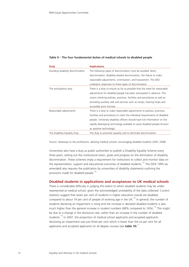| Duty                               | <b>Implications</b>                                                        |  |  |  |  |  |
|------------------------------------|----------------------------------------------------------------------------|--|--|--|--|--|
| Avoiding disability discrimination | The following types of discrimination must be avoided: direct              |  |  |  |  |  |
|                                    | discrimination, disability-related discrimination, the failure to make     |  |  |  |  |  |
|                                    | reasonable adjustments, victimisation, and harassment. The DED             |  |  |  |  |  |
|                                    | underpins responses to these types of discrimination.                      |  |  |  |  |  |
| The anticipatory duty              | There is a duty to ensure as far as possible that the need for reasonable  |  |  |  |  |  |
|                                    | adjustments for disabled people has been anticipated in advance. This      |  |  |  |  |  |
|                                    | covers checking policies, practices, facilities and procedures as well as  |  |  |  |  |  |
|                                    | providing auxiliary aids and services such as ramps, hearing loops and     |  |  |  |  |  |
|                                    | accessible print formats.                                                  |  |  |  |  |  |
| Reasonable adjustments             | There is a duty to make reasonable adjustments to policies, practices,     |  |  |  |  |  |
|                                    | facilities and procedures to meet the individual requirements of disabled  |  |  |  |  |  |
|                                    | people. University disability officers should have full information on the |  |  |  |  |  |
|                                    | rapidly developing technology available to assist disabled people (known   |  |  |  |  |  |
|                                    | as assistive technology).                                                  |  |  |  |  |  |
| The Disability Equality Duty       | The duty to promote equality and to eliminate discrimination               |  |  |  |  |  |

# **Table 9 – The four fundamental duties of medical schools to disabled people**

Source: *Gateways to the professions: advising medical schools: encouraging disabled students* (GMC 2008)

Universities also have a duty as public authorities to publish a Disability Equality Scheme every three years, setting out the institutional vision, goals and progress on the elimination of disability discrimination. These schemes imply a requirement for institutions to collect and monitor data on the representation, support and educational outcomes of disabled students.<sup>155</sup> The DDA 1995 (as amended) also requires the publication by universities of disability statements outlining the provisions made for disabled people.<sup>156</sup>

## **Disabled students in applications and acceptances to UK medical schools**

There is considerable difficulty in judging the extent to which disabled students may be underrepresented at medical school, given the acknowledged unreliability of the data collected. Current statistics suggest that seven per cent of students in higher education overall are disabled; compared to about 19 per cent of people of working age in the UK.<sup>155</sup> In general, the number of students declaring an impairment is rising and the increase in declared disabled students is also much higher than the general increase in student numbers (68% compared to 14%).<sup>155</sup> This might be due to a change in the disclosure rate, rather than an increase in the number of disabled students.<sup>155</sup> In 2007, the proportion of medical school applicants and accepted applicants disclosing an impairment was just three per cent which is lower than the six per cent for all applicants and accepted applicants on all degree courses (see **table 10**).<sup>1</sup>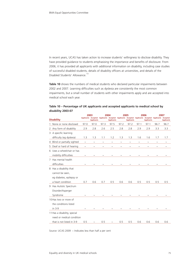In recent years, UCAS has taken action to increase students' willingness to disclose disability. They have provided guidance to students emphasising the importance and benefits of disclosure. From 2006, it has provided all applicants with additional information on disability, including case studies of successful disabled students, details of disability officers at universities, and details of the Disabled Students' Allowance.<sup>153</sup>

**Table 10** shows the numbers of medical students who declared particular impairments between 2002 and 2007. Learning difficulties such as dyslexia are consistently the most common impairments, but a small number of students with other impairments apply and are accepted into medical school each year.

|                              | 2003                  |                   | 2004       |                   | 2005       |                   | 2006                      |                                                                                                                          | 2007       |                   |
|------------------------------|-----------------------|-------------------|------------|-------------------|------------|-------------------|---------------------------|--------------------------------------------------------------------------------------------------------------------------|------------|-------------------|
| <b>Disability</b>            |                       | <b>Applicants</b> |            | <b>Applicants</b> |            | <b>Applicants</b> |                           | Applicants Accepted Applicants Accepted Applicants Accepted Applicants Accepted Applicants Accepted<br><b>Applicants</b> |            | <b>Applicants</b> |
| 1 None or none disclosed     | 97.0                  | 97.0              | 97.3       | 97.5              | 97.2       | 97.2              | 97.1                      | 97.1                                                                                                                     | 96.7       | 96.7              |
| 2 Any form of disability     | 2.9                   | 2.8               | 2.6        | 2.5               | 2.8        | 2.8               | 2.9                       | 2.9                                                                                                                      | 3.3        | 3.3               |
| 3 A specific learning        |                       |                   |            |                   |            |                   |                           |                                                                                                                          |            |                   |
| difficulty (eg dyslexia)     | 1.3                   | 1.3               | 1.1        | 1.2               | 1.3        | 1.3               | 1.6                       | 1.6                                                                                                                      | 1.7        | 1.7               |
| 4 Blind or partially sighted | $\tilde{}$            | $\tilde{}$        | $\tilde{}$ | $\tilde{}$        | $\tilde{}$ | $\tilde{}$        | $\tilde{}$                | $\thicksim$                                                                                                              | $\tilde{}$ | $\thicksim$       |
| 5 Deaf or hard of hearing    | $\tilde{\phantom{a}}$ | $\tilde{}$        | $\tilde{}$ | $\tilde{}$        | $\tilde{}$ | $\tilde{}$        | $\widetilde{\phantom{m}}$ | $\tilde{}$                                                                                                               | $\tilde{}$ | $\tilde{}$        |
| 6 Uses a wheelchair or has   |                       |                   |            |                   |            |                   |                           |                                                                                                                          |            |                   |
| mobility difficulties        |                       |                   |            |                   |            |                   |                           |                                                                                                                          |            |                   |
| 7 Has mental health          |                       |                   |            |                   |            |                   |                           |                                                                                                                          |            |                   |
| difficulties                 |                       |                   |            |                   |            |                   |                           |                                                                                                                          |            |                   |
| 8 Has a disability that      |                       |                   |            |                   |            |                   |                           |                                                                                                                          |            |                   |
| cannot be seen,              |                       |                   |            |                   |            |                   |                           |                                                                                                                          |            |                   |
| eg diabetes, epilepsy or     |                       |                   |            |                   |            |                   |                           |                                                                                                                          |            |                   |
| a heart condition            | 0.7                   | 0.6               | 0.7        | 0.5               | 0.6        | 0.6               | 0.5                       | 0.5                                                                                                                      | 0.5        | 0.5               |
| 9 Has Autistic Spectrum      |                       |                   |            |                   |            |                   |                           |                                                                                                                          |            |                   |
| Disorder/Asperger            |                       |                   |            |                   |            |                   |                           |                                                                                                                          |            |                   |
| Syndrome                     |                       |                   |            |                   |            |                   |                           |                                                                                                                          |            |                   |
| 10 Has two or more of        |                       |                   |            |                   |            |                   |                           |                                                                                                                          |            |                   |
| the conditions listed        |                       |                   |            |                   |            |                   |                           |                                                                                                                          |            |                   |
| in 3-9                       |                       |                   |            |                   |            |                   |                           |                                                                                                                          |            |                   |
| 11 Has a disability, special |                       |                   |            |                   |            |                   |                           |                                                                                                                          |            |                   |
| need or medical condition    |                       |                   |            |                   |            |                   |                           |                                                                                                                          |            |                   |
| that is not listed in 3-9    | 0.5                   |                   | 0.5        |                   | 0.5        | 0.5               | 0.6                       | 0.6                                                                                                                      | 0.6        | 0.6               |

# **Table 10 – Percentage of UK applicants and accepted applicants to medical school by disability 2003-07**

Source: UCAS 2009 ~ Indicates less than half a per cent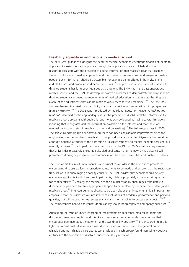### **Disability equality in admissions to medical school**

The new GMC guidance highlights the need for medical schools to encourage disabled students to apply and to assist them appropriately through the applications process. Medical schools' responsibilities start with the provision of course information that makes it clear that disabled students will be welcomed as applicants and that contains positive stories and images of disabled people. Such information should be accessible, for example being offered in both visual and audible formats and produced in different font sizes.<sup>155</sup> The provision of adequate information to disabled students has long been regarded as a problem. The BMA has in the past encouraged medical schools and the GMC to develop innovative approaches to demonstrate the ways in which disabled students can meet the requirements of medical education, and to ensure that they are aware of the adjustments that can be made to allow them to study medicine.<sup>3, 153</sup> The QAA has also emphasised the need for accessibility, clarity and effective communication with prospective disabled students.<sup>166</sup> The 2002 report produced by the Higher Education Academy, *Pushing the boat out*, identified continuing inadequacies in the provision of disability-related information to medical school applicants (although this report was acknowledged as having several limitations, including that it only assessed the information available on the internet and that there was minimal contact with staff in medical schools and universities).<sup>167</sup> The follow-up survey in 2003, *The sequel to pushing the boat out* found there had been considerable improvement since the original study in the number of medical schools providing adequate disability-related information, although negative attitudes to the admission of disabled students to medical schools persisted in a minority of cases.<sup>168</sup> It is hoped that the introduction of the DED in 2005 – with its requirement that universities proactively encourage disabled applicants – and the new GMC guidance will promote continuing improvement in communications between universities and disabled students.

The issue of disclosure of impairments is also crucial to consider in the admissions process, as encouraging disclosure allows appropriate adjustments to be made and ensures that the sector can track its work in encouraging disability equality. The GMC advises that schools should actively encourage applicants to disclose their impairments, while appropriately accommodating requests for confidentiality.<sup>155</sup> Similarly, the Medical Schools Council strongly encourages candidates to disclose an impairment to allow appropriate support to be in place by the time the student joins a medical school.<sup>169</sup> In encouraging applicants to be open about their impairments, it is important to emphasise that the disclosure will not influence evaluations of academic performance and personal qualities, but will be used to help assess physical and mental ability to practise as a doctor.<sup>1</sup> The competencies believed to constitute this ability should be transparent and openly publicised.<sup>155</sup>

Addressing the issue of under-reporting of impairments by applicants, medical students and doctors is, however, complex, and it is likely to require a fundamental shift to a culture that encourages openness about impairment and views disability positively.<sup>153</sup> It is encouraging in this light that recent qualitative research with doctors, medical students and the general public (disabled and non-disabled participants were included in each group) found increasingly positive attitudes to the admission of disabled students to study medicine.<sup>170</sup>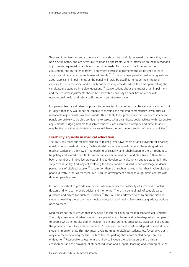Tests and interviews for entry to medical school should be carefully reviewed to ensure they are non-discriminatory and are accessible to disabled applicants. Where interviews are held, reasonable adjustments requested by applicants should be made. This process should focus on the adjustment, not on the impairment, and where possible adjustments should be anticipated in advance and be able to be implemented quickly.<sup>155, 169</sup> The interview panel should avoid questions about applicants' impairments, as the panel will rarely be qualified to judge their impact on capacity to study medicine, and as such questions may unfairly reduce the time spent asking the candidate the standard interview questions.<sup>155</sup> Conversations about the impact of an impairment and the required adjustments should be had with a university's disabilities officer or with occupational health and safety staff, not with an interview panel.

It is permissible for a disabled applicant to be rejected for an offer of a place at medical school if it is judged that they would not be capable of meeting the required competencies, even after all reasonable adjustments have been made. This is likely to be problematic particularly as interview panels are unlikely to be able confidently to assess what a candidate could achieve with reasonable adjustments. Judging barriers to disabled students' achievement is complex and difficult, and it may be the case that students themselves will have the best understanding of their capabilities.<sup>155</sup>

#### **Disability equality in medical education**

The BMA has called for medical schools to foster greater awareness of and provision for disability equality during medical training.<sup>3</sup> While disability is a recognised theme in the undergraduate medical curriculum, a review of the teaching of disability and rehabilitation in the UK found it to be patchy and sporadic and that it rarely had clearly defined aims and objectives.<sup>171</sup> There have been a number of innovative projects aiming to develop curricula, which engage students in the subject of disability, find ways of exploring the social model of disability and challenge students' perceptions of disabled people.<sup>172</sup> A common theme of such initiatives is that they involve disabled people directly, either as teachers, in curriculum development and/or through direct contact with disabled people's lives.

It is also important to provide role models who exemplify the possibility of success as disabled doctors and who can provide advice and mentoring. There is a general lack of suitable career guidance and advice for disabled students.<sup>155</sup> This must be addressed so as to prevent disabled students reaching the end of their medical education and finding few clear postgraduate options open to them.

Medical schools must ensure that they have fulfilled their duty to make reasonable adjustments. This duty arises when disabled students are placed at a substantial disadvantage when compared to people who are not disabled, in relation to the environment, procedures, practices, policies and the provision of auxiliary aids and services. Courses and services must be adapted to meet disabled students' requirements. This may mean avoiding treating disabled students less favourably, but it may also mean providing facilities such as free car parking that non-disabled people are not entitled to.<sup>155</sup> Reasonable adjustments are likely to include the adaptation of the physical environment and the provision of student induction and support. Teaching and learning must be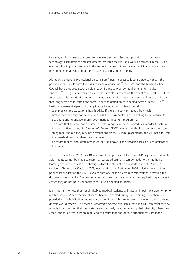inclusive, and this needs to extend to laboratory sessions, lectures, provision of information technology, examinations and assessments, research facilities and work placements in the UK or overseas. It is important to note in this respect that institutions have an anticipatory duty; they must prepare in advance to accommodate disabled students' needs.<sup>155</sup>

Although the general professional guidance on fitness to practice is considered to contain the principles that should form the basis of medical education $174$  the GMC and the Medical Schools Council have produced specific guidance on fitness to practice requirements for medical students.<sup>173</sup> The guidance for medical students contains advice on the effect of ill health on fitness to practice. It is important to note that many disabled students will not suffer ill health, but also that long-term health conditions come under the definition of 'disabled person' in the DDA.<sup>155</sup> Particularly relevant aspects of this guidance include that students should:

- seek medical or occupational health advice if there is a concern about their health
- accept that they may not be able to assess their own health, and be willing to be referred for treatment and to engage in any recommended treatment programmes
- be aware that they are not required to perform exposure prone procedures in order to achieve the expectations set out in *Tomorrow's Doctors (2003)*; students with blood-borne viruses can study medicine but they may have restrictions on their clinical placements, and will need to limit their medical practice when they graduate
- be aware that medical graduates must let it be known if their health poses a risk to patients or the public. $173$

*Tomorrow's Doctors (2003)* lists 18 key clinical and practical skills.<sup>13</sup> The GMC stipulates that while adjustments cannot be made to these standards, adjustments can be made to the method of learning and to the assessment through which the student demonstrates the skill. A revised version of *Tomorrow's Doctors (2003)* was published in September 2009 – during consultation prior to its publication the GMC revealed that one of the six main considerations in revising the document was disability. The revision considers carefully the competencies required of graduates to ensure they do not pose unnecessary barriers to disabled students.<sup>14</sup>

It is important to note that not all disabled medical students will have an impairment upon entry to medical school. Where medical students become disabled during their training, they should be provided with rehabilitation and support to continue with their training in line with the treatment doctors would receive.<sup>3</sup> The revised *Tomorrow's Doctors* stipulates that the GMC can assist medical schools to ensure that their graduates are not unfairly disadvantaged by their disability when they enter Foundation Year One training, and to ensure that appropriate arrangements are made.<sup>14</sup>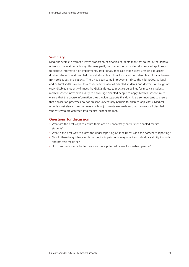## **Summary**

Medicine seems to attract a lower proportion of disabled students than that found in the general university population, although this may partly be due to the particular reluctance of applicants to disclose information on impairments. Traditionally medical schools were unwilling to accept disabled students and disabled medical students and doctors faced considerable attitudinal barriers from colleagues and patients. There has been some improvement since the mid 1990s, as legal and cultural shifts have led to a more positive view of disabled students and doctors. Although not every disabled student will meet the GMC's fitness to practice guidelines for medical students, medical schools now have a duty to encourage disabled people to apply. Medical schools must ensure that the course information they provide supports this duty. It is also important to ensure that application processes do not present unnecessary barriers to disabled applicants. Medical schools must also ensure that reasonable adjustments are made so that the needs of disabled students who are accepted into medical school are met.

# **Questions for discussion**

- What are the best ways to ensure there are no unnecessary barriers for disabled medical students?
- What is the best way to assess the under-reporting of impairments and the barriers to reporting?
- Should there be guidance on how specific impairments may affect an individual's ability to study and practise medicine?
- How can medicine be better promoted as a potential career for disabled people?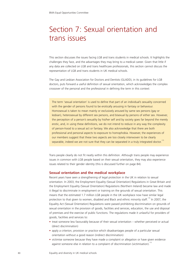# Section 7: Sexual orientation and trans issues

This section discusses the issues facing LGB and trans students in medical schools. It highlights the challenges they face, and the advantages they may bring to a medical career. Given that little if any data are collected on LGB and trans healthcare professionals, this section cannot discuss the representation of LGB and trans students in UK medical schools.

The Gay and Lesbian Association for Doctors and Dentists (GLADD), in its guidelines for LGB doctors, puts forward a useful definition of sexual orientation, which acknowledges the complex crossover of the personal and the professional in defining the term in this context:

The term 'sexual orientation' is used to define that part of an individual's sexuality concerned with the gender of persons found to be erotically arousing in fantasy or behaviour. Homosexual is taken to mean mainly or exclusively aroused by same sex persons (gay or lesbian), heterosexual by different sex persons, and bisexual by persons of either sex. However, the perception of a person's sexuality by his/her self and by society goes far beyond the merely erotic, and, in using these definitions, we do not intend to reduce in any way the complexity of person-hood to a sexual act or fantasy. We also acknowledge that there are both professional and personal aspects to exposure to homophobia. However, the experiences of our members suggest that these two aspects are too closely interwoven to be clearly separable, indeed we are not sure that they can be separated in a truly integrated doctor.<sup>175</sup>

Trans people clearly do not fit neatly within this definition. Although trans people may experience issues in common with LGB people based on their sexual orientation, they may also experience issues related to their gender identity (this is discussed further on page 84).

#### **Sexual orientation and the medical workplace**

Recent years have seen a strengthening of legal protection in the UK in relation to sexual orientation. In 2003, the Employment Equality (Sexual Orientation) Regulations in Great Britain and the Employment Equality (Sexual Orientation) Regulations (Northern Ireland) became law and made it illegal to discriminate in employment or training on the grounds of sexual orientation. This means that the estimated 1.7 million LGB people in the UK workplace now have similar legal protection to that given to women, disabled and Black and ethnic minority staff.<sup>176</sup> In 2007, the Equality Act (Sexual Orientation) Regulations were passed prohibiting discrimination on grounds of sexual orientation in the provision of goods, facilities and services, education, the use and disposal of premises and the exercise of public functions. The regulations made it unlawful for providers of goods, facilities and services to:

- treat someone less favourably because of their sexual orientation whether perceived or actual (direct discrimination)
- apply a criterion, provision or practice which disadvantages people of a particular sexual orientation without a good reason (indirect discrimination)
- victimise someone because they have made a complaint or allegation or have given evidence against someone else in relation to a complaint of discrimination (victimisation).<sup>11</sup>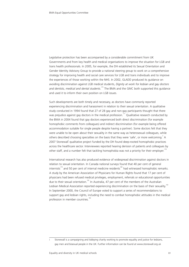Legislative protection has been accompanied by a considerable commitment from UK Governments and from key health and medical organisations to improve the situation for LGB and trans health professionals. In 2005, for example, the DH established its Sexual Orientation and Gender Identity Advisory Group to provide a national steering group to work on a comprehensive strategy for improving health and social care services for LGB and trans individuals and to improve the experiences of those working within the NHS. In 2002, GLADD produced its guidance on avoiding discrimination against LGB medical students, *Dignity at work for lesbian and gay doctors* and dentists, medical and dental students.<sup>175</sup> The BMA and the GMC both supported this guidance and used it to inform their own position on LGB issues.

Such developments are both timely and necessary, as doctors have commonly reported experiencing discrimination and harassment in relation to their sexual orientation. A qualitative study conducted in 1994 found that 27 of 28 gay and non-gay participants thought that there was prejudice against gay doctors in the medical profession.<sup>177</sup> Qualitative research conducted by the BMA in 2004 found that gay doctors experienced both direct discrimination (for example homophobic comments from colleagues) and indirect discrimination (for example being offered accommodation suitable for single people despite having a partner). Some doctors felt that they were unable to be open about their sexuality in the same way as heterosexual colleagues, while others described choosing specialties on the basis that they were 'safe', or more welcoming.<sup>3</sup> A 2007 Stonewall qualitative project funded by the DH found deep-rooted homophobic practices across the healthcare sector. Interviewees reported hearing derision of patients and colleagues by other staff, and a number felt that tackling homophobia was not a priority for their employer.<sup>178</sup>

International research has also produced evidence of widespread discrimination against doctors in relation to sexual orientation. In Canada national surveys found that 40 per cent of general internists<sup>179</sup> and 50 per cent of internal medicine residents<sup>180</sup> had witnessed homophobic remarks. A study by the American Association of Physicians for Human Rights found that 17 per cent of physicians had been refused medical privileges, employment, referrals or educational opportunities due to their sexual orientation.<sup>181</sup> In Australia, 47 per cent of the members of the Australian Lesbian Medical Association reported experiencing discrimination on the basis of their sexuality.<sup>182</sup> In September 2000, the Council of Europe voted to support a series of recommendations to support gay and lesbian rights, including the need to combat homophobic attitudes in the medical profession in member countries.<sup>1</sup>

Stonewall is a campaigning and lobbying charity working to promote equality and justice for lesbians, gay men and bisexual people in the UK. Further information can be found at www.stonewall.org.uk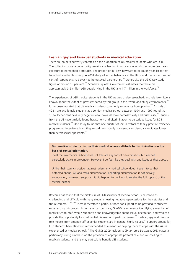## **Lesbian gay and bisexual students in medical education**

There are no data currently collected on the proportion of UK medical students who are LGB. The collection of data on sexuality remains challenging in a society in which disclosure can mean exposure to homophobic attitudes. The proportion is likely, however, to be roughly similar to that found in broader UK society. A 2001 study of sexual behaviour in the UK found that about five per cent of respondents had ever had homosexual partnerships.<sup>183</sup> Others cite the US Kinsey study figure of around 10 per cent.<sup>184</sup> Stonewall quotes Government estimates that there are approximately 3.6 million LGB people living in the UK, and 1.7 million in the workforce.<sup>176</sup>

The experiences of LGB medical students in the UK are also under-researched, and relatively little is known about the extent of pressures faced by this group in their work and study environments.<sup>185</sup> It has been reported that UK medical students commonly experience homophobia.<sup>186</sup> A study of 428 male and female students at a London medical school between 1994 and 1997 found that 10 to 15 per cent held very negative views towards male homosexuality and bisexuality.<sup>187</sup> Studies from the US have similarly found harassment and discrimination to be serious issues for LGB medical students.<sup>188</sup> One study found that one quarter of 291 directors of family practice residency programmes interviewed said they would rank openly homosexual or bisexual candidates lower than heterosexual applicants.<sup>188</sup>

# **Two medical students discuss their medical schools attitude to discrimination on the basis of sexual orientation.**

I feel that my medical school does not tolerate any sort of discrimination, but are not particularly active in prevention. However, I do feel like they deal with any issues as they appear.

Unlike their staunch position against racism, my medical school doesn't seem to be that bothered about LGB and trans discrimination. Reporting discrimination is not actively encouraged, however, I suppose if it did happen to me I would receive the full support of the medical school.

Research has found that the disclosure of LGB sexuality at medical school is perceived as challenging and difficult, with many students fearing negative repercussions for their studies and future careers.<sup>177, 189, 190</sup> There is therefore a particular need for support to be provided to students experiencing this process. In terms of pastoral care, GLADD recommends identifying a member of medical school staff who is supportive and knowledgeable about sexual orientation, and who can provide the opportunity for confidential discussion of particular issues.<sup>175</sup> Lesbian, gay and bisexual role models from among staff or senior students are in general highly valued.<sup>175</sup> Support groups for LGB students have also been recommended as a means of helping them to cope with the issues experienced at medical school.<sup>189</sup> The GMC's 2009 revision to *Tomorrow's Doctors (2003)* places a particularly strong emphasis on the provision of appropriate pastoral care and counselling to medical students, and this may particularly benefit LGB students.<sup>14</sup>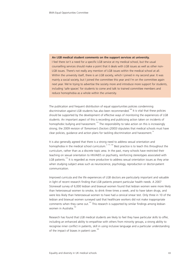#### **An LGB medical student comments on the support services at university.**

I feel there isn't a need for a specific LGB service at my medical school, but the usual counselling services should make a point that it deals with LGB issues as well as other non-LGB issues. There's not really any mention of LGB issues within the medical school at all. Within the university itself, there is an LGB society, which I joined in my second year. It was mainly a social society, but I joined the committee this year and I'm on the committee again next year. We're trying to advertise the society more and introduce more support for students, including 'safe spaces' for students to come and talk to trained committee members and reduce homophobia as a whole within the university.

The publication and frequent distribution of equal opportunities policies condemning discrimination against LGB students has also been recommended.<sup>189</sup> It is vital that these policies should be supported by the development of effective ways of monitoring the experiences of LGB students. An important aspect of this is recording and publicising action taken on incidents of homophobic bullying and harassment.<sup>175</sup> The responsibility to take action on this is increasingly strong; the 2009 revision of *Tomorrow's Doctors (2003)* stipulates that medical schools must have clear policies, guidance and action plans for tackling discrimination and harassment.<sup>14</sup>

It is also generally agreed that there is a strong need to address sexual orientation and homophobia in the medical school curriculum.<sup>3, 175, 182</sup> Best practice is to teach this throughout the curriculum, rather than as a discrete topic area. In the past, many schools have restricted their teaching on sexual orientation to HIV/AIDS or psychiatry, reinforcing stereotypes associated with LGB patients.<sup>175</sup> It is regarded as more productive to address sexual orientation issues as they arise when studying subject areas such as neuroscience, psychology, reproduction or doctor-patient communication.

Improved curricula and the life experiences of LGB doctors are particularly important and valuable in light of recent research finding that LGB patients present particular health needs. A 2007 Stonewall survey of 6,000 lesbian and bisexual women found that lesbian women were more likely than heterosexual women to smoke, to drink three times a week, and to have taken drugs, and were less likely than heterosexual women to have had a cervical smear test. Only three in 10 of the lesbian and bisexual women surveyed said that healthcare workers did not make inappropriate comments when they came out.<sup>191</sup> This research is supported by similar findings among lesbian women in Australia.<sup>182</sup>

Research has found that LGB medical students are likely to feel they have particular skills to offer, including an enhanced ability to empathise with others from minority groups, a strong ability to recognise inner conflict in patients, skill in using inclusive language and a particular understanding of the impact of biases in patient care.<sup>189</sup>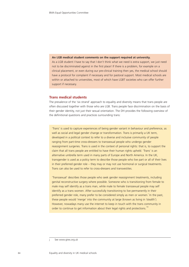#### **An LGB medical student comments on the support required at university.**

As a LGB student I have to say that I don't think what we need is extra support, we just need not to be discriminated against in the first place! If there is a problem, for example on a clinical placement, or even during our pre-clinical training then yes, the medical school should have a protocol for complaint if necessary and for pastoral support. Most medical schools are within or attached to universities, most of which have LGBT societies who can offer further support if necessary.

## **Trans medical students**

The prevalence of the 'six strand' approach to equality and diversity means that trans people are often discussed together with those who are LGB. Trans people face discrimination on the basis of their gender identity, not just their sexual orientation. The DH provides the following overview of the definitional questions and practices surrounding trans:

'Trans' is used to capture experiences of being gender variant in behaviour and preference, as well as social and legal gender change or transformation. Trans is primarily a UK term, developed in a political context to refer to a diverse and inclusive community of people ranging from part-time cross-dressers to transsexual people who undergo gender reassignment surgeries. Trans is used in the context of personal rights: that is, to support the claim that all trans people are entitled to have their human rights upheld. 'Trans' is an alternative umbrella term used in many parts of Europe and North America. In the UK, transgender is used as a policy term to describe those people who live part or all of their lives in their preferred gender role – they may or may not use hormonal or surgical treatments. Trans can also be used to refer to cross-dressers and transvestites.

'Transsexual' describes those people who seek gender reassignment treatments, including genital reconstructive surgery where possible. Someone who is transitioning from female to male may self identify as a trans man, while male to female transsexual people may self identify as a trans women. After successfully transitioning to live permanently in their preferred gender role, many prefer to be considered simply as men or women.<sup>†</sup> In the past, these people would 'merge' into the community at large (known as living in 'stealth'). However, nowadays many use the internet to keep in touch with the trans community in order to continue to get information about their legal rights and protections.<sup>192</sup>

See www.gires.org.uk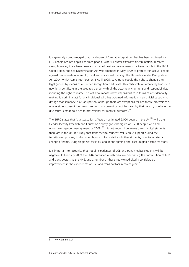It is generally acknowledged that the degree of 'de-pathologisation' that has been achieved for LGB people has not applied to trans people, who still suffer extensive discrimination. In recent years, however, there have been a number of positive developments for trans people in the UK. In Great Britain, the Sex Discrimination Act was amended in May 1999 to protect transsexual people against discrimination in employment and vocational training. The UK-wide Gender Recognition Act 2004, which came into force on 4 April 2005, gave trans people the right to change their legal gender by means of a Gender Recognition Certificate. This certificate automatically leads to a new birth certificate in the acquired gender with all the accompanying rights and responsibilities, including the right to marry. This Act also imposes new responsibilities in terms of confidentiality – making it a criminal act for any individual who has obtained information in an official capacity to divulge that someone is a trans person (although there are exceptions for healthcare professionals, where either consent has been given or that consent cannot be given by that person, or where the disclosure is made to a health professional for medical purposes).<sup>19</sup>

The EHRC states that 'transsexualism affects an estimated 5,000 people in the UK, $193$  while the Gender Identity Research and Education Society gives the figure of 6,200 people who had undertaken gender reassignment by 2008.<sup>194</sup> It is not known how many trans medical students there are in the UK. It is likely that trans medical students will require support during the transitioning process; in discussing how to inform staff and other students, how to register a change of name, using single-sex facilities, and in anticipating and discouraging hostile reactions.

It is important to recognise that not all experiences of LGB and trans medical students will be negative. In February 2009 the BMA published a web resource celebrating the contribution of LGB and trans doctors to the NHS, and a number of those interviewed cited a considerable improvement in the experiences of LGB and trans doctors in recent years.

k www.bma.org.uk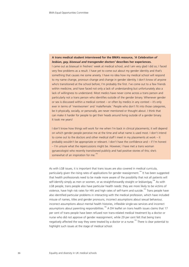# **A trans medical student interviewed for the BMA's resource,** *'A Celebration of lesbian, gay, bisexual and transgender doctors'* **describes her experiences.**

I came out as bisexual in freshers' week at medical school, and I am very glad I did so; I faced very few problems as a result. I have yet to come out about my gender identity and that's something that causes me some anxiety. I have no idea how my medical school will respond to my name change, pronoun change and change in gender identity. I don't know of anyone who's transitioned at the school before; I'm probably the first. I've come out to a few friends within medicine, and have faced not only a lack of understanding but unfortunately also a lack of willingness to understand. Most medics have never come across a trans person and particularly not a trans person who identifies outside of the gender binary. Whenever gender or sex is discussed within a medical context – or often by medics in any context – it's only ever in terms of 'men/women' and 'male/female.' People who don't fit into those categories, be it physically, socially, or personally, are never mentioned or thought about. I think that can make it harder for people to get their heads around living outside of a gender binary. It took me years!

I don't know how things will work for me when I'm back in clinical placements; it will depend on which gender people perceive me at the time and what name is used most. I don't intend to come out to the doctors and other medical staff I meet in my placements at work – it probably wouldn't be appropriate or relevant. I don't have the confidence and – if I'm honest – I'm unsure what the repercussions might be. However, I have met a trans woman gynaecologist who recently transitioned publicly and had positive stories of this; she's somewhat of an inspiration for me.<sup>195</sup>

As with LGB issues, it is important that trans issues are also covered in medical curricula, particularly given the rising rates of applications for gender reassignment.<sup>194</sup> It has been suggested that health professionals need to be made more aware of the possibility that not all patients will self-identify simply as men or women, or as straightforwardly straight or lesbian/gay.<sup>196</sup> As with LGB people, trans people also have particular health needs: they are more likely to be victims of violence, have high risk rates for HIV and high rates of self-harm and suicide.<sup>192</sup> Trans people have also identified particular problems in interacting with the medical profession, which have included misuse of names, titles and gender pronouns, incorrect assumptions about sexual behaviour, incorrect assumptions about mental health histories, inflexible single-sex services and incorrect assumptions about parenting responsibilities.<sup>196</sup> A DH leaflet on trans health issues claims that 17 per cent of trans people have been refused non trans-related medical treatment by a doctor or nurse who did not approve of gender reassignment, while 29 per cent felt that being trans negatively affected the way they were treated by a doctor or a nurse.<sup>192</sup> There is clear potential to highlight such issues at the stage of medical school.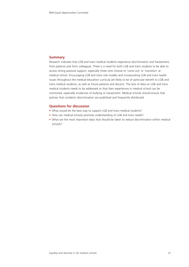# **Summary**

Research indicates that LGB and trans medical students experience discrimination and harassment, from patients and from colleagues. There is a need for both LGB and trans students to be able to access strong pastoral support, especially those who choose to 'come out' or 'transition' at medical school. Encouraging LGB and trans role models and incorporating LGB and trans health issues throughout the medical education curricula are likely to be of particular benefit to LGB and trans medical students, as well as future patients and doctors. The lack of data on LGB and trans medical students needs to be addressed so that their experiences in medical school can be monitored, especially incidences of bullying or harassment. Medical schools should ensure that policies that condemn discrimination are published and frequently distributed.

# **Questions for discussion**

- What would be the best way to support LGB and trans medical students?
- How can medical schools promote understanding of LGB and trans needs?
- What are the most important steps that should be taken to reduce discrimination within medical schools?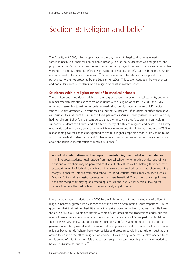# Section 8: Religion and belief

The Equality Act 2006, which applies across the UK, makes it illegal to discriminate against someone because of their religion or belief. Broadly, in order to be accepted as a religion for the purposes of the Act, a faith must be 'recognised as being cogent, serious, cohesive and compatible with human dignity'. Belief is defined as including philosophical beliefs, such as humanism, which are considered to be similar to a religion.<sup>94</sup> Other categories of beliefs, such as support for a political party, are not protected by the Equality Act 2006. This section considers the experiences and particular needs of students with a religion or belief at medical school.

#### **Students with a religion or belief in medical schools**

There is little published data available on the religious backgrounds of medical students, and only minimal research into the experiences of students with a religion or belief. In 2006, the BMA undertook research into religion or belief at medical school. Its national survey of UK medical students, which attracted 297 responses, found that 60 per cent of students identified themselves as Christian, four per cent as Hindu and three per cent as Muslim. Twenty-seven per cent said they had no religion. Eighty-four per cent agreed that their medical school's course and curriculum supported students of all faiths and reflected a society of different religions and beliefs. This survey was conducted with a very small sample which was unrepresentative. In terms of ethnicity (79% of respondents gave their ethnic background as White, a higher proportion than is likely to be found across the medical student body) and further research would be needed to reach any conclusions about the religious identification of medical students.<sup>197</sup>

**A medical student discusses the impact of maintaining their belief on their studies.** I think religious students need support from medical schools when making ethical and clinical decisions where there may be perceived conflicts of interest, as well as helping them feel more accepted generally. Medical school has an intensely alcohol soaked social atmosphere meaning many students feel left out from med school life. In educational terms, many courses such as Medical Ethics and Law assist students, which is very beneficial. The biggest challenge for me has been trying to fit praying and attending lectures but usually if it's feasible, leaving the lecture theatre is the best option. Otherwise, rarely any difficulties.

Focus group research undertaken in 2006 by the BMA with eight medical students of different religious beliefs suggested little experience of faith-based discrimination. Most respondents in the group felt that their religion had little impact on patient care. A problem that was identified was the clash of religious events or festivals with significant dates on the academic calendar, but this was not viewed as a major impediment to success at medical school. Some participants did feel that increased awareness raising of different religions and faiths among medical staff and the general student body would lead to a more welcoming environment for students of non-Christian religious backgrounds. Where there were policies and procedures relating to religion, such as the option to request time off for religious observance, it was felt by some that all staff needed to be made aware of this. Some also felt that pastoral support systems were important and needed to be well publicised to students.<sup>197</sup>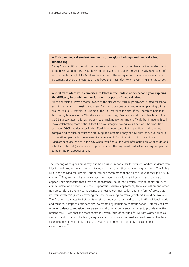# **A Christian medical student comments on religious holidays and medical school timetabling.**

Being Christian it's not too difficult to keep holy days of obligation because the holidays tend to be based around these. So, I have no complaints. I imagine it must be really hard being of another faith though. Like Muslims have to go to the mosque on Fridays when everyone is on placement or there are lectures on and have their feast days when everything is on at school.

# **A medical student who converted to Islam in the middle of her second year explains the difficulty in combining her faith with aspects of medical school.**

Since converting I have become aware of the size of the Muslim population in medical school, and it is large and increasing each year. This must be considered more when planning things around religious festivals. For example, the Eid festival at the end of the Month of Ramadan, falls on my final exam for Obstetrics and Gynaecology, Paediatrics and Child Health, and the OSCE is a day later, so it has not only been making revision more difficult, but I imagine it will make celebrating more difficult too! Can you imagine having your finals on Christmas Day and your OSCE the day after Boxing Day? I do understand that it is difficult and I am not complaining as such because we are living in a predominantly non-Muslim land, but I think it is something people in power need to be aware of. Also the introductory day of our Paediatrics course (which is the day where you find all the vital information on what to do and who to contact etc) was on Yom Kippur, which is the big Jewish festival which requires people to be in the synagogues all day.

The wearing of religious dress may also be an issue, in particular for women medical students from Muslim backgrounds who may wish to wear the hijab or other items of religious dress. The BMA's MSC and the Medical Schools Council included recommendations on this issue in their joint 2006 charter.<sup>198</sup> They suggest that consideration for patients should affect how students choose to appear. They emphasise that dress and appearance should not interfere with students' ability to communicate with patients and their supporters. General appearance, facial expression and other non-verbal signals are key components of effective communication and any form of dress that interferes with this (such as covering the face or wearing excessive jewellery) should be avoided. The Charter also states that students must be prepared to respond to a patient's individual needs and must take steps to anticipate and overcome any barriers to communication. This may at times require students to set aside their personal and cultural preferences in order to provide effective patient care. Given that the most commonly worn form of covering for Muslim women medical students and doctors is the hijab, a square scarf that covers the head and neck leaving the face clear, religious dress is likely to cause obstacles to communication only in exceptional circumstances.<sup>19</sup>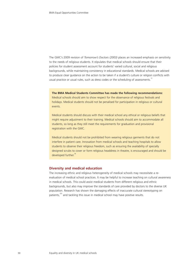The GMC's 2009 revision of *Tomorrow's Doctors (2003)* places an increased emphasis on sensitivity to the needs of religious students. It stipulates that medical schools should ensure that their policies for student assessment account for students' varied cultural, social and religious backgrounds, while maintaining consistency in educational standards. Medical schools are advised to produce clear guidance on the action to be taken if a student's culture or religion conflicts with usual practice or usual rules, such as dress codes or the scheduling of assessments.<sup>14</sup>

**The BMA Medical Students Committee has made the following recommendations:** Medical schools should aim to show respect for the observance of religious festivals and holidays. Medical students should not be penalised for participation in religious or cultural events.

Medical students should discuss with their medical school any ethical or religious beliefs that might require adjustment to their training. Medical schools should aim to accommodate all students, so long as they still meet the requirements for graduation and provisional registration with the GMC.

Medical students should not be prohibited from wearing religious garments that do not interfere in patient care. Innovation from medical schools and teaching hospitals to allow students to observe their religious freedom, such as ensuring the availability of specially designed scrubs to cover or form religious headdress in theatre, is encouraged and should be developed further.<sup>38</sup>

## **Diversity and medical education**

The increasing ethnic and religious heterogeneity of medical schools may necessitate a reevaluation of medical school practices. It may be helpful to increase teaching on cultural awareness in medical schools. This could assist medical students from different religious and ethnic backgrounds, but also may improve the standards of care provided by doctors to the diverse UK population. Research has shown the damaging effects of inaccurate cultural stereotyping on patients,<sup>200</sup> and tackling this issue in medical school may have positive results.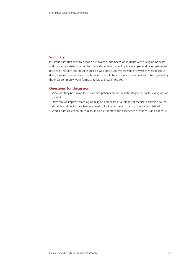# **Summary**

It is important that medical schools are aware of the needs of students with a religion or belief, and that appropriate provision for these students is made. In particular, pastoral care systems and policies on religion and belief should be well publicised. Where students wish to wear religious dress, ease of communication with patients should be a priority. This is unlikely to be impeded by the most commonly worn forms of religious dress in the UK.

# **Questions for discussion**

- What are they best ways to ensure that patients are not disadvantaged by doctors' religions or beliefs?
- How can we improve teaching on religion and belief at all stages of medical education so that students and doctors are best prepared to look after patients from a diverse population?
- Would data collection on religion and belief improve the experience of students and patients?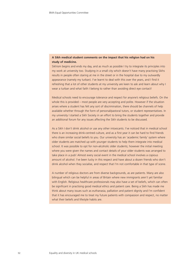# **A Sikh medical student comments on the impact that his religion had on his study of medicine.**

Sikhism begins and ends my day, and as much as possible I try to integrate its principles into my work at university too. Studying in a small city which doesn't have many practising Sikhs results in people often staring at me in the street or in the hospital due to my outwardly appearance (namely my turban). I've learnt to deal with this over the years, and I find it refreshing that a lot of other students at my university are keen to ask and learn about why I wear a turban and what faith I belong to rather than avoiding direct eye contact!

Medical schools need to encourage tolerance and respect for anyone's religious beliefs. On the whole this is provided – most people are very accepting and polite. However if the situation arises where a student has felt any sort of discrimination, there should be channels of help available whether through the form of personal/pastoral tutors, or student representatives. In my university I started a Sikh Society in an effort to bring the students together and provide an additional forum for any issues affecting the Sikh students to be discussed.

As a Sikh I don't drink alcohol or use any other intoxicants. I've noticed that in medical school there is an increasing drink-centred culture, and as a first year it can be hard to find friends who share similar social beliefs to you. Our university has an 'academic family' system where older students are matched up with younger students to help them integrate into medical school. It was possible to opt for non-alcoholic older students; however the initial meeting where you were given the names and contact details of your older students was arranged to take place in a pub! Almost every social event in the medical school involves a copious amount of alcohol. I've been lucky in this respect and have about a dozen friends who don't drink alcohol when they socialise, and respect that I'm not comfortable in that type of scene.

A number of religious doctors are from diverse backgrounds, as are patients. Many are also bilingual which can be helpful in areas of Britain where new immigrants aren't yet familiar with English. Religious healthcare professionals may also have a set of beliefs, which can often be significant in practising good medical ethics and patient care. Being a Sikh has made me think about many issues such as euthanasia, palliation and patient dignity and I'm confident that it has encouraged me to treat my future patients with compassion and respect, no matter what their beliefs and lifestyle habits are.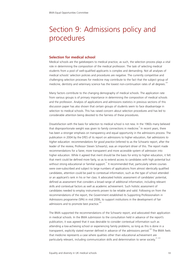# Section 9: Admissions policy and procedures

## **Selection for medical school**

Medical schools are the gatekeepers to medical practice, as such, the selection process plays a vital role in determining the composition of the medical profession. The task of selecting medical students from a pool of well-qualified applicants is complex and demanding. Not all analyses of medical schools' selection policies and procedures are negative. The currently competitive and challenging selection processes for medicine may contribute to the fact that the subject group of medicine, dentistry and veterinary science has the lowest non-continuation rates of all degrees.<sup>201</sup>

Many factors contribute to the changing demography of medical schools. The application rate from various groups is of primary importance in determining the composition of medical schools and the profession. Analysis of applications and admissions statistics in previous sections of this discussion paper has also shown that certain groups of students seem to face disadvantage in selection to medical schools. This has raised concern about selection procedures and has led to considerable attention being devoted to the fairness of these procedures.

Dissatisfaction with the basis for selection to medical school is not new. In the 1960s many believed that disproportionate weight was given to family connections in medicine. <sup>6</sup> In recent years, there has been a stronger emphasis on transparency and equal opportunity in the admissions process. The publication in 2004 by the DfES of its report on admissions to higher education, *Fair admissions to higher education: recommendations for good practice* (referred to as the Schwartz report, after the leader of the review, Professor Steven Schwartz), was an important driver of this. The report made recommendations for a fairer, more transparent and more accessible system of admission into higher education. While it agreed that merit should be the basis for entry to higher education, it felt that merit could be defined more fairly, so as to extend access to candidates with high potential but without strong educational or familial support.<sup>11</sup> It recommended that, particularly where courses were over-subscribed and subject to large numbers of applications from almost identically qualified candidates, attention could be paid to contextual information, such as the type of school attended or an applicant's rank in his or her class. It advocated holistic assessment of candidates' potential, defined as assessment that considers a broad range of additional information, including relevant skills and contextual factors as well as academic achievement. Such holistic assessment of candidates needed to employ instruments proven to be reliable and valid. Following on from the recommendations of the report, the Government established its Supporting Professionalism in Admissions programme (SPA) in mid 2006, to support institutions in the development of fair admissions and to promote best practice.<sup>202</sup>

The BMA supported the recommendations of the Schwartz report, and advocated their application in medical schools. In the BMA submission to the consultation held in advance of the report's publication, it was agreed that it was desirable to consider contextual information such as attending a low-achieving school or experiencing family problems, so long as this is done in a transparent, explicitly stated manner defined in advance of the admissions period.<sup>203</sup> The BMA feels that medicine represents a case where qualities other than educational achievement are particularly relevant, including communication skills and determination to serve society. $^{37,203}$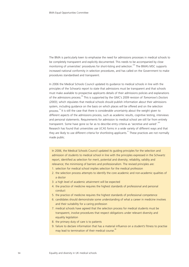The BMA is particularly keen to emphasise the need for admissions processes in medical schools to be completely transparent and explicitly documented. This needs to be accompanied by close monitoring of universities' procedures for short-listing and selection.<sup>204</sup> The BMA's MSC supports increased national conformity in selection procedures, and has called on the Government to make procedures standardised and transparent.

In 2006 the Medical Schools Council updated its guidance to medical schools in line with the principles of the Schwartz report to state that admissions must be transparent and that schools must make available to prospective applicants details of their admissions policies and explanations of the admissions process.<sup>36</sup> This is supported by the GMC's 2009 revision of *Tomorrow's Doctors (2003)*, which stipulates that medical schools should publish information about their admissions system, including guidance on the basis on which places will be offered and on the selection process.<sup>14</sup> It is still the case that there is considerable uncertainty about the weight given to different aspects of the admissions process, such as academic results, cognitive testing, interviews and personal statements. Requirements for admission to medical school are still far from entirely transparent. Some have gone so far as to describe entry criteria as 'secretive and varied'.<sup>205</sup> Research has found that universities use UCAS forms in a wide variety of different ways and that they are likely to use different criteria for shortlisting applicants.<sup>31</sup> These practices are not normally made public.

In 2006, the Medical Schools Council updated its guiding principles for the selection and admission of students to medical school in line with the principles expressed in the Schwartz report, identified as selection for merit, potential and diversity; reliability, validity and relevance; the minimising of barriers and professionalism. The revised principles are:

- 1. selection for medical school implies selection for the medical profession
- 2. the selection process attempts to identify the core academic and non-academic qualities of a doctor
- 3. a high level of academic attainment will be expected
- 4. the practice of medicine requires the highest standards of professional and personal conduct
- 5. the practice of medicine requires the highest standards of professional competence
- 6. candidates should demonstrate some understanding of what a career in medicine involves and their suitability for a caring profession
- 7. medical schools have agreed that the selection process for medical students must be transparent, involve procedures that respect obligations under relevant diversity and equality legislation
- 8. the primary duty of care is to patients
- 9. failure to declare information that has a material influence on a student's fitness to practise may lead to termination of their medical course.<sup>96</sup>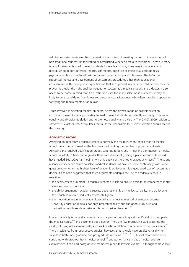Admissions instruments are often debated in the context of creating barriers to the selection of non-traditional students (ie facilitating or obstructing widened access to medicine). There are many types of instruments used to select students for medical school; these may include academic record, school report, referees' reports, self reports, cognitive or intellectual aptitude tests, psychometric tests, structured tasks, organised group activity and interviews. The BMA has supported the use and development of assessment procedures other than educational achievement, with the important qualification that such procedures must be valid, ie they must be proven to predict the right qualities needed for success as a medical student and a doctor. It also needs to be borne in mind that if an institution uses too many selection instruments, it may be likely to deter candidates from lower socio-economic backgrounds, who often have less support in satisfying the requirements of admission.

Those involved in selecting medical students, across the diverse range of possible selection instruments, need to be appropriately trained to select students consistently and fairly, to observe equality and diversity legislation and to promote equality and diversity. The GMC's 2009 revision to *Tomorrow's Doctors (2003)* stipulates that all those responsible for student selection should receive this training. $14$ 

# **Academic record**

Assessing an applicant's academic record is normally the main criterion for selection to medical school. Very often it is used as the first means of limiting the number of potential entrants. Achieving the required qualification grades continue to be crucial in gaining admittance to medical school. In 2004, to have had a greater than even chance of gaining a place, a candidate would have needed 360 UCAS tariff points, which is equivalent to three A grades at A-level.<sup>206</sup> The strong reliance on academic record to select medical students has aroused some controversy, with some questioning whether the highest level of academic achievement is a good predictor of success as a doctor. It has been suggested that three arguments underpin the use of academic record in selection:

- the achievement argument academic records are said to ensure a minimum competence in the sciences basic to medicine
- the ability argument academic success depends mainly on intellectual ability, and achievement tests, such as A-levels, indirectly assess intelligence
- the motivation argument academic record is an effective method of selection because university education requires not only intellectual ability but also good study skills and motivation, which are demonstrated through past achievement.<sup>207</sup>

Intellectual ability is generally regarded a crucial part of predicting a student's ability to complete the medical course<sup>208</sup> and become a good doctor. There are few prospective studies testing the validity of using achievement tests, such as A-levels, in relation to outcomes in medical careers.<sup>2</sup> There is evidence from retrospective studies, however, that A-levels have predictive validity for success in both undergraduate and postgraduate medicine.<sup>100, 207, 209, 210</sup> A-level results have been correlated with drop-out from medical school, $207$  and performance in basic medical science examinations, finals and postgraduate membership and fellowship exams;<sup>211</sup> although some A-level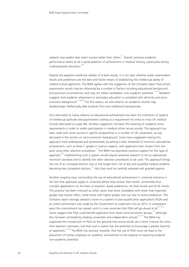subjects may predict later exam success better than others.<sup>72</sup> Overall, previous academic performance seems to be a good predictor of achievement in medical training, particularly during undergraduate education.<sup>209</sup>

Despite the apparent predictive validity of A-level results, it is not clear whether public examination results and predictions are the best and fairest means of establishing the intellectual ability of medical school applicants. The BMA agrees with the suggestion of the Schwartz report that school examination results may be influenced by a number of factors including educational background and personal circumstances, and may not reflect candidates' true academic potential.<sup>11, 203</sup> Research suggests that academic attainment in secondary education is correlated with ethnicity and socioeconomic background.<sup>21, 86, 206</sup> For this reason, an over-reliance on academic records may disadvantage intellectually able students from non-traditional backgrounds.

One alternative to heavy reliance on educational achievement has been the institution of systems of intellectual aptitude and psychometric testing as a requirement for entry to most UK medical schools (discussed on page 98). Another suggestion has been the lowering of academic entry requirements in order to widen participation in medical school across society. This approach has been used with some success in specific programmes in a number of UK universities, as was discussed in the section on socio-economic background. Some have suggested making this approach more widespread and systematised, by setting a basic threshold of minimum educational achievement, such as three C grades in science subjects, with applicants then chosen from this pool using other selection procedures.<sup>51</sup> The BMA has expressed cautious support for this type of approach.<sup>203</sup> Implementing such a system would require extensive research to set an appropriate minimum standard and to identify the other selection procedures to be used. This approach brings the risk of an increased attrition rate or the longer-term risk of less well qualified medical students becoming less competent doctors;<sup>111</sup> risks that must be carefully assessed and quarded against.

Another ongoing issue surrounding the use of educational achievement in university entrance is the fact that applicants apply to university before they receive their results. Universities thus consider applications on the basis of teachers' grade predictions, AS level results and GCSE results. This practice has been criticised as unfair, given that some candidates with lower than expected grades may receive offers, while those with higher grades miss out due to faulty predictions. The Schwartz report strongly advised a move to a system of post-qualification applications (PQA) and an initial commitment was made by the Government to implement this by 2012. In subsequent years this commitment has waned, and it is now uncertain that PQA will go ahead at all.<sup>212, 213</sup> Some suggest that PQA could benefit applicants from lower socio-economic groups, $214$  although this has been contested by leading universities and independent schools.<sup>43, 215</sup> The BMA has supported the introduction of PQA on the grounds that actual results are a fairer criterion for entry than teachers' estimates, and that such a system has the potential to encourage a greater diversity of applicants.<sup>37, 203</sup> The BMA has warned, however, that the use of POA must not lead to the placement of further emphasis on academic achievement at the expense of exploring students' non-academic potential.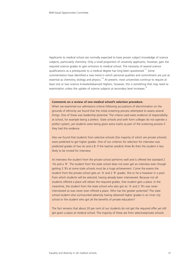Applicants to medical school are normally expected to have proven subject knowledge of science subjects, particularly chemistry. Only a small proportion of university applicants, however, gain the required science grades to gain entrance to medical school. The necessity of several science qualifications as a prerequisite to a medical degree has long been questioned.<sup>111</sup> Some commentators have identified a new trend in which personal qualities and commitment are just as essential as chemistry, biology and physics.<sup>216</sup> At present, most universities continue to require at least one or two science A-levels/Advanced Highers, however, this is something that may need reexamination unless the uptake of science subjects at secondary level increases.<sup>38</sup>

#### **Comments on a review of one medical school's selection procedure.**

When we examined our admissions criteria following accusations of discrimination on the grounds of ethnicity we found that the initial screening process attempted to assess several things. One of these was leadership potential. The criteria used were evidence of responsibility at school, for example being a prefect. State schools and sixth form colleges do not operate a prefect system, yet students were being given extra marks as part of the screening process if they had this evidence.

Also we found that students from selective schools (the majority of which are private schools) were predicted to get higher grades. One of our criterion for selection for interview was predicted grades of two As and a B. If the teacher predicts three Bs then the student is less likely to be invited for interview.

At interview the student from the private school performs well and is offered the standard 2 'A's and a 'B'. The student from the state school does not even get an interview even though getting 3 'B's at some state schools must be a huge achievement. Come the exams the student from the private school gets an 'A' and 2 'B' grades. She or he is however in a pool from which students will be selected, having already been interviewed. Because not all students offered a place will obtain the required grades, that student gets a place. In the meantime, the student from the state school who also got an 'A' and 2 'B's was never interviewed so was never even offered a place. Who has the greater potential? The state school student who surmounted adversity having obtained higher grades in an inner city school or the student who got all the benefits of private education?

The fact remains that about 20 per cent of our students do not get the required offer yet still get given a place at medical school. The majority of these are from selective/private schools.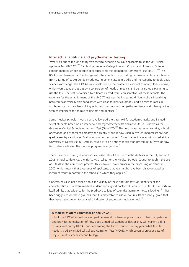#### **Intellectual aptitude and psychometric testing**

Twenty-six out of the UK's thirty-two medical schools now ask applicants to sit the UK Clinical Aptitude Test (UKCAT).<sup>217</sup> Cambridge, Imperial College London, Oxford and University College London medical schools require applicants to sit the Biomedical Admissions Test (BMAT).<sup>218</sup> The BMAT was developed at Cambridge with the intention of providing fair assessments of applicants from a range of backgrounds by addressing generic academic skills and the capacity to apply basic science knowledge. The UKCAT was developed by the private educational company, Pearson Vue, which won a tender put out by a consortium of heads of medical and dental schools planning to use the test. The test is overseen by a Board elected from representatives of these schools. The rationale for the establishment of the UKCAT test was the increasing difficulty of distinguishing between academically able candidates with close to identical grades, and a desire to measure attributes such as problem-solving skills, conscientiousness, empathy, resilience and other qualities seen as important to the role of doctors and dentists.<sup>219</sup>

Some medical schools in Australia have lowered the threshold for academic marks and instead select students based on an interview and psychometric tests similar to UKCAT, known as the Graduate Medical Schools Admissions Test (GAMSAT).<sup>220</sup> This test measures cognitive skills, ethical orientation and aspects of empathy and creativity and is now used in five UK medical schools for graduate-entry candidates. Evaluation studies performed 10 years after this was introduced at the University of Newcastle in Australia, found it to be a superior selection procedure in terms of how far students achieved the medical programme objectives. $221$ 

There have been strong reservations expressed about the use of aptitude tests in the UK, and at its 2008 annual conference, the BMA's MSC called for the Medical Schools Council to abolish the use of UKCAT in the admissions process. This followed major errors in the processing of results in 2007, which meant that thousands of applicants that year might have been disadvantaged by incorrect results reported to the schools to which they applied.<sup>222</sup>

Concern has also been raised about the validity of these aptitude tests as identifiers of the characteristics a successful medical student and a good doctor will require. The UKCAT Consortium itself admits that evidence for the predictive validity of cognitive admission tests is lacking.<sup>219</sup> It has been suggested on these grounds that it is preferable to use A-level results exclusively, given that they have been proven to be a valid indicator of success at medical school.<sup>223</sup>

#### **A medical student comments on the UKCAT.**

I think the UKCAT should be scrapped because it confuses applicants about their competence and provides no indication of how good a medical student or doctor they will make, I didn't do very well on my UKCAT but I am among the top 25 students in my year. What the UK needs is a US-style Medical College Admission Test (MCAT), which covers a broader base of physics, maths, chemistry and biology.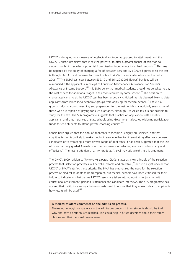UKCAT is designed as a measure of intellectual aptitude, as opposed to attainment, and the UKCAT Consortium claims that it has the potential to offer a greater chance of selection to students with high academic potential from disadvantaged educational backgrounds.<sup>219</sup> This may be negated by the policy of charging a fee of between £60 and £75 (2008 figures) to sit the test (although UKCAT paid bursaries to cover this fee to 4.7% of candidates who took the test in 2006).<sup>219</sup> The BMAT test cost between £32.10 and £64.20 (2008 figures) but fees will be reimbursed if the applicant is in receipt of Education Maintenance Allowance, Job Seeker's Allowance or Income Support.<sup>224</sup> It is BMA policy that medical students should not be asked to pay the cost of fees for additional stages in selection required by some schools. $37$  The decision to charge applicants to sit the UKCAT test has been especially criticised; as it is deemed likely to deter applicants from lower socio-economic groups from applying for medical school.<sup>222</sup> There is a growth industry around coaching and preparation for the test, which is anecdotally seen to benefit those who are capable of paying for such assistance, although UKCAT claims it is not possible to study for the test. The SPA programme suggests that practice on application tests benefits applicants, and cites instances of state schools using Government-allocated widening participation funds to send students to attend private coaching courses.<sup>225</sup>

Others have argued that the pool of applicants to medicine is highly pre-selected, and that cognitive testing is unlikely to make much difference, either to differentiating effectively between candidates or to attracting a more diverse range of applicants. It has been suggested that the use of more narrowly graded A-levels offer the best means of selecting medical students fairly and effectively.<sup>223</sup> The recent addition of an  $A^*$  grade at A-level may add weight to this argument.

The GMC's 2009 revision to *Tomorrow's Doctors (2003)* states as a key principle of the selection process that 'selection processes will be valid, reliable and objective', $14$  and it is as yet unclear that UKCAT or BMAT satisfies these criteria. The BMA has emphasised the need for the selection process of medical students to be transparent, but medical schools have been criticised for their failure to indicate to what degree UKCAT results are taken into account in conjunction with educational achievement, personal statements and candidate interviews. The SPA programme has advised that institutions using admissions tests need to ensure that they make it clear to applicants how results will be used.<sup>225</sup>

#### **A medical student comments on the admission process.**

There's not enough transparency in the admissions process. I think students should be told why and how a decision was reached. This could help in future decisions about their career choices and their personal development.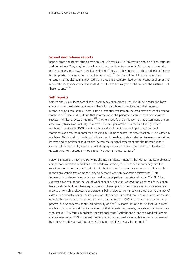#### **School and referee reports**

Reports from applicants' schools may provide universities with information about abilities, attitudes and behaviours. They may be biased or omit uncomplimentary material. School reports can also make comparisons between candidates difficult.<sup>89</sup> Research has found that the academic reference has no predictive value in subsequent achievement.<sup>209</sup> The motivation of the referee is often uncertain. It has also been suggested that schools feel compromised by the recent requirement to make references available to the student, and that this is likely to further reduce the usefulness of these reports.<sup>36, 101</sup>

#### **Self reports**

Self reports usually form part of the university selection procedures. The UCAS application form contains a personal statement section that allows applicants to write about their interests, motivations and aspirations. There is little substantial research on the predictive power of personal statements.<sup>209</sup> One study did find that information in the personal statement was predictive of success in clinical aspects of training.<sup>226</sup> Another study found evidence that the assessment of nonacademic activities was actually predictive of poorer performance in the first three years of medicine.<sup>100</sup> A study in 2005 examined the validity of medical school applicants' personal statements and referee reports for predicting future unhappiness or dissatisfaction with a career in medicine. This found that 'although widely used in medical student selection to assess motivation, interest and commitment to a medical career, the personal statement and the referee's report cannot validly be used by assessors, including experienced medical school selectors, to identify doctors who will subsequently be dissatisfied with a medical career'.<sup>224</sup>

Personal statements may give some insight into candidate's interests, but do not facilitate objective comparisons between candidates. Like academic records, the use of self reports may bias the selection process in favour of students with better school or parental support and guidance. Self reports give candidates an opportunity to demonstrate non-academic achievements. This frequently includes work experience as well as participation in sports and music. The BMA has expressed concern about the use of work experience or work observation as criteria for selection because students do not have equal access to these opportunities. There are certainly anecdotal reports of very able, disadvantaged students being rejected from medical school due to the lack of extra-curricular activities on their applications. It has been reported that a small number of medical schools choose not to use the non-academic section of the UCAS form at all in their admissions process, due to concerns about this possibility of bias.<sup>31</sup> Research has also found that while most medical schools offer training to members of their interviewing panels, only about half train those who assess UCAS forms in order to shortlist applicants.<sup>31</sup> Admissions deans at a Medical Schools Council meeting in 2008 discussed their concern that personal statements are now so influenced by others that they are without any reliability or usefulness as a selection tool.<sup>227</sup>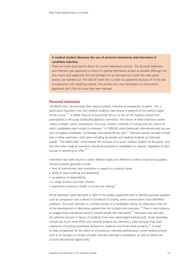#### **A medical student discusses the use of personal statements and interviews in candidate selection.**

There are some good points about the current admissions process. The personal statement and interview give applicants a chance to express themselves as best as possible although this also means that applicants who are perhaps not so articulate but could still make good doctors are weeded out. The UKCAT exam fee is a bane on applicants because of its fee and incongruence with anything medical. The process isn't very transparent as unsuccessful applicants don't find out why they were rejected.

#### **Personal interview**

The BMA's MSC recommends that medical schools interview all prospective students. This is particularly important now that medical students have access to patients at the earliest stages of the course.<sup>8, 37</sup> In 2006, Parry et al found that 20 out of the 22 UK medical schools that participated in the study conducted applicant interviews. The nature of these interviews varied widely in length, panel composition, structure, content, methods of scoring and the criteria on which candidates were invited to interview.<sup>31</sup> In 2002/03 while Edinburgh interviewed only two per cent of eligible candidates, Cambridge interviewed 99 per cent.<sup>63</sup> Interview panels normally include two or three examiners, with some including lay people and medical students on interview panels.<sup>31</sup> The BMA's MSC recommends the inclusion of a senior medical student on the panel, and that the notes made at interviews should be available to candidates on request, regardless of their success in obtaining an offer.<sup>19, 37</sup>

Interviews have been found to assess different types and different numbers of personal qualities. Desired qualities generally include:

- level of commitment and motivation in regard to a medical career
- ability in team-working and leadership
- acceptance of responsibility
- a range of extra-curricular interests
- experience working in health or social care settings.<sup>31</sup>

While interviews seem desirable in light of the widely supported need to identify personal qualities such as compassion and a desire to contribute to society, some commentators have identified problems. One brief interview is a limited sample of a candidate's ability, an observation that led to the development of alternative systems like the multiple mini-interview.<sup>228</sup> There is also evidence to suggest that interviewers tend to choose people like themselves.<sup>67</sup> Interviews may also bias the selection process in favour of students from more advantaged backgrounds. Some secondary schools put much more effort into training students for interviews, often because they have experience of putting candidates forward for medicine and know what to expect.<sup>85</sup> In order to help compensate for the effect of schooling on interview performance, some medical schools such as St George's in London provide interview training to candidates, as well as taking into account educational opportunity.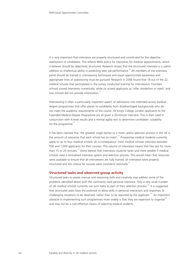It is very important that interviews are properly structured and constituted for the objective assessment of candidates. This reflects BMA policy for interviews for medical appointments, which it believes should be objectively structured. Research shows that the structured interview is a useful addition to intellectual ability in predicting later job performance.<sup>36</sup> All members of the interview panel should be trained in interviewing techniques and equal opportunities awareness and appropriate lines of questioning must be pursued. Research in 2006 found that 18 out of the 22 medical schools that participated in the survey conducted training for interviewers. Fourteen schools scored interviews numerically, while six scored applicants as 'offer, borderline or reject' and two schools did not provide information.<sup>31</sup>

Interviewing is often a particularly important aspect of admissions into extended access medical degree programmes that offer places to candidates from disadvantaged backgrounds who do not meet the academic requirements of the course. At King's College London applicants to the Extended Medical Degree Programme are all given a 30-minute interview. This is then used in conjunction with A-level results and a mental agility test to determine candidates' suitability for the programme. $47$ 

It has been claimed that 'the greatest single barrier to a more careful selection process in the UK is the amount of resources that each school has to invest'.<sup>70</sup> Prospective medical students currently apply to up to four medical schools. As a consequence, most medical schools interview between 500 and 1,000 applicants for their courses. This volume of interviews means that few last for more than 15 or 20 minutes.<sup>70</sup> Some believe that interviews could be fairer and more reliable if medical schools used a centralised interview system and selection process. This would mean that resources were available to ensure that all interviewers are fully trained, all interviews were properly structured and the criteria for success were consistent nationally.<sup>10</sup>

#### **Structured tasks and observed group activity**

Structured tasks to assess manual and reasoning skills and creativity may address some of the problems identified above with the commonly used personal interview. Only a very small number of UK medical schools currently use such tasks as part of their selection process.<sup>227</sup> It is suggested that structured tasks have the potential to allow skills in personal interaction and responses to challenging situations to be observed, rather than to be reported by the applicant.<sup>227</sup> An important obstacle in implementing such programmes more widely is that they are expensive to organise<sup>221</sup> and may not be a cost-effective means of selecting medical students.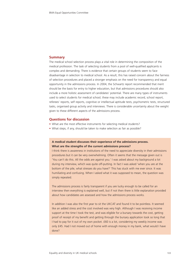#### **Summary**

The medical school selection process plays a vital role in determining the composition of the medical profession. The task of selecting students from a pool of well-qualified applicants is complex and demanding. There is evidence that certain groups of students seem to face disadvantage in selection to medical school. As a result, this has raised concern about the fairness of selection procedures and placed a stronger emphasis on the need for transparency and equal opportunity in the admissions process. In 2004, the Schwartz report recommended that merit should be the basis for entry to higher education, but that admissions procedures should also include a more holistic assessment of candidates' potential. There are many types of instruments used to select students for medical school; these may include academic record, school report, referees' reports, self reports, cognitive or intellectual aptitude tests, psychometric tests, structured tasks, organised group activity and interviews. There is considerable uncertainty about the weight given to these different aspects of the admissions process.

#### **Questions for discussion**

- What are the most effective instruments for selecting medical students?
- What steps, if any, should be taken to make selection as fair as possible?

#### **A medical student discusses their experience of the admissions process. What are the strengths of the current admissions process?**

I think there is awareness in institutions of the need to appreciate diversity in their admissions procedures but it can be very overwhelming. Often it seems that the message given out is 'You can't do this. All the odds are against you.' I was asked about my background a lot during my interview, which was quite off-putting. In fact I was asked 'when you are at the bottom of the pile, what stresses do you have?' This has stuck with me ever since. It was humiliating and confusing. When I asked what it was supposed to mean, the question was simply repeated.

The admissions process is fairly transparent if you are lucky enough to be called for an interview then everything is explained well, but if not then there is little explanation provided about how candidates are assessed and how the admissions process works.

In addition I was also the first year to sit the UKCAT and found it to be pointless. It seemed like an added stress and the cost involved was very high. Although I was receiving income support at the time I took the test, and was eligible for a bursary towards the cost, getting proof of receipt of my benefit and getting through the bursary application took so long that I had to pay for it out of my own pocket. £60 is a lot, considering my weekly income was only £45. Had I not moved out of home with enough money in my bank, what would I have done?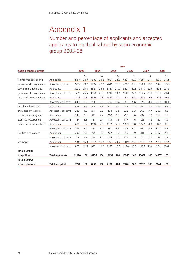Number and percentage of applicants and accepted applicants to medical school by socio-economic group 2003-08

|                          |                         | Year  |               |       |               |       |               |       |               |       |               |       |               |
|--------------------------|-------------------------|-------|---------------|-------|---------------|-------|---------------|-------|---------------|-------|---------------|-------|---------------|
| Socio-economic group     |                         | 2003  |               | 2004  |               | 2005  |               | 2006  | 2007          |       | 2008          |       |               |
|                          |                         |       | $\frac{0}{0}$ |       | $\frac{0}{0}$ |       | $\frac{0}{0}$ |       | $\frac{0}{0}$ |       | $\frac{0}{0}$ |       | $\frac{0}{0}$ |
| Higher managerial and    | Applicants              | 4157  | 34.9          | 4830  | 33.8          | 4854  | 31.0          | 4881  | 32.0          | 4687  | 31.1          | 4635  | 31.2          |
| professional occupations | Accepted applicants     | 2727  | 39.2          | 2907  | 40.0          | 2615  | 36.8          | 2747  | 38.3          | 2680  | 38.2          | 2685  | 37.6          |
| Lower managerial and     | Applicants              |       | 25.4          | 3624  | 25.4          | 3757  | 24.0          | 3428  | 22.5          | 3418  | 22.6          | 3532  | 23.8          |
| professional occupations | Accepted applicants     |       | 25.5          | 1851  | 25.5          | 1712  | 24.1          | 1642  | 22.9          | 1625  | 23.2          | 1671  | 23.4          |
| Intermediate occupations | Applicants              | 1113  | 9.3           | 1365  | 9.6           | 1423  | 9.1           | 1405  | 9.2           | 1382  | 9.2           | 1518  | 10.2          |
|                          | Accepted applicants     | 643   | 9.2           | 700   | 9.6           | 666   | 9.4           | 688   | 9.6           | 628   | 8.9           | 733   | 10.3          |
| Small employers and      | Applicants              | 458   | 3.8           | 549   | 3.8           | 542   | 3.5           | 503   | 3.3           | 544   | 3.6           | 552   | 3.7           |
| own account workers      | Accepted applicants     | 289   | 4.2           | 277   | 3.8           | 268   | 3.8           | 238   | 3.3           | 260   | 3.7           | 232   | 3.2           |
| Lower supervisory and    | Applicants              | 244   | 2.0           | 311   | 2.2           | 260   | 1.7           | 250   | 1.6           | 292   | 1.9           | 284   | 1.9           |
| technical occupations    | Accepted applicants     | 144   | 2.1           | 151   | 2.1           | 115   | 1.6           | 117   | 1.6           | 128   | 1.8           | 139   | 1.9           |
| Semi-routine occupations | Applicants              | 679   | 5.7           | 1004  | 7.0           | 1135  | 7.3           | 1069  | 7.0           | 1247  | 8.3           | 1408  | 9.5           |
|                          | Accepted applicants     | 374   | 5.4           | 453   | 6.2           | 451   | 6.3           | 435   | 6.1           | 460   | 6.6           | 591   | 8.3           |
| Routine occupations      | Applicants              | 237   | 2.0           | 279   | 2.0           | 272   | 1.7           | 293   | 1.9           | 281   | 1.9           | 357   | 2.4           |
|                          | Accepted applicants     | 129   | 1.9           | 110   | 1.5           | 104   | 1.5           | 111   | 1.5           | 110   | 1.6           | 139   | 1.9           |
| Unknown                  | Applicants              | 2002  | 16.8          | 2314  | 16.2          | 3394  | 21.7          | 3419  | 22.4          | 3241  | 21.5          | 2551  | 17.2          |
|                          | Accepted applicants     | 877   | 12.6          | 813   | 11.2          | 1175  | 16.5          | 1198  | 16.7          | 1126  | 16.0          | 954   | 13.4          |
| <b>Total number</b>      |                         |       |               |       |               |       |               |       |               |       |               |       |               |
| of applicants            | <b>Total applicants</b> | 11920 | 100           | 14276 | 100           | 15637 | 100           | 15248 | 100           | 15092 | 100           | 14837 | 100           |
| <b>Total number</b>      |                         |       |               |       |               |       |               |       |               |       |               |       |               |
| of acceptances           | <b>Total accepted</b>   | 6953  | 100           | 7262  | 100           | 7106  | 100           | 7176  | 100           | 7017  | 100           | 7144  | 100           |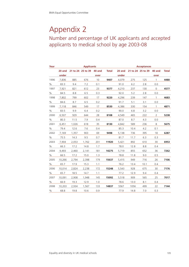### Number and percentage of UK applicants and accepted applicants to medical school by age 2003-08

| Year |        |       | <b>Applicants</b>        |      |       | <b>Acceptances</b> |                                 |      |                |              |  |  |  |
|------|--------|-------|--------------------------|------|-------|--------------------|---------------------------------|------|----------------|--------------|--|--|--|
|      | 20 and |       | 21 to 24 25 to 39 40 and |      | Total |                    | 20 and 21 to 24 25 to 39 40 and |      |                | <b>Total</b> |  |  |  |
|      | under  |       |                          | over |       | under              |                                 |      | over           |              |  |  |  |
| 1996 | 7,836  | 885   | 676                      | 10   | 9407  | 4,079              | 275                             | 125  | $\mathbf{1}$   | 4480         |  |  |  |
| $\%$ | 83.3   | 9.4   | 7.2                      | 0.1  |       | 91.0               | 6.2                             | 2.8  | 0.0            |              |  |  |  |
| 1997 | 7,921  | 821   | 612                      | 23   | 9377  | 4,210              | 237                             | 130  | 0              | 4577         |  |  |  |
| $\%$ | 84.5   | 8.8   | 6.5                      | 0.3  |       | 92.0               | 5.2                             | 2.8  | 0.0            |              |  |  |  |
| 1998 | 7,802  | 799   | 602                      | 17   | 9220  | 4,296              | 239                             | 147  | $\overline{1}$ | 4683         |  |  |  |
| $\%$ | 84.6   | 8.7   | 6.5                      | 0.2  |       | 91.7               | 5.1                             | 3.1  | 0.0            |              |  |  |  |
| 1999 | 7,118  | 846   | 549                      | 17   | 8530  | 4,386              | 330                             | 154  | $\mathbf{1}$   | 4871         |  |  |  |
| %    | 83.5   | 9.9   | 6.4                      | 0.2  |       | 90.0               | 6.8                             | 3.2  | 0.0            |              |  |  |  |
| 2000 | 6,507  | 929   | 644                      | 28   | 8108  | 4,549              | 465                             | 222  | 2              | 5238         |  |  |  |
| $\%$ | 80.3   | 11.5  | 7.9                      | 0.4  |       | 87.0               | 8.7                             | 4.3  | 0.0            |              |  |  |  |
| 2001 | 6,451  | 1,026 | 618                      | 35   | 8130  | 4,842              | 589                             | 236  | 8              | 5675         |  |  |  |
| %    | 79.4   | 12.6  | 7.6                      | 0.4  |       | 85.3               | 10.4                            | 4.2  | 0.1            |              |  |  |  |
| 2002 | 7,169  | 1,357 | 903                      | 69   | 9498  | 5,138              | 736                             | 395  | 18             | 6287         |  |  |  |
| $\%$ | 75.5   | 14.3  | 9.5                      | 0.7  |       | 81.7               | 11.7                            | 6.3  | 0.3            |              |  |  |  |
| 2003 | 7,904  | 2,053 | 1,762                    | 201  | 11920 | 5,421              | 892                             | 610  | 30             | 6953         |  |  |  |
| $\%$ | 66.3   | 17.2  | 14.8                     | 1.7  |       | 78.0               | 12.8                            | 8.8  | 0.4            |              |  |  |  |
| 2004 | 9,493  | 2,460 | 2,141                    | 181  | 14275 | 5,719              | 855                             | 652  | 36             | 7262         |  |  |  |
| $\%$ | 66.5   | 17.2  | 15.0                     | 1.3  |       | 78.8               | 11.8                            | 9.0  | 0.5            |              |  |  |  |
| 2005 | 10,266 | 2,794 | 2,398                    | 179  | 15637 | 5,415              | 949                             | 716  | 26             | 7106         |  |  |  |
| $\%$ | 65.7   | 17.9  | 15.3                     | 1.1  |       | 76.2               | 13.4                            | 10.1 | 0.4            |              |  |  |  |
| 2006 | 10,014 | 2,824 | 2,238                    | 172  | 15248 | 5,543              | 928                             | 675  | 30             | 7176         |  |  |  |
| $\%$ | 65.7   | 18.5  | 14.7                     | 1.1  |       | 77.2               | 12.9                            | 9.4  | 0.4            |              |  |  |  |
| 2007 | 10,091 | 2,908 | 1,948                    | 145  | 15092 | 5,518              | 909                             | 565  | 25             | 7017         |  |  |  |
| %    | 66.9   | 19.3  | 12.9                     | 1.0  |       | 78.6               | 13.0                            | 8.1  | 0.4            |              |  |  |  |
| 2008 | 10,203 | 2,934 | 1,567                    | 133  | 14837 | 5567               | 1056                            | 499  | 22             | 7144         |  |  |  |
| $\%$ | 68.8   | 19.8  | 10.6                     | 0.9  |       | 77.9               | 14.8                            | 7.0  | 0.3            |              |  |  |  |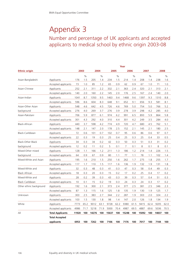Number and percentage of UK applicants and accepted applicants to medical school by ethnic origin 2003-08

|                          | Year                    |       |             |       |             |       |             |                |             |       |             |       |             |
|--------------------------|-------------------------|-------|-------------|-------|-------------|-------|-------------|----------------|-------------|-------|-------------|-------|-------------|
| <b>Ethnic origin</b>     |                         |       | 2003        |       | 2004        |       | 2005        |                | 2006        |       | 2007        |       | 2008        |
| Asian-Bangladeshi        | Applicants              | 176   | $\%$<br>1.5 | 205   | $\%$<br>1.4 | 234   | $\%$<br>1.5 | 214            | $\%$<br>1.4 | 208   | $\%$<br>1.4 | 238   | $\%$<br>1.6 |
|                          | Accepted applicants     | 73    | 1.0         | 85    | 1.2         | 65    | 0.9         | 62             | 0.9         | 67    | 1.0         | 71    | 1.0         |
| Asian-Chinese            | Applicants              | 252   | 2.1         | 311   | 2.2         | 332   | 2.1         | 363            | 2.4         | 320   | 2.1         | 313   | 2.1         |
|                          | Accepted applicants     | 140   | 2.0         | 160   | 2.2         | 145   | 2.0         | 176            | 2.5         | 167   | 2.4         | 140   | 2.0         |
| Asian-Indian             | Applicants              | 1041  | 8.7         | 1350  | 9.5         | 1463  | 9.4         | 1468           | 9.6         | 1397  | 9.3         | 1310  | 8.8         |
|                          | Accepted applicants     | 596   | 8.6         | 604   | 8.3         | 648   | 9.1         | 652            | 9.1         | 656   | 9.3         | 581   | 8.1         |
| Asian-Other Asian        | Applicants              | 548   | 4.6         | 642   | 4.5         | 726   | 4.6         | 769            | 5.0         | 754   | 5.0         | 766   | 5.2         |
| background               | Accepted applicants     | 276   | 4.0         | 269   | 3.7         | 276   | 3.9         | 278            | 3.9         | 298   | 4.2         | 285   | 4.0         |
| Asian-Pakistani          | Applicants              | 706   | 5.9         | 877   | 6.1         | 974   | 6.2         | 991            | 6.5         | 893   | 5.9         | 864   | 5.8         |
|                          | Accepted applicants     | 301   | 4.3         | 292   | 4.0         | 310   | 4.4         | 301            | 4.2         | 249   | 3.5         | 284   | 4.0         |
| Black-African            | Applicants              | 440   | 3.7         | 598   | 4.2         | 774   | 4.9         | 720            | 4.7         | 680   | 4.5         | 762   | 5.1         |
|                          | Accepted applicants     | 148   | 2.1         | 147   | 2.0         | 178   | 2.5         | 152            | 2.1         | 145   | 2.1         | 180   | 2.5         |
| Black-Caribbean          | Applicants              | 72    | 0.6         | 101   | 0.7         | 102   | 0.7         | 95             | 0.6         | 86    | 0.6         | 97    | 0.7         |
|                          | Accepted applicants     | 22    | 0.3         | 19    | 0.3         | 25    | 0.4         | 25             | 0.3         | 25    | 0.4         | 33    | 0.5         |
| <b>Black-Other Black</b> | Applicants              | 34    | 0.3         | 34    | 0.2         | 42    | 0.3         | 50             | 0.3         | 51    | 0.3         | 31    | 0.2         |
| background               | Accepted applicants     | 12    | 0.2         | 11    | 0.2         | 5     | 0.1         | $\overline{7}$ | 0.1         | 8     | 0.1         | 8     | 0.1         |
| Mixed-Other mixed        | Applicants              | 128   | 1.1         | 166   | 1.2         | 211   | 1.3         | 186            | 1.2         | 214   | 1.4         | 226   | 1.5         |
| background               | Accepted applicants     | 64    | 0.9         | 67    | 0.9         | 80    | 1.1         | 77             | 1.1         | 78    | 1.1         | 102   | 1.4         |
| Mixed-White and Asian    | Applicants              | 195   | 1.6         | 210   | 1.5         | 250   | 1.6         | 262            | 1.7         | 275   | 1.8         | 255   | 1.7         |
|                          | Accepted applicants     | 117   | 1.7         | 110   | 1.5         | 117   | 1.6         | 136            | 1.9         | 132   | 1.9         | 131   | 1.8         |
| Mixed-White and          | Applicants              | 32    | 0.3         | 48    | 0.3         | 41    | 0.3         | 47             | 0.3         | 58    | 0.4         | 49    | 0.3         |
| <b>Black African</b>     | Accepted applicants     | 18    | 0.3         | 20    | 0.3         | 15    | 0.2         | 17             | 0.2         | 25    | 0.4         | 17    | 0.2         |
| Mixed-White and          | Applicants              | 28    | 0.2         | 39    | 0.3         | 43    | 0.3         | 39             | 0.3         | 57    | 0.4         | 51    | 0.3         |
| <b>Black Caribbean</b>   | Accepted applicants     | 10    | 0.1         | 15    | 0.2         | 19    | 0.3         | 24             | 0.3         | 24    | 0.3         | 17    | 0.2         |
| Other ethnic background  | Applicants              | 192   | 1.6         | 300   | 2.1         | 373   | 2.4         | 377            | 2.5         | 381   | 2.5         | 346   | 2.3         |
|                          | Accepted applicants     | 87    | 1.3         | 115   | 1.6         | 125   | 1.8         | 135            | 1.9         | 130   | 1.9         | 125   | 1.7         |
| Unknown                  | Applicants              | 303   | 2.5         | 383   | 2.7         | 344   | 2.2         | 287            | 1.9         | 303   | 2.0         | 324   | 2.2         |
|                          | Accepted applicants     | 103   | 1.5         | 130   | 1.8         | 98    | 1.4         | 147            | 2.0         | 126   | 1.8         | 134   | 1.9         |
| White                    | Applicants              | 7773  | 65.2        | 9012  | 63.1        | 9728  | 62.2        | 9380           | 61.5        | 9415  | 62.4        | 9205  | 62.0        |
|                          | Accepted applicants     | 4986  | 71.7        | 5218  | 71.9        | 5000  | 70.4        | 4987           | 69.5        | 4887  | 69.6        | 5036  | 70.5        |
| All                      | <b>Total Applicants</b> | 11920 | 100         | 14276 | 100         | 15637 | 100         | 15248          | 100         | 15092 | 100         | 14837 | 100         |
|                          | <b>Total Accepted</b>   |       |             |       |             |       |             |                |             |       |             |       |             |
|                          | applicants              | 6953  | 100         | 7262  | 100         | 7106  | 100         | 7176           | 100         | 7017  | 100         | 7144  | 100         |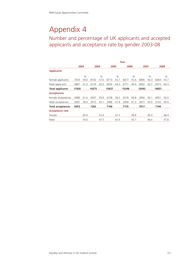Number and percentage of UK applicants and accepted applicants and acceptance rate by gender 2003-08

|                          | Year  |               |       |      |       |               |       |      |       |               |       |      |
|--------------------------|-------|---------------|-------|------|-------|---------------|-------|------|-------|---------------|-------|------|
|                          | 2003  |               | 2004  |      | 2005  |               | 2006  |      | 2007  |               | 2008  |      |
| <b>Applicants</b>        |       |               |       |      |       |               |       |      |       |               |       |      |
|                          |       | $\frac{0}{0}$ |       | $\%$ |       | $\frac{0}{0}$ |       | $\%$ |       | $\frac{0}{0}$ |       | $\%$ |
| Female applicants        | 7033  | 59.0          | 8142  | 57.0 | 8713  | 55.7          | 8477  | 55.6 | 8490  | 56.3          | 8264  | 55.7 |
| Male applicants          | 4887  | 41.0          | 6133  | 43.0 | 6924  | 44.3          | 6771  | 44.4 | 6602  | 43.7          | 6573  | 44.3 |
| <b>Total applicants</b>  | 11920 |               | 14275 |      | 15637 |               | 15248 |      | 15092 |               | 14837 |      |
| <b>Acceptances</b>       |       |               |       |      |       |               |       |      |       |               |       |      |
| Female acceptances       | 4286  | 61.6          | 4347  | 59.9 | 4138  | 58.2          | 4218  | 58.8 | 3940  | 56.1          | 4001  | 56.0 |
| Male acceptances         | 2667  | 38.4          | 2915  | 40.1 | 2968  | 41.8          | 2958  | 41.2 | 3077  | 43.9          | 3143  | 44.0 |
| <b>Total acceptances</b> | 6953  |               | 7262  |      | 7106  |               | 7176  |      | 7017  |               | 7144  |      |
| <b>Acceptance rate</b>   |       |               |       |      |       |               |       |      |       |               |       |      |
| Female                   |       | 60.9          |       | 53.4 |       | 47.5          |       | 49.8 |       | 46.4          |       | 48.4 |
| Male                     |       | 54.6          |       | 47.5 |       | 42.9          |       | 43.7 |       | 46.6          |       | 47.8 |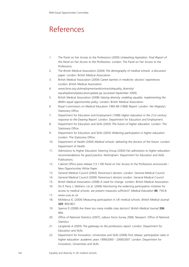### References

- 1. The Panel on Fair Access to the Professions (2009) *Unleashing Aspiration: Final Report of the Panel on Fair Access to the Professions*. London: The Panel on Fair Access to the Professions.
- 2. The British Medical Association (2004) *The demography of medical schools: a discussion paper*. London: British Medical Association.
- 3. British Medical Association (2004) *Career barriers in medicine: doctors' experiences*. London: British Medical Association.
- 4. www.bma.org.uk/employmentandcontracts/equality\_diversity/ equalitydiversityeducationupdate.jsp (accessed September 2009).
- 5. British Medical Association (2008) *Valuing diversity, enabling equality: implementing the BMA's equal opportunities policy*. London: British Medical Association.
- 6. Royal Commission on Medical Education 1965-68 (1968) *Report*. London: Her Majesty's Stationery Office.
- 7. Department for Education and Employment (1998) *Higher education in the 21st century: response to the Dearing Report*. London: Department for Education and Employment.
- 8. Department for Education and Skills (2003) *The future of higher education*. London: The Stationery Office.
- 9. Department for Education and Skills (2003) *Widening participation in higher education*. London: The Stationery Office.
- 10. Department of Health (2004) *Medical schools: delivering the doctors of the future*. London: Department of Health.
- 11. Admissions to Higher Education Steering Group (2004) *Fair admissions to higher education: recommendations for good practice.* Nottingham: Department for Education and Skills Publications.
- 12. Cabinet Office press release (13.1.09) Panel on Fair Access to the Professions announced New Opportunities White Paper.
- 13. General Medical Council (2003) *Tomorrow's doctors*. London: General Medical Council.
- 14. General Medical Council (2009) *Tomorrow's doctors* London: General Medical Council.
- 15. British Medical Association (2008) A need for change. London: British Medical Association.
- 16. Do P, Parry J, Mathers J et al. (2006) Monitoring the widening participation initiative for access to medical schools: are present measures sufficient? *Medical Education* **40**: 750-8.
- 17. www.ucas.ac.uk
- 18. McManus IC (2004) Measuring participation in UK medical schools. *British Medical Journal* **329**: 800-801.
- 19. Spence D (2008) Are there too many middle class doctors? *British Medical Journal* **336**: 894.
- 20. Office of National Statistics (2007), *Labour Force Survey 2006*, Newport: Office of National Statistics.
- 21. Langlands A (2005) *The gateways to the professions report.* London: Department for Education and Skills.
- 22. Department for Innovation, Universities and Skills (2008) *First release: participation rates in higher education: academic years 1999/2000 – 2006/2007*. London: Department for Innovation, Universities and Skills.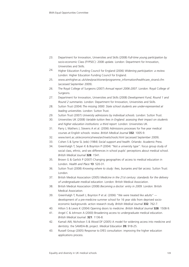- 23. Department for Innovation, Universities and Skills (2008) *Full-time young participation by* socio-economic Class (FYPSEC): 2008 update. London: Department for Innovation, Universities and Skills.
- 24. Higher Education Funding Council for England (2006) *Widening participation: a review.* London: Higher Education Funding Council for England.
- 25. www.aimhigher.ac.uk/sites/practitioner/programme\_information/healthcare\_strand.cfm (accessed September 2009).
- 26. The Royal College of Surgeons (2007) *Annual report 2006-2007*. London: Royal College of Surgeons.
- 27. Department for Innovation, Universities and Skills (2008) *Development Fund, Round 1 and Round 2 summaries*. London: Department for Innovation, Universities and Skills.
- 28. Sutton Trust (2004) *The missing 3000: State school students are under-represented at leading universities*. London: Sutton Trust.
- 29. Sutton Trust (2007) *University admissions by individual schools.* London: Sutton Trust.
- 30. Universities UK (2008) *Variable tuition fees in England: assessing their impact on students and higher education institutions: a third report*. London: Universities UK.
- 31. Parry J, Mathers J, Stevens A et al. (2006) Admissions processes for five year medical courses at English schools: review. *British Medical Journal* **332**: 1005-9.
- 32. www.kent.ac.uk/economics/news/archive/schools.html (accessed September 2009).
- 33. Cohen S & Syme SL (eds) (1984) *Social support and health*. Orlando: Academic Press.
- 34. Greenhalgh T, Seyan K & Boynton P (2004) "Not a university type": focus group study of social class, ethnic, and sex differences in school pupils' perceptions about medical school. *British Medical Journal* **328**: 1541.
- 35. Brown G & Garlick P (2007) Changing geographies of access to medical education in London. *Health and Place* **13**: 520-31.
- 36. Sutton Trust (2008) *Knowing where to study: fees, bursaries and fair access*. Sutton Trust: London.
- 37. British Medical Association (2005) *Medicine in the 21st century: standards for the delivery of undergraduate medical education*. London: British Medical Association.
- 38. British Medical Association (2008) *Becoming a doctor: entry in 2009.* London: British Medical Association.
- 39. Greenhalgh T, Russell J, Boynton P et al. (2006) "We were treated like adults" -– development of a pre-medicine summer school for 16 year olds from deprived socioeconomic backgrounds: action research study. *British Medical Journal* **332**: 762-7.
- 40. Hilton S & Lewis K (2004) Opening doors to medicine. *British Medical Journal* **328**: 1508-9.
- 41. Angel C & Johnson A (2000) Broadening access to undergraduate medical education. *British Medical Journal*. **321**: 1136-8.
- 42. Kamali AW, Nicholson S & Wood DF (2005) A model for widening access into medicine and dentistry: the SAMDA-BL project. *Medical Education* **39:** 918-25.
- 43. Russell Group (2005) Response to DfES consultation: improving the higher education applications process.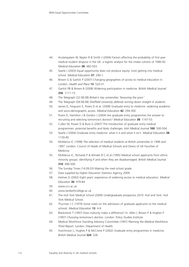- 44. Arulampalam W, Naylor R & Smith J (2004) Factors affecting the probability of first year medical student dropout in the UK: a logistic analysis for the intake cohorts of 1980-92. *Medical Education* **38**: 482-503.
- 45. Searle J (2003) Equal opportunity does not produce equity: (not) getting into medical school. *Medical Education* **37**: 290-1.
- 46. Brown G & Garlick P (2007) Changing geographies of access to medical education in London. *Health and Place* **13**: 520-31.
- 47. Garlick PB & Brown B (2008) Widening participation in medicine. *British Medical Journal* **336**: 1111-13.
- 48. The Telegraph (22.08.08) *Britain's top universities 'favouring the poor.'*
- 49. The Telegraph (09.08.08) *Sheffield University defends turning down straight A students*.
- 50. James D, Ferguson E, Powis D et al. (2008) Graduate entry to medicine: widening academic and socio-demographic access. *Medical Education* **42**: 294-300.
- 51. Powis D, Hamilton J & Gordon J (2004) Are graduate entry programmes the answer to recruiting and selecting tomorrow's doctors? *Medical Education* **38**: 1147-53.
- 52. Cullen W, Power D & Bury G (2007) The introduction of graduate entry medical programmes: potential benefits and likely challenges. *Irish Medical Journal* **100**: 500-504.
- 53. Searle J (2004) Graduate entry medicine: what it is and what it isn't. *Medical Education* **38**: 1130-40.
- 54. McManus IC (1998) *The selection of medical students at British universities in 1996 and 1997*. London: Council of Heads of Medical Schools and Deans of UK Faculties of Medicine.
- 55. McManus IC, Richards P & Winder B C et al (1995) Medical school applicants from ethnic minority groups: identifying if and when they are disadvantaged. *British Medical Journal* **310**: 496-500.
- 56. The Sunday Times (14.09.03) Making the med school grade.
- 57. Data supplied by Higher Education Statistics Agency, 2009.
- 58. Holmes D (2002) Eight years' experience of widening access to medical education. *Medical Education* **36**: 979-84.
- 59. www.ccn.ac.uk
- 60. www.lambethcollege.ac.uk
- 61. The Hull York Medical School (2009) *Undergraduate prospectus 2010*. Hull and York: Hull York Medical School.
- 62. Thurman J C (1979) Some notes on the admission of graduate applicants to the medical schools. *Medical Education* **13**: 4-9.
- 63. Blackstone T (1997) Does maturity make a difference? In: Allen I, Brown P & Hughes P (1997) *Choosing tomorrow's doctors.* London: Policy Studies Institute.
- 64. Medical Workforce Standing Advisory Committee (1997) *Planning the Medical Workforce*. *Third Report*. London: Department of Health.
- 65. Hutchinson L, Hughes P & McCrorie P (2002) Graduate entry programmes in medicine. *British Medical Journal* **324**: S28.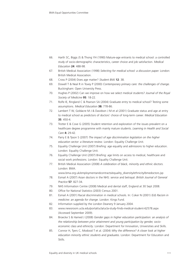- 66. Harth SC, Biggs JS & Thong YH (1990) Mature-age entrants to medical school: a controlled study of socio-demographic characteristics, career choice and job satisfaction. *Medical Education* **24**: 488-98.
- 67. British Medical Association (1998) *Selecting for medical school: a discussion paper.* London: British Medical Association.
- 68. Cross P (2004) Does age matter? *Student BMJ* **12**: 38.
- 69. Dowell T & Neal R in Tovey P (2000) *Contemporary primary care: the challenges of change.* Buckingham: Open University Press.
- 70. Hughes P (2002) Can we improve on how we select medical students? *Journal of the Royal Society of Medicine* **95**: 18-22.
- 71. Rolfe IE, Ringland C & Pearson SA (2004) Graduate entry to medical school? Testing some assumptions. *Medical Education* **38:** 778-86.
- 72. Lambert T W, Goldacre M J & Davidson J M et al (2001) Graduate status and age at entry to medical school as predictors of doctors' choice of long-term career. *Medical Education* **35**: 450-4.
- 73. Trotter E & Cove G (2005) Student retention and exploration of the issues prevalent on a healthcare degree programme with mainly mature students. *Learning in Health and Social Care* **4:** 29-42.
- 74. Parry E & Tyson S (2007) *The impact of age discrimination legislation on the higher education sector: a literature review*. London: Equality Challenge Unit.
- 75. Equality Challenge Unit (2007) Briefing: age equality and admissions to higher education. London: Equality Challenge Unit.
- 76. Equality Challenge Unit (2007) Briefing: age limits on access to medical, healthcare and social work professions. London: Equality Challenge Unit.
- 77. British Medical Association (2008) *A celebration of black, minority and ethnic doctors.* London: BMA.
	- www.bma.org.uk/employmentandcontracts/equality\_diversity/ethnicity/bmedoctors.jsp
- 78. Esmail A (2007) Asian doctors in the NHS: service and betrayal. *British Journal of General Practice* **57**: 827-34.
- 79. NHS Information Centre (2008) Medical and dental staff, England at 30 Sept 2008.
- 80. Office for National Statistics (2003) Census 2001.
- 81. Esmail A (2001) Racial discrimination in medical schools. In: Coker N (2001) (Ed) *Racism in medicine: an agenda for change*. London: Kings Fund.
- 82. Information supplied by the London Deanery 9 January 2004.
- 83. www.newsroom.ucla.edu/portal/ucla/ucla-study-finds-medical-student-62578.aspx (Accessed September 2009).
- 84. Broecke S & Hamed J (2008) *Gender gaps in higher education participation: an analysis of the relationship between prior attainment and young participation by gender, socioeconomic class and ethnicity*. London: Department for Innovation, Universities and Skills.
- 85. Connor H, Tyers C, Modood T et al. (2004) *Why the difference? A closer look at higher education minority ethnic students and graduates.* London: Department for Education and Skills.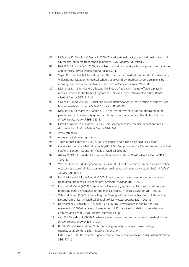- 86. McManus IC, Woolf K & Dacre J (2008) The educational background and qualifications of UK medical students from ethnic minorities. *BMC Medical Education* **8**.
- 87. Bedi R & Gilthorpe M S (2000) Social background of minority ethnic applicants to medicine and dentistry. *British Dental Journal* **189**: 152-4.
- 88. Seyan K, Greenhalgh T & Dorling D (2004) The standardised admission ratio for measuring widening participation in medical schools: analysis of UK medical school admissions by ethnicity, socio-economic status, and sex. *British Medical Journal* **328**: 1545-6.
- 89. McManus IC (1998) Factors affecting likelihood of applicants being offered a place in medical schools in the United Kingdom in 1996 and 1997: retrospective study. *British Medical Journal* **317**: 1111-6.
- 90. Collier J & Burke A (1986) Racial and sexual discrimination in the selection of students for London medical schools. *Medical Education* **20:** 86-90.
- 91. McManus IC, Richards P & Maitlis S L (1989) Prospective study of the disadvantage of people from ethnic minority groups applying to medical schools in the United Kingdom. *British Medical Journal* **298**: 723-8.
- 92. Esmail A, Nelson P, Primarolo D et al (1995) Acceptance into medical school and racial discrimination. *British Medical Journal* **310**: 501.
- 93. www.ecu.ac.uk
- 94. www.equalityhumanrights.com
- 95. Times Higher Education (08.07.05) *Race equality isn't just a nice idea, it's a duty*.
- 96. Council of Heads of Medical Schools (2006) *Guiding principles for the admission of medical students*. London: Council of Heads of Medical Schools.
- 97. Abbasi K (1998) Is medical school selection discriminatory? *British Medical Journal* **317**: 1097-8.
- 98. Wass V, Roberts C & Hoogenboom R et al (2003) Effect of ethnicity on performance in final objective structured clinical examination: qualitative and quantitative study. *British Medical Journal* **326**: 800-4.
- 99. Haq I, Higham J, Morris R et al. (2005) Effect of ethnicity and gender on performance in undergraduate medical examinations. *Medical Education* **39**: 1126-8.
- 100. Lumb AB & Vail A (2004) Comparison of academic, application form and social factors in predicting early performance on the medical course. *Medical Education* **38**: 1002-5.
- 101. Yates J & James D (2006) Predicting the "strugglers": a case-control study of students at Nottingham University Medical School. *British Medical Journal* **332**: 1009-13.
- 102. Dewhurst NG, McManus C, Mollon J et al. (2007) Performance in the MRCP (UK) examination 2003-4: analysis of pass rates of UK graduates in relation to self-declared ethnicity and gender. *BMC Medical Education* **5**: 8.
- 103. Carr P & Woodson J (2008) Academic performance of ethnic minorities in medical school. *British Medical Journal* **337**: a1094.
- 104. British Medical Association (2006) *Examining equality: a survey of royal college examinations*. London: British Medical Association.
- 105. Firth-Cozens J (2008) Effects of gender on performance in medicine. *British Medical Journal* **336**: 731-2.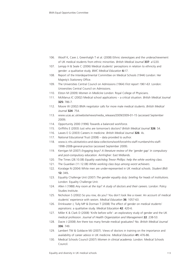- 106. Woolf K, Cave J, Greenhalgh T et al. (2008) Ethnic stereotypes and the underachievement of UK medical students from ethnic minorities. *British Medical Journal* **337**: a1220.
- 107. Lempp H & Seale C (2006) Medical students' perceptions in relation to ethnicity and gender: a qualitative study. *BMC Medical Education* **6:**17.
- 108. Report of the Interdepartmental Committee on Medical Schools (1944) London: Her Majesty's Stationery Office.
- 109. The Universities Central Council on Admissions (1964) *First report 1961-63*. London: Universities Central Council on Admissions.
- 110. Elston M (2009) *Women in Medicine* London: Royal College of Physicians.
- 111. McManus IC (2002) Medical school applications a critical situation. *British Medical Journal* **325:** 786-7.
- 112. Moore W (2002) BMA negotiator calls for more male medical students. *British Medical Journal* **324**: 754.
- 113. www.ucas.ac.uk/website/news/media\_releases/2009/2009-01-15 (accessed September 2009).
- 114. Opportunity 2000 (1996) Towards a balanced workforce.
- 115. Griffiths E (2003) Just who are tomorrow's doctors? *British Medical Journal* **326**: S4.
- 116. Lawes E G (2003) Careers in medicine. *British Medical Journal* **326**: 4s.
- 117. National Educational Trust (2008) data provided to author.
- 118. www.ic.nhs.uk/statistics-and-data-collections/workforce/nhs-staff-numbers/nhs-staff-1998–2008-general-practice (accessed September 2009).
- 119. Kerrigan M (2007) *Engaging boys? A literature review of the 'gender gap' in compulsory and post-compulsory education*. Aimhigher: East Midlands.
- 120. The Times (28.10.08) *Equality watchdog Trevor Phillips: help the white working class*.
- 121. The Guardian (11.12.08) *White working class boys among worst achievers*.
- 122. Koralage N (2004) White men are under-represented in UK medical schools. *Student BMJ* **12:** 349**.**
- 123. Equality Challenge Unit (2007) *The gender equality duty: briefing for heads of institutions*. London: Equality Challenge Unit.
- 124. Allen I (1988) *Any room at the top? A study of doctors and their careers*. London: Policy Studies Institute.
- 125. Nicholson S (2002) So you row, do you? You don't look like a rower. An account of medical students' experience with sexism. *Medical Education* **36**: 1057-63.
- 126. Drinkwater J, Tully MP & Dorman T (2008) The effect of gender on medical students' aspirations: a qualitative study. *Medical Education* **42**: 420-6.
- 127. Miller K & Clark D (2008) 'Knife before wife': an exploratory study of gender and the UK medical profession. *Journal of Health Organization and Management* **22**: 238-53.
- 128. Dacre J (2008) Are there too many female medical graduates? No. *British Medical Journal* **336**: 749.
- 129. Lambert TW & Goldacre MJ (2007). Views of doctors in training on the importance and availability of career advice in UK medicine. *Medical Education* **41:** 476-86.
- 130. Medical Schools Council (2007) *Women in clinical academia*. London: Medical Schools Council.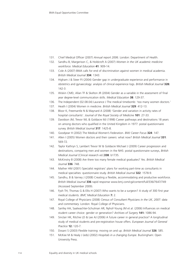- 131. Chief Medical Officer (2007) *Annual report 2006*. London: Department of Health.
- 132. Sandhu B, Margerison C, & Holdcroft A (2007) *Women in the UK academic medicine workforce. Medical Education* **41**: 909-14.
- 133. Cole A (2007) BMA calls for end of discrimination against women in medical academia. *British Medical Journal* **334**: 1343.
- 134. Higham J & Steer PJ (2004) Gender gap in undergraduate experience and performance in obstetrics and gynaecology: analysis of clinical experience logs. *British Medical Journal* **328:** 142-3.
- 135. Wiskin CMD, Allan TF & Skelton JR (2004) Gender as a variable in the assessment of final year degree-level communication skills. *Medical Education* **38**: 129-37.
- 136. The Independent (02.08.04) Laurance J The medical timebomb: 'too many women doctors.'
- 137. Heath I (2004) Women in medicine. *British Medical Journal* **329**: 412-13.
- 138. Bloor K, Freemantle N & Maynard A (2008) 'Gender and variation in activity rates of hospital consultants'. *Journal of the Royal Society of Medicine* **101**: 27-33.
- 139. Davidson JM, Trevor WL & Goldacre MJ (1998) Career pathways and destinations 18 years on among doctors who qualified in the United Kingdom in 1977: postal questionnaire survey. *British Medical Journal* **317**: 1425-8.
- 140. Goodyear H (2002) The Medical Women's Federation. *BMJ Career Focus* **324**: 147.
- 141. Allen I (2005) Women doctors and their careers: what now? *British Medical Journal* **331**: 569-72.
- 142. Taylor Kathryn S, Lambert Trevor W & Goldacre Michael J (2009) Career progression and destinations, comparing men and women in the NHS: postal questionnaire surveys, *British Medical Journal* (Clinical research ed.)**338**: b1735.
- 143. McKinstry B (2008) Are there too many female medical graduates? Yes. *British Medical Journal* **336**: 748.
- 144. Mather HM (2001) Specialist registrars' plans for working part-time as consultants in medical specialties: questionnaire study. *British Medical Journal* **322**: 1578-9.
- 145. Sandhu, B & Varney J (2008) Creating a flexible, accommodating and productive workforce. *British Medical Journal* **336** rapid response www.bmj.com/cgi/content/full/336/7647/749 (Accessed September 2009).
- 146. Fysh TH, Thomas G & Ellis H (2007) Who wants to be a surgeon? A study of 300 first year medical students. *BMC Medical Education* **7:** 2.
- 147. Royal College of Physicians (2008) *Census of Consultant Physicians in the UK, 2007: data and commentary.* London: Royal College of Physicians.
- 148. Sanfey HA, Saalwachter-Schulman AR, Nyhof-Young JM et al. (2006) Influences on medical student career choice: gender or generation? *Archives of Surgery* **141:** 1086-94.
- 149. Sinclair HK, Ritchie LD & Lee AJ (2006) A future career in general practice? A longitudinal study of medical students and pre-registration house offers. *European Journal of General Practice* **12:** 120-7.
- 150. Dosani S (2003) Flexible training: moving on and up. *British Medical Journal* **326**: S85.
- 151. McKee M & Healy J (eds) (2002) *Hospitals in a changing Europe*. Buckingham: Open University Press.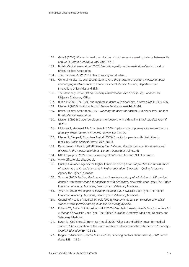- 152. Gray S (2004) Women in medicine: doctors of both sexes are seeking balance between life and work. *British Medical Journal* **329:** 742-3.
- 153. British Medical Association (2007) *Disability equality in the medical profession*. London: British Medical Association.
- 154. The Guardian (07.01.2003) Ready, willing and disabled.
- 155. General Medical Council (2008) *Gateways to the professions: advising medical schools: encouraging disabled students* London: General Medical Council, Department for Innovation, Universities and Skills.
- 156. The Stationery Office (1995) *Disability Discrimination Act 1995 (c. 50)*. London: Her Majesty's Stationery Office.
- 157. Rubin P (2003) The GMC and medical students with disabilities. *StudentBMJ* 11: 393-436.
- 158. Mercer S (2005) No through road. *Health Service Journal* **24**: 24-26.
- 159. British Medical Association (1997) *Meeting the needs of doctors with disabilities*. London: British Medical Association.
- 160. Mercer S (1998) Career development for doctors with a disability. *British Medical Journal* **317**: 2.
- 161. Moloney R, Hayward R & Chambers R (2000) A pilot study of primary care workers with a disability. *British Journal of General Practice* **50**: 985-95.
- 162. Mercer S, Dieppe P, Chambers R et al (2003) Equality for people with disabilities in medicine. *British Medical Journal* **327**: 882-3.
- 163. Department of Health (2004) *Sharing the challenge, sharing the benefits equality and diversity in the medical workforce*. London: Department of Health.
- 164. NHS Employers (2005) *Equal values: equal outcomes*. London: NHS Employers.
- 165. www.officefordisability.gov.uk
- 166. Quality Assurance Agency for Higher Education (1999) *Codes of practice for the assurance of academic quality and standards in higher education*. Gloucester: Quality Assurance Agency for Higher Education.
- 167. Tynan A (2002) *Pushing the boat out: an introductory study of admissions to UK medical, dental & veterinary schools for applicants with disabilities*. Newcastle upon Tyne: The Higher Education Academy: Medicine, Dentistry and Veterinary Medicine.
- 168. Tynan A (2003) *The sequel to pushing the boat out*. Newcastle upon Tyne: The Higher Education Academy: Medicine, Dentistry and Veterinary Medicine.
- 169. Council of Heads of Medical Schools (2005) *Recommendations on selection of medical students with specific learning disabilities including dyslexia*.
- 170. Roberts TE, Butler A & Boursicot KAM (2005) *Disabled students, disabled doctors time for a change?* Newcastle upon Tyne: The Higher Education Academy: Medicine, Dentistry and Veterinary Medicine.
- 171. Byron M, Cockshott Z, Brownett H et al (2005) What does 'disability' mean for medical students? An exploration of the words medical students associate with the term 'disability'. *Medical Education* **39**: 176-83.
- 172. Dieppe P, Anderson E, Byron M et al (2006) Teaching doctors about disability. *BMJ Career Focus* **333**: 113-5.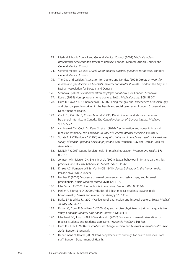- 173. Medical Schools Council and General Medical Council (2007) *Medical students: professional behaviour and fitness to practice.* London: Medical Schools Council and General Medical Council.
- 174. General Medical Council (2006) *Good medical practice: guidance for doctors.* London: General Medical Council.
- 175. The Gay and Lesbian Association for Doctors and Dentists (2004) *Dignity at work for lesbian and gay doctors and dentists, medical and dental students.* London: The Gay and Lesbian Association for Doctors and Dentists.
- 176. Stonewall (2007) *Sexual orientation employer handbook* (3e). London: Stonewall.
- 177. Rose L (1994) Homophobia among doctors. *British Medical Journal* **308:** 586-7.
- 178. Hunt R, Cowan K & Chamberlain B (2007) Being the gay one: experiences of lesbian, gay and bisexual people working in the health and social care sector. London: Stonewall and Department of Health.
- 179. Cook DJ, Griffith LE, Cohen M et al. (1995) Discrimination and abuse experienced by general internists in Canada. *The Canadian Journal of General Internal Medicine* **10:** 565-72.
- 180. van Ineveld CH, Cook DJ, Kane SL et al. (1996) Discrimination and abuse in internal medicine residency. *The Canadian Journal of General Internal Medicine* **11:** 401-5.
- 181. Schatz B & O'Hanlon KA (1994) *Anti-gay discrimination in medicine: results of a national survey of lesbian, gay and bisexual physicians*. San Francisco: Gay and Lesbian Medical Association.
- 182. McNair R (2003) Outing lesbian health in medical education. *Women and Health* **37**: 89-103.
- 183. Johnson AM, Mercer CH, Erens B et al. (2001) Sexual behaviour in Britain: partnerships, practices, and HIV risk behaviours. *Lancet* **358:** 1835-42.
- 184. Kinsey AC, Pomeroy WB &, Martin CE (1948). *Sexual behaviour in the human male*. Philadelphia: WB Saunders.
- 185. Hughes D (2004) Disclosure of sexual preferences and lesbian, gay, and bisexual practitioners. *British Medical Journal* **328:** 1211-12.
- 186. MacDonald R (2001) Homophobia in medicine. *Student BMJ* **9**: 358-9.
- 187. Parker A & Bhugra D (2000) Attitudes of British medical students towards male homosexuality. *Sexual and relationship therapy* **15:** 141-9.
- 188. Burke BP & White JC (2001) Wellbeing of gay, lesbian and bisexual doctors. *British Medical Journal* **322**: 422-5.
- 189. Risdon C, Cook D & Willms D (2000) Gay and lesbian physicians in training: a qualitative study. *Canadian Medical Association Journal* **162**: 331-4.
- 190. Merchant RC, Jongco AM & Woodward L (2005) Disclosure of sexual orientation by medical students and residency applicants. *Academic Medicine* **80:** 786.
- 191. Hunt R & Fish J (2008) *Prescription for change: lesbian and bisexual women's health check 2008*. London: Stonewall.
- 192. Department of Health (2007) Trans people's health: briefings for health and social care staff. London: Department of Health.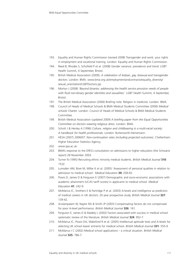- 193. Equality and Human Rights Commission (revised 2008) Transgender and work: your rights in employment and vocational training. London: Equality and Human Rights Commission.
- 194. Reed B, Rhodes S, Schofield P et al. (2008) Gender variance: prevalence and trend. LGBT Health Summit, 4 September, Bristol.
- 195. British Medical Association (2009), *A celebration of lesbian, gay, bisexual and transgender doctors*. London: BMA. www.bma.org.uk/employmentandcontracts/equality\_diversity/ sexual\_orientation/LGBTDoctors.jsp
- 196. Morton J (2008) *'Beyond binaries: addressing the health service provision needs of people with fluid non-binary gender identities and sexualities'*. LGBT Health Summit, 4 September, Bristol.
- 197. The British Medical Association (2006) Briefing note: Religion in medicine. London: BMA.
- 198. Council of Heads of Medical Schools & BMA Medical Students Committee (2006) *Medical schools Charter*. London: Council of Heads of Medical Schools & BMA Medical Students Committee.
- 199. British Medical Association (updated 2009) *A briefing paper from the Equal Opportunities Committee on doctors wearing religious dress.* London: BMA.
- 200. Schott J & Henley A (1996) *Culture, religion and childbearing in a multi-racial society: A handbook for health professionals.* London: Butterworth-Heinemann.
- 201. HESA (2007) *2006/07: Non-continuation rates (including projected outcomes).* Cheltenham: Higher Education Statistics Agency.
- 202. www.spa.ac.uk
- 203. BMA's response to the DfES's consultation on admissions to higher education (the Schwartz report) 28 November 2003.
- 204. Turner N (1995) Recruiting ethnic minority medical students. *British Medical Journal* **310**: 1532.
- 205. Lumsden AM, Bore M, Millar K et al. (2005) 'Assessment of personal qualities in relation to admission to medical school'. *Medical Education* **39:** 258-65.
- 206. Powis D, James D & Ferguson E (2007) Demographic and socio-economic associations with academic attainment (UCAS tariff scores) in applicants to medical school. *Medical Education* **41**: 242-9.
- 207. McManus IC, Smithers E & Partridge P et al. (2003) A-levels and intelligence as predictors of medical careers in UK doctors: 20 year prospective study. *British Medical Journal* **327**: 139-42.
- 208. Arulampalam W, Naylor RA & Smith JP (2003) Compensating factors do not compensate for poor A-level performance. *British Medical Journal* **326**: 161.
- 209. Ferguson E, James D & Madely L (2002) Factors associated with success in medical school: systematic review of the literature. *British Medical Journal* **324**: 952-7.
- 210. McManus IC, Powis DA, Wakeford R et al. (2005) Intellectual aptitude tests and A-levels for selecting UK school leaver entrants for medical school. *British Medical Journal* **331**: 555-9.
- 211. McManus I C (2002) Medical school applications a critical situation. *British Medical Journal* **325**: 786-7.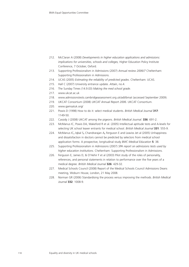- 212. McClaran A (2008) *Developments in higher education applications and admissions: implications for universities, schools and colleges,* Higher Education Policy Institute Conference, 7 October, Oxford.
- 213. Supporting Professionalism in Admissions (2007) *Annual review 2006/7* Cheltenham: Supporting Professionalism in Admissions.
- 214. UCAS (2005) *Estimating the reliability of predicted grades*. Cheltenham: UCAS.
- 215. Hall C (2007) University entrance update. *Attain*, no.4.
- 216. The Sunday Times (14.9.03) *Making the med school grade*.
- 217. www.ukcat.ac.uk
- 218. www.admissionstests.cambridgeassessment.org.uk/adt/bmat (accessed September 2009).
- 219. UKCAT Consortium (2008) *UKCAT Annual Report 2006*. UKCAT Consortium.
- 220. www.gamsatuk.org/
- 221. Powis D (1998) How to do it: select medical students. *British Medical Journal* **317**: 1149-50.
- 222. Cassidy J (2008) UKCAT among the pigeons. *British Medical Journal*. **336**: 691-2.
- 223. McManus IC, Powis DA, Wakeford R et al. (2005) Intellectual aptitude tests and A-levels for selecting UK school leaver entrants for medical school. *British Medical Journal* **331**: 555-9.
- 224. McManus IC**,** Iqbal S**,** Chandrarajan A**,** Ferguson E and Leaviss Jet al (2005) Unhappiness and dissatisfaction in doctors cannot be predicted by selectors from medical school application forms: A prospective, longitudinal study *BMC Medical Education* **5**: 38.
- 225. Supporting Professionalism in Admissions (2007) *SPA report on admissions tests used by higher education institutions*. Cheltenham: Supporting Professionalism in Admissions.
- 226. Ferguson E, James D, & O'Hehir F et al (2003) Pilot study of the roles of personality, references, and personal statements in relation to performance over the five years of a medical degree. *British Medical Journal* **326**: 429-32.
- 227. Medical Schools Council (2008) Report of the Medical Schools Council Admissions Deans meeting, Woburn House, London, 21 May 2008.
- 228. Norman GR (2006) Standardising the process versus improving the methods. *British Medical Journal* **332**: 1008-9.